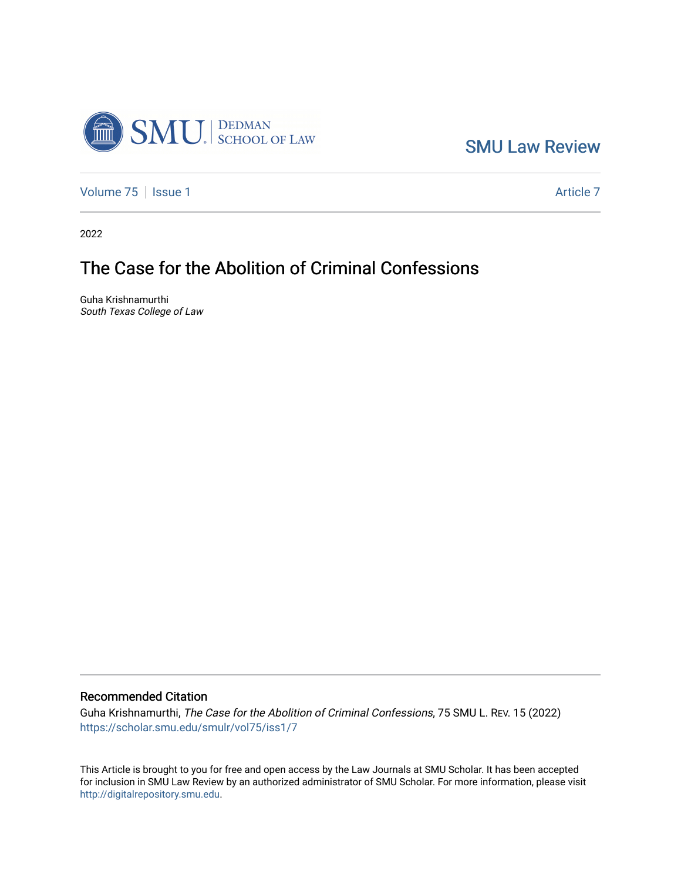

[SMU Law Review](https://scholar.smu.edu/smulr) 

[Volume 75](https://scholar.smu.edu/smulr/vol75) | [Issue 1](https://scholar.smu.edu/smulr/vol75/iss1) Article 7

2022

# The Case for the Abolition of Criminal Confessions

Guha Krishnamurthi South Texas College of Law

# Recommended Citation

Guha Krishnamurthi, The Case for the Abolition of Criminal Confessions, 75 SMU L. REV. 15 (2022) [https://scholar.smu.edu/smulr/vol75/iss1/7](https://scholar.smu.edu/smulr/vol75/iss1/7?utm_source=scholar.smu.edu%2Fsmulr%2Fvol75%2Fiss1%2F7&utm_medium=PDF&utm_campaign=PDFCoverPages) 

This Article is brought to you for free and open access by the Law Journals at SMU Scholar. It has been accepted for inclusion in SMU Law Review by an authorized administrator of SMU Scholar. For more information, please visit [http://digitalrepository.smu.edu.](http://digitalrepository.smu.edu/)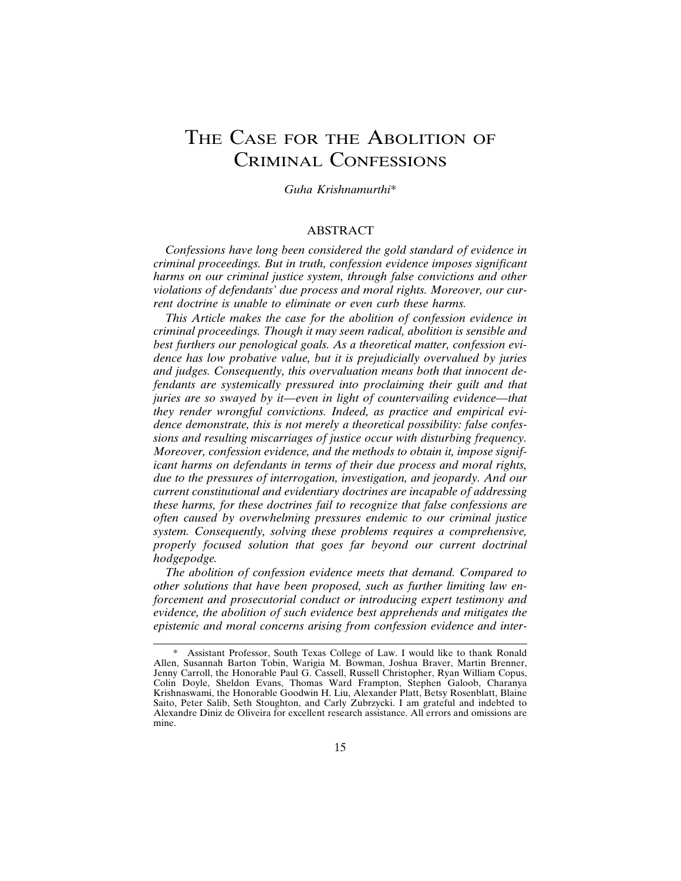# THE CASE FOR THE ABOLITION OF CRIMINAL CONFESSIONS

*Guha Krishnamurthi*\*

#### ABSTRACT

*Confessions have long been considered the gold standard of evidence in criminal proceedings. But in truth, confession evidence imposes significant harms on our criminal justice system, through false convictions and other violations of defendants' due process and moral rights. Moreover, our current doctrine is unable to eliminate or even curb these harms.*

*This Article makes the case for the abolition of confession evidence in criminal proceedings. Though it may seem radical, abolition is sensible and best furthers our penological goals. As a theoretical matter, confession evidence has low probative value, but it is prejudicially overvalued by juries and judges. Consequently, this overvaluation means both that innocent defendants are systemically pressured into proclaiming their guilt and that juries are so swayed by it—even in light of countervailing evidence—that they render wrongful convictions. Indeed, as practice and empirical evidence demonstrate, this is not merely a theoretical possibility: false confessions and resulting miscarriages of justice occur with disturbing frequency. Moreover, confession evidence, and the methods to obtain it, impose significant harms on defendants in terms of their due process and moral rights, due to the pressures of interrogation, investigation, and jeopardy. And our current constitutional and evidentiary doctrines are incapable of addressing these harms, for these doctrines fail to recognize that false confessions are often caused by overwhelming pressures endemic to our criminal justice system. Consequently, solving these problems requires a comprehensive, properly focused solution that goes far beyond our current doctrinal hodgepodge.*

*The abolition of confession evidence meets that demand. Compared to other solutions that have been proposed, such as further limiting law enforcement and prosecutorial conduct or introducing expert testimony and evidence, the abolition of such evidence best apprehends and mitigates the epistemic and moral concerns arising from confession evidence and inter-*

Assistant Professor, South Texas College of Law. I would like to thank Ronald Allen, Susannah Barton Tobin, Warigia M. Bowman, Joshua Braver, Martin Brenner, Jenny Carroll, the Honorable Paul G. Cassell, Russell Christopher, Ryan William Copus, Colin Doyle, Sheldon Evans, Thomas Ward Frampton, Stephen Galoob, Charanya Krishnaswami, the Honorable Goodwin H. Liu, Alexander Platt, Betsy Rosenblatt, Blaine Saito, Peter Salib, Seth Stoughton, and Carly Zubrzycki. I am grateful and indebted to Alexandre Diniz de Oliveira for excellent research assistance. All errors and omissions are mine.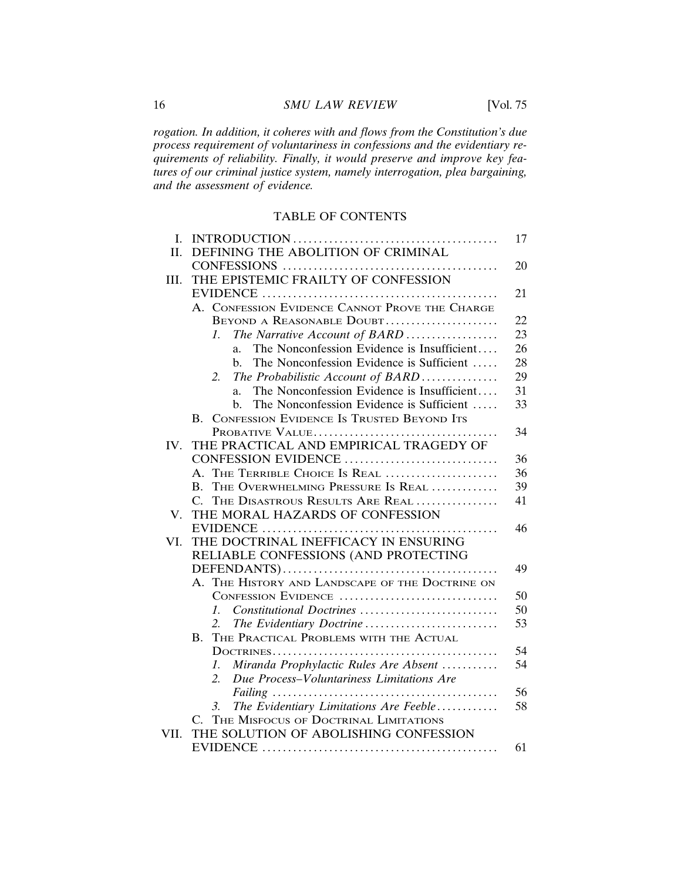*rogation. In addition, it coheres with and flows from the Constitution's due process requirement of voluntariness in confessions and the evidentiary requirements of reliability. Finally, it would preserve and improve key features of our criminal justice system, namely interrogation, plea bargaining, and the assessment of evidence.*

# TABLE OF CONTENTS

| Ι.   | INTRODUCTION<br>17                                            |    |  |  |
|------|---------------------------------------------------------------|----|--|--|
| II.  | DEFINING THE ABOLITION OF CRIMINAL                            |    |  |  |
|      | CONFESSIONS                                                   |    |  |  |
| III. | THE EPISTEMIC FRAILTY OF CONFESSION                           |    |  |  |
|      |                                                               | 21 |  |  |
|      | A. CONFESSION EVIDENCE CANNOT PROVE THE CHARGE                |    |  |  |
|      | BEYOND A REASONABLE DOUBT                                     | 22 |  |  |
|      | The Narrative Account of BARD<br>$\mathcal{I}$ .              | 23 |  |  |
|      | The Nonconfession Evidence is Insufficient<br>a.              | 26 |  |  |
|      | The Nonconfession Evidence is Sufficient<br>b.                | 28 |  |  |
|      | 2.<br>The Probabilistic Account of BARD                       | 29 |  |  |
|      | The Nonconfession Evidence is Insufficient<br>a.              | 31 |  |  |
|      | The Nonconfession Evidence is Sufficient<br>$h_{-}$           | 33 |  |  |
|      | CONFESSION EVIDENCE IS TRUSTED BEYOND ITS<br>$\mathbf{B}$ .   |    |  |  |
|      | PROBATIVE VALUE                                               | 34 |  |  |
| IV.  | THE PRACTICAL AND EMPIRICAL TRAGEDY OF                        |    |  |  |
|      | CONFESSION EVIDENCE                                           | 36 |  |  |
|      | THE TERRIBLE CHOICE IS REAL<br>A.                             | 36 |  |  |
|      | THE OVERWHELMING PRESSURE IS REAL<br>B.                       | 39 |  |  |
|      | $\mathcal{C}$<br>THE DISASTROUS RESULTS ARE REAL              | 41 |  |  |
| V.   | THE MORAL HAZARDS OF CONFESSION                               |    |  |  |
|      |                                                               | 46 |  |  |
| VI.  | THE DOCTRINAL INEFFICACY IN ENSURING                          |    |  |  |
|      | RELIABLE CONFESSIONS (AND PROTECTING                          | 49 |  |  |
|      |                                                               |    |  |  |
|      | A. THE HISTORY AND LANDSCAPE OF THE DOCTRINE ON               |    |  |  |
|      | CONFESSION EVIDENCE                                           | 50 |  |  |
|      | Constitutional Doctrines<br>1.                                | 50 |  |  |
|      | The Evidentiary Doctrine<br>2.                                | 53 |  |  |
|      | THE PRACTICAL PROBLEMS WITH THE ACTUAL<br>В.                  |    |  |  |
|      |                                                               | 54 |  |  |
|      | Miranda Prophylactic Rules Are Absent<br>1.                   | 54 |  |  |
|      | $\overline{2}$ .<br>Due Process-Voluntariness Limitations Are |    |  |  |
|      |                                                               | 56 |  |  |
|      | The Evidentiary Limitations Are Feeble<br>3.                  | 58 |  |  |
|      | THE MISFOCUS OF DOCTRINAL LIMITATIONS<br>$\mathcal{C}$        |    |  |  |
| VII. | THE SOLUTION OF ABOLISHING CONFESSION                         |    |  |  |
|      |                                                               | 61 |  |  |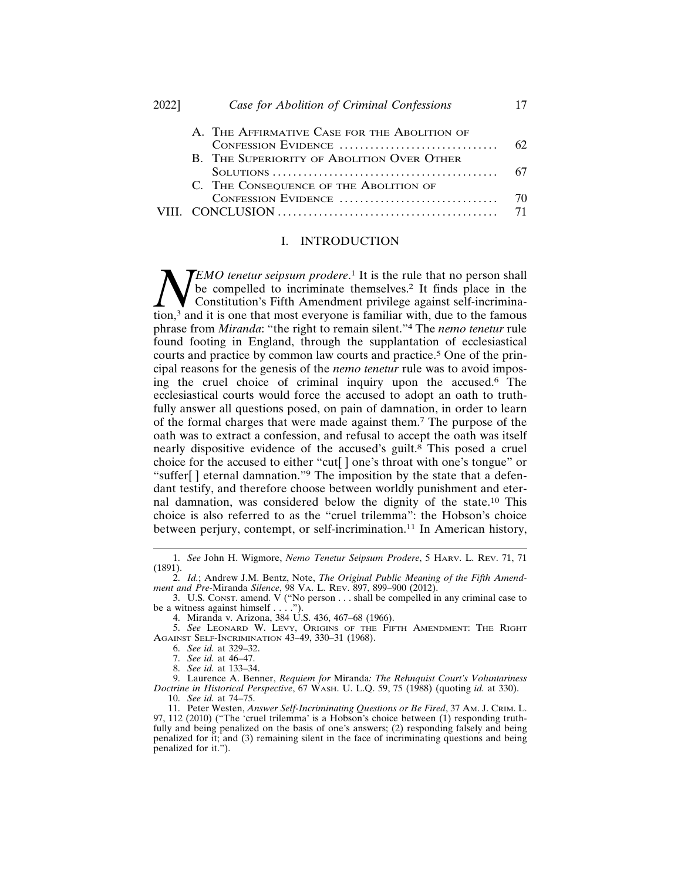| 2022] | Case for Abolition of Criminal Confessions                        |          |
|-------|-------------------------------------------------------------------|----------|
|       | A. THE AFFIRMATIVE CASE FOR THE ABOLITION OF                      | 62       |
|       | CONFESSION EVIDENCE<br>B. THE SUPERIORITY OF ABOLITION OVER OTHER |          |
|       | C. THE CONSEQUENCE OF THE ABOLITION OF                            | 67       |
|       | CONFESSION EVIDENCE                                               | 70<br>71 |
|       |                                                                   |          |

# I. INTRODUCTION

**NEMO tenetur seipsum prodere.**<br> **N** be compelled to incriminate<br>
tion,<sup>3</sup> and it is one that most everyone **TEMO** tenetur seipsum prodere.<sup>1</sup> It is the rule that no person shall be compelled to incriminate themselves.<sup>2</sup> It finds place in the Constitution's Fifth Amendment privilege against self-incrimination,3 and it is one that most everyone is familiar with, due to the famous phrase from *Miranda*: "the right to remain silent."4 The *nemo tenetur* rule found footing in England, through the supplantation of ecclesiastical courts and practice by common law courts and practice.5 One of the principal reasons for the genesis of the *nemo tenetur* rule was to avoid imposing the cruel choice of criminal inquiry upon the accused.6 The ecclesiastical courts would force the accused to adopt an oath to truthfully answer all questions posed, on pain of damnation, in order to learn of the formal charges that were made against them.7 The purpose of the oath was to extract a confession, and refusal to accept the oath was itself nearly dispositive evidence of the accused's guilt.8 This posed a cruel choice for the accused to either "cut[ ] one's throat with one's tongue" or "suffer[ ] eternal damnation."9 The imposition by the state that a defendant testify, and therefore choose between worldly punishment and eternal damnation, was considered below the dignity of the state.10 This choice is also referred to as the "cruel trilemma": the Hobson's choice between perjury, contempt, or self-incrimination.<sup>11</sup> In American history,

<sup>1.</sup> *See* John H. Wigmore, *Nemo Tenetur Seipsum Prodere*, 5 HARV. L. REV. 71, 71 (1891).

<sup>2.</sup> *Id.*; Andrew J.M. Bentz, Note, *The Original Public Meaning of the Fifth Amendment and Pre-*Miranda *Silence*, 98 VA. L. REV. 897, 899–900 (2012).

<sup>3.</sup> U.S. CONST. amend. V ("No person . . . shall be compelled in any criminal case to be a witness against himself  $\ldots$ .

<sup>4.</sup> Miranda v. Arizona, 384 U.S. 436, 467–68 (1966).

<sup>5.</sup> *See* LEONARD W. LEVY, ORIGINS OF THE FIFTH AMENDMENT: THE RIGHT AGAINST SELF-INCRIMINATION 43–49, 330–31 (1968).

<sup>6.</sup> *See id.* at 329–32.

<sup>7.</sup> *See id.* at 46–47.

<sup>8.</sup> *See id.* at 133–34.

<sup>9.</sup> Laurence A. Benner, *Requiem for* Miranda*: The Rehnquist Court's Voluntariness Doctrine in Historical Perspective*, 67 WASH. U. L.Q. 59, 75 (1988) (quoting *id.* at 330).

<sup>10.</sup> *See id.* at 74–75.

<sup>11.</sup> Peter Westen, *Answer Self-Incriminating Questions or Be Fired*, 37 AM. J. CRIM. L. 97, 112 (2010) ("The 'cruel trilemma' is a Hobson's choice between (1) responding truthfully and being penalized on the basis of one's answers; (2) responding falsely and being penalized for it; and (3) remaining silent in the face of incriminating questions and being penalized for it.").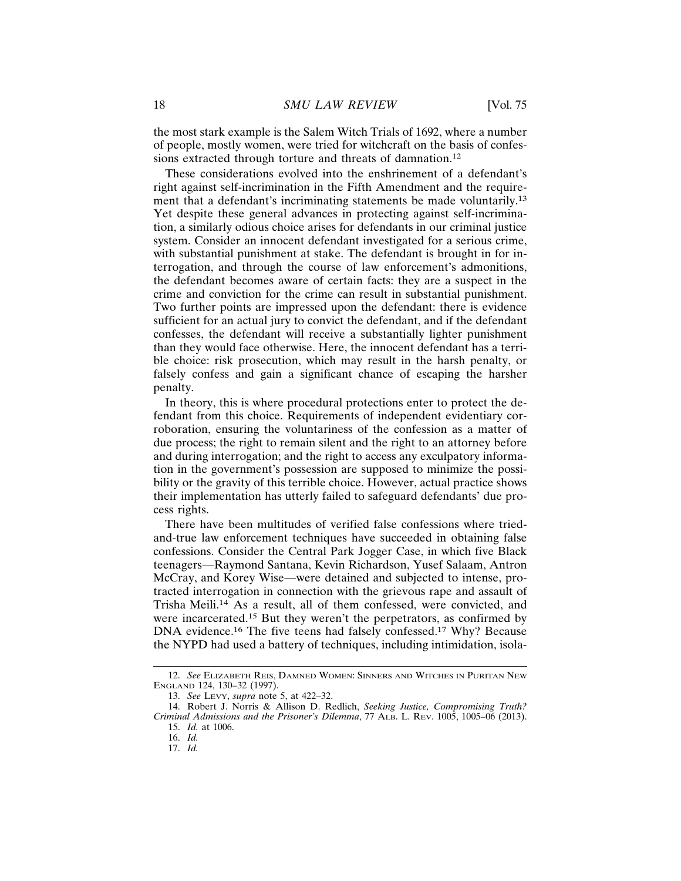the most stark example is the Salem Witch Trials of 1692, where a number of people, mostly women, were tried for witchcraft on the basis of confessions extracted through torture and threats of damnation.<sup>12</sup>

These considerations evolved into the enshrinement of a defendant's right against self-incrimination in the Fifth Amendment and the requirement that a defendant's incriminating statements be made voluntarily.<sup>13</sup> Yet despite these general advances in protecting against self-incrimination, a similarly odious choice arises for defendants in our criminal justice system. Consider an innocent defendant investigated for a serious crime, with substantial punishment at stake. The defendant is brought in for interrogation, and through the course of law enforcement's admonitions, the defendant becomes aware of certain facts: they are a suspect in the crime and conviction for the crime can result in substantial punishment. Two further points are impressed upon the defendant: there is evidence sufficient for an actual jury to convict the defendant, and if the defendant confesses, the defendant will receive a substantially lighter punishment than they would face otherwise. Here, the innocent defendant has a terrible choice: risk prosecution, which may result in the harsh penalty, or falsely confess and gain a significant chance of escaping the harsher penalty.

In theory, this is where procedural protections enter to protect the defendant from this choice. Requirements of independent evidentiary corroboration, ensuring the voluntariness of the confession as a matter of due process; the right to remain silent and the right to an attorney before and during interrogation; and the right to access any exculpatory information in the government's possession are supposed to minimize the possibility or the gravity of this terrible choice. However, actual practice shows their implementation has utterly failed to safeguard defendants' due process rights.

There have been multitudes of verified false confessions where triedand-true law enforcement techniques have succeeded in obtaining false confessions. Consider the Central Park Jogger Case, in which five Black teenagers—Raymond Santana, Kevin Richardson, Yusef Salaam, Antron McCray, and Korey Wise—were detained and subjected to intense, protracted interrogation in connection with the grievous rape and assault of Trisha Meili.14 As a result, all of them confessed, were convicted, and were incarcerated.15 But they weren't the perpetrators, as confirmed by DNA evidence.16 The five teens had falsely confessed.17 Why? Because the NYPD had used a battery of techniques, including intimidation, isola-

<sup>12.</sup> *See* ELIZABETH REIS, DAMNED WOMEN: SINNERS AND WITCHES IN PURITAN NEW ENGLAND 124, 130–32 (1997).

<sup>13.</sup> *See* LEVY, *supra* note 5, at 422–32.

<sup>14.</sup> Robert J. Norris & Allison D. Redlich, *Seeking Justice, Compromising Truth? Criminal Admissions and the Prisoner's Dilemma*, 77 ALB. L. REV. 1005, 1005–06 (2013). 15. *Id.* at 1006.

<sup>16.</sup> *Id.*

<sup>17.</sup> *Id.*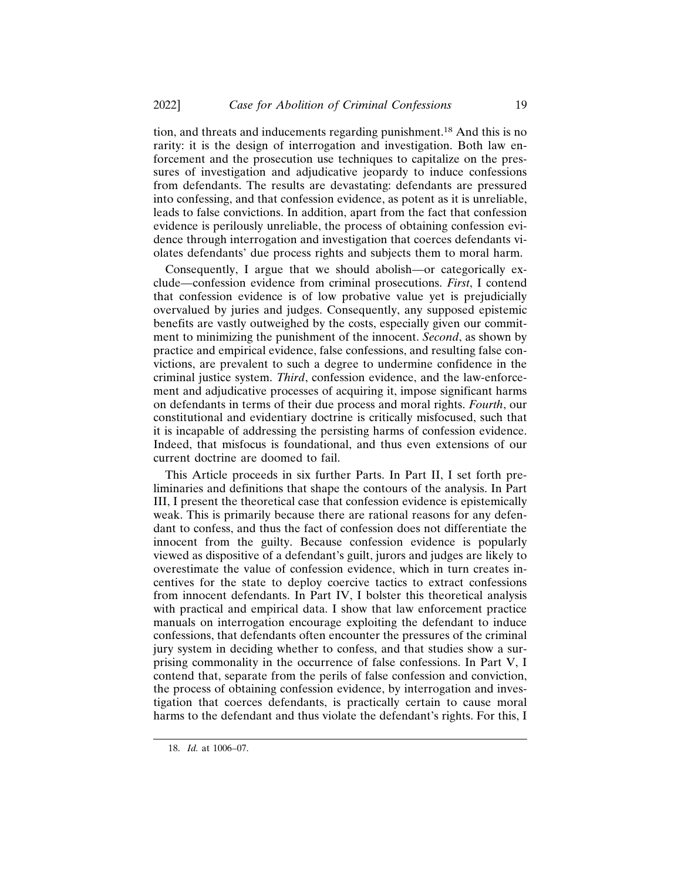tion, and threats and inducements regarding punishment.18 And this is no rarity: it is the design of interrogation and investigation. Both law enforcement and the prosecution use techniques to capitalize on the pressures of investigation and adjudicative jeopardy to induce confessions from defendants. The results are devastating: defendants are pressured into confessing, and that confession evidence, as potent as it is unreliable, leads to false convictions. In addition, apart from the fact that confession evidence is perilously unreliable, the process of obtaining confession evidence through interrogation and investigation that coerces defendants violates defendants' due process rights and subjects them to moral harm.

Consequently, I argue that we should abolish—or categorically exclude—confession evidence from criminal prosecutions. *First*, I contend that confession evidence is of low probative value yet is prejudicially overvalued by juries and judges. Consequently, any supposed epistemic benefits are vastly outweighed by the costs, especially given our commitment to minimizing the punishment of the innocent. *Second*, as shown by practice and empirical evidence, false confessions, and resulting false convictions, are prevalent to such a degree to undermine confidence in the criminal justice system. *Third*, confession evidence, and the law-enforcement and adjudicative processes of acquiring it, impose significant harms on defendants in terms of their due process and moral rights. *Fourth*, our constitutional and evidentiary doctrine is critically misfocused, such that it is incapable of addressing the persisting harms of confession evidence. Indeed, that misfocus is foundational, and thus even extensions of our current doctrine are doomed to fail.

This Article proceeds in six further Parts. In Part II, I set forth preliminaries and definitions that shape the contours of the analysis. In Part III, I present the theoretical case that confession evidence is epistemically weak. This is primarily because there are rational reasons for any defendant to confess, and thus the fact of confession does not differentiate the innocent from the guilty. Because confession evidence is popularly viewed as dispositive of a defendant's guilt, jurors and judges are likely to overestimate the value of confession evidence, which in turn creates incentives for the state to deploy coercive tactics to extract confessions from innocent defendants. In Part IV, I bolster this theoretical analysis with practical and empirical data. I show that law enforcement practice manuals on interrogation encourage exploiting the defendant to induce confessions, that defendants often encounter the pressures of the criminal jury system in deciding whether to confess, and that studies show a surprising commonality in the occurrence of false confessions. In Part V, I contend that, separate from the perils of false confession and conviction, the process of obtaining confession evidence, by interrogation and investigation that coerces defendants, is practically certain to cause moral harms to the defendant and thus violate the defendant's rights. For this, I

<sup>18.</sup> *Id.* at 1006–07.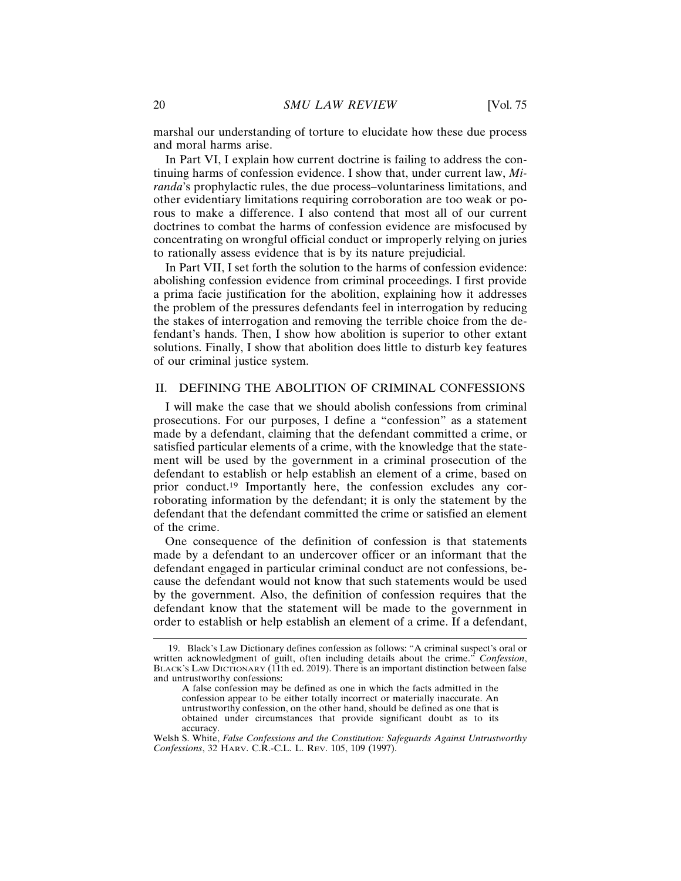marshal our understanding of torture to elucidate how these due process and moral harms arise.

In Part VI, I explain how current doctrine is failing to address the continuing harms of confession evidence. I show that, under current law, *Miranda*'s prophylactic rules, the due process–voluntariness limitations, and other evidentiary limitations requiring corroboration are too weak or porous to make a difference. I also contend that most all of our current doctrines to combat the harms of confession evidence are misfocused by concentrating on wrongful official conduct or improperly relying on juries to rationally assess evidence that is by its nature prejudicial.

In Part VII, I set forth the solution to the harms of confession evidence: abolishing confession evidence from criminal proceedings. I first provide a prima facie justification for the abolition, explaining how it addresses the problem of the pressures defendants feel in interrogation by reducing the stakes of interrogation and removing the terrible choice from the defendant's hands. Then, I show how abolition is superior to other extant solutions. Finally, I show that abolition does little to disturb key features of our criminal justice system.

# II. DEFINING THE ABOLITION OF CRIMINAL CONFESSIONS

I will make the case that we should abolish confessions from criminal prosecutions. For our purposes, I define a "confession" as a statement made by a defendant, claiming that the defendant committed a crime, or satisfied particular elements of a crime, with the knowledge that the statement will be used by the government in a criminal prosecution of the defendant to establish or help establish an element of a crime, based on prior conduct.19 Importantly here, the confession excludes any corroborating information by the defendant; it is only the statement by the defendant that the defendant committed the crime or satisfied an element of the crime.

One consequence of the definition of confession is that statements made by a defendant to an undercover officer or an informant that the defendant engaged in particular criminal conduct are not confessions, because the defendant would not know that such statements would be used by the government. Also, the definition of confession requires that the defendant know that the statement will be made to the government in order to establish or help establish an element of a crime. If a defendant,

<sup>19.</sup> Black's Law Dictionary defines confession as follows: "A criminal suspect's oral or written acknowledgment of guilt, often including details about the crime." *Confession*, BLACK'S LAW DICTIONARY (11th ed. 2019). There is an important distinction between false and untrustworthy confessions:

A false confession may be defined as one in which the facts admitted in the confession appear to be either totally incorrect or materially inaccurate. An untrustworthy confession, on the other hand, should be defined as one that is obtained under circumstances that provide significant doubt as to its accuracy.

Welsh S. White, *False Confessions and the Constitution: Safeguards Against Untrustworthy Confessions*, 32 HARV. C.R.-C.L. L. REV. 105, 109 (1997).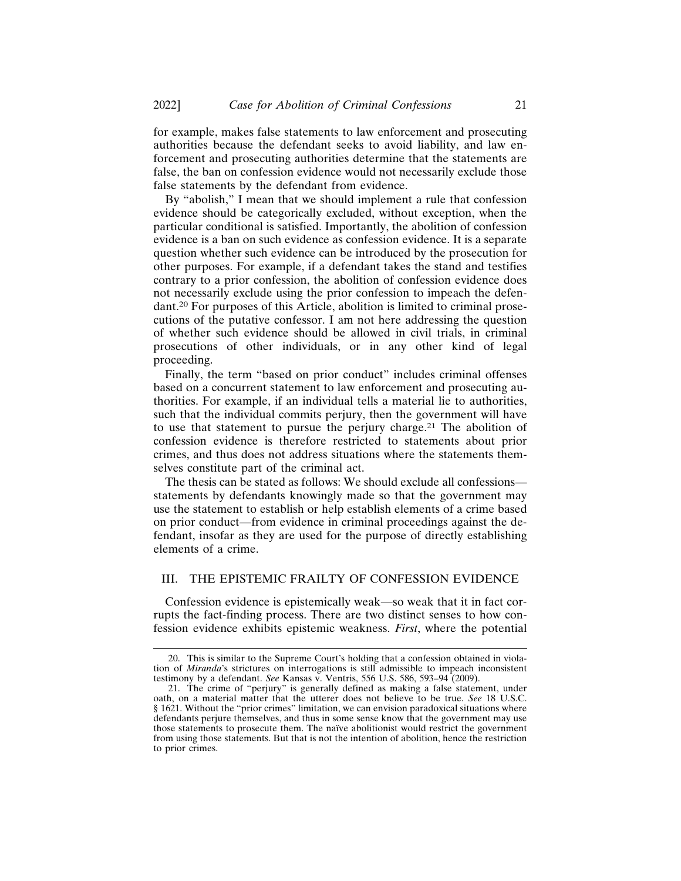for example, makes false statements to law enforcement and prosecuting authorities because the defendant seeks to avoid liability, and law enforcement and prosecuting authorities determine that the statements are false, the ban on confession evidence would not necessarily exclude those false statements by the defendant from evidence.

By "abolish," I mean that we should implement a rule that confession evidence should be categorically excluded, without exception, when the particular conditional is satisfied. Importantly, the abolition of confession evidence is a ban on such evidence as confession evidence. It is a separate question whether such evidence can be introduced by the prosecution for other purposes. For example, if a defendant takes the stand and testifies contrary to a prior confession, the abolition of confession evidence does not necessarily exclude using the prior confession to impeach the defendant.20 For purposes of this Article, abolition is limited to criminal prosecutions of the putative confessor. I am not here addressing the question of whether such evidence should be allowed in civil trials, in criminal prosecutions of other individuals, or in any other kind of legal proceeding.

Finally, the term "based on prior conduct" includes criminal offenses based on a concurrent statement to law enforcement and prosecuting authorities. For example, if an individual tells a material lie to authorities, such that the individual commits perjury, then the government will have to use that statement to pursue the perjury charge.21 The abolition of confession evidence is therefore restricted to statements about prior crimes, and thus does not address situations where the statements themselves constitute part of the criminal act.

The thesis can be stated as follows: We should exclude all confessions statements by defendants knowingly made so that the government may use the statement to establish or help establish elements of a crime based on prior conduct—from evidence in criminal proceedings against the defendant, insofar as they are used for the purpose of directly establishing elements of a crime.

# III. THE EPISTEMIC FRAILTY OF CONFESSION EVIDENCE

Confession evidence is epistemically weak—so weak that it in fact corrupts the fact-finding process. There are two distinct senses to how confession evidence exhibits epistemic weakness. *First*, where the potential

<sup>20.</sup> This is similar to the Supreme Court's holding that a confession obtained in violation of *Miranda*'s strictures on interrogations is still admissible to impeach inconsistent testimony by a defendant. *See* Kansas v. Ventris, 556 U.S. 586, 593–94 (2009).

<sup>21.</sup> The crime of "perjury" is generally defined as making a false statement, under oath, on a material matter that the utterer does not believe to be true. *See* 18 U.S.C. § 1621. Without the "prior crimes" limitation, we can envision paradoxical situations where defendants perjure themselves, and thus in some sense know that the government may use those statements to prosecute them. The naïve abolitionist would restrict the government from using those statements. But that is not the intention of abolition, hence the restriction to prior crimes.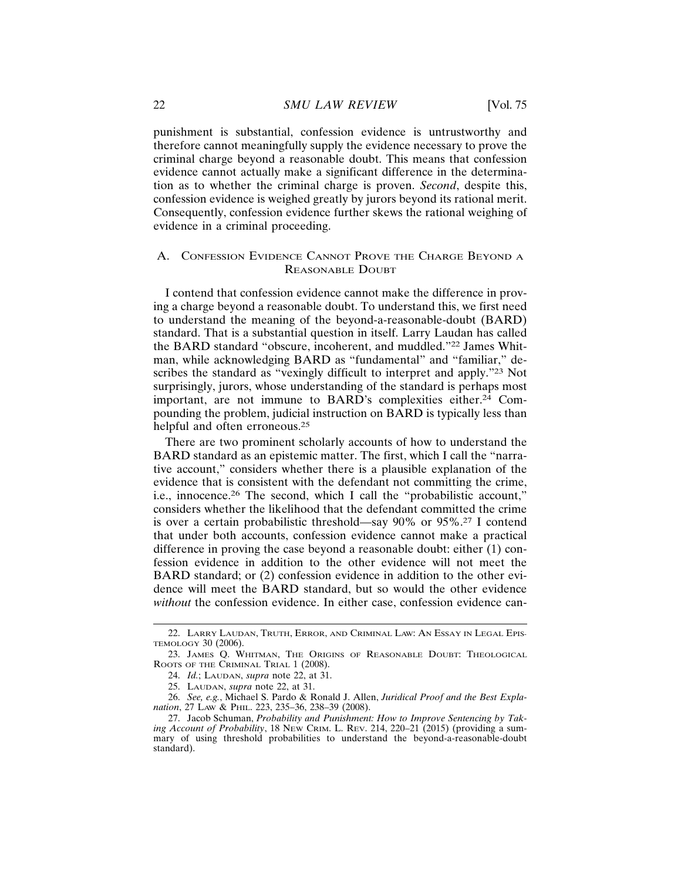punishment is substantial, confession evidence is untrustworthy and therefore cannot meaningfully supply the evidence necessary to prove the criminal charge beyond a reasonable doubt. This means that confession evidence cannot actually make a significant difference in the determination as to whether the criminal charge is proven. *Second*, despite this, confession evidence is weighed greatly by jurors beyond its rational merit. Consequently, confession evidence further skews the rational weighing of evidence in a criminal proceeding.

# A. CONFESSION EVIDENCE CANNOT PROVE THE CHARGE BEYOND A REASONABLE DOUBT

I contend that confession evidence cannot make the difference in proving a charge beyond a reasonable doubt. To understand this, we first need to understand the meaning of the beyond-a-reasonable-doubt (BARD) standard. That is a substantial question in itself. Larry Laudan has called the BARD standard "obscure, incoherent, and muddled."22 James Whitman, while acknowledging BARD as "fundamental" and "familiar," describes the standard as "vexingly difficult to interpret and apply."23 Not surprisingly, jurors, whose understanding of the standard is perhaps most important, are not immune to BARD's complexities either.<sup>24</sup> Compounding the problem, judicial instruction on BARD is typically less than helpful and often erroneous.<sup>25</sup>

There are two prominent scholarly accounts of how to understand the BARD standard as an epistemic matter. The first, which I call the "narrative account," considers whether there is a plausible explanation of the evidence that is consistent with the defendant not committing the crime, i.e., innocence.26 The second, which I call the "probabilistic account," considers whether the likelihood that the defendant committed the crime is over a certain probabilistic threshold—say 90% or 95%.27 I contend that under both accounts, confession evidence cannot make a practical difference in proving the case beyond a reasonable doubt: either (1) confession evidence in addition to the other evidence will not meet the BARD standard; or (2) confession evidence in addition to the other evidence will meet the BARD standard, but so would the other evidence *without* the confession evidence. In either case, confession evidence can-

<sup>22.</sup> LARRY LAUDAN, TRUTH, ERROR, AND CRIMINAL LAW: AN ESSAY IN LEGAL EPIS-TEMOLOGY 30 (2006).

<sup>23.</sup> JAMES Q. WHITMAN, THE ORIGINS OF REASONABLE DOUBT: THEOLOGICAL ROOTS OF THE CRIMINAL TRIAL 1 (2008).

<sup>24.</sup> *Id.*; LAUDAN, *supra* note 22, at 31.

<sup>25.</sup> LAUDAN, *supra* note 22, at 31.

<sup>26.</sup> *See, e.g.*, Michael S. Pardo & Ronald J. Allen, *Juridical Proof and the Best Explanation*, 27 LAW & PHIL. 223, 235–36, 238–39 (2008).

<sup>27.</sup> Jacob Schuman, *Probability and Punishment: How to Improve Sentencing by Taking Account of Probability*, 18 NEW CRIM. L. REV. 214, 220–21 (2015) (providing a summary of using threshold probabilities to understand the beyond-a-reasonable-doubt standard).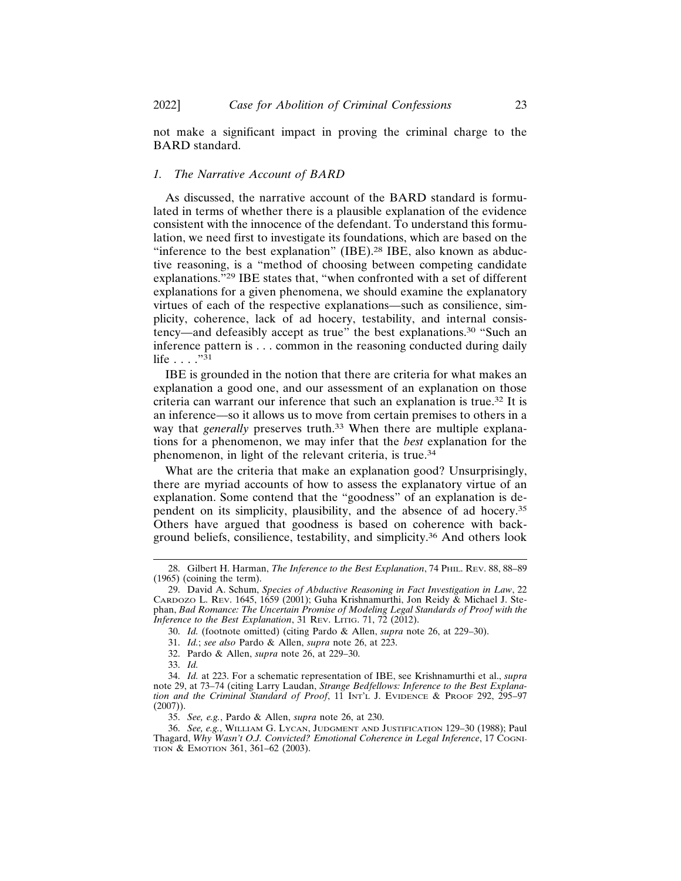not make a significant impact in proving the criminal charge to the BARD standard.

# *1. The Narrative Account of BARD*

As discussed, the narrative account of the BARD standard is formulated in terms of whether there is a plausible explanation of the evidence consistent with the innocence of the defendant. To understand this formulation, we need first to investigate its foundations, which are based on the "inference to the best explanation" (IBE).<sup>28</sup> IBE, also known as abductive reasoning, is a "method of choosing between competing candidate explanations."29 IBE states that, "when confronted with a set of different explanations for a given phenomena, we should examine the explanatory virtues of each of the respective explanations—such as consilience, simplicity, coherence, lack of ad hocery, testability, and internal consistency—and defeasibly accept as true" the best explanations.30 "Such an inference pattern is . . . common in the reasoning conducted during daily life  $\ldots$  .  $\overline{31}$ 

IBE is grounded in the notion that there are criteria for what makes an explanation a good one, and our assessment of an explanation on those criteria can warrant our inference that such an explanation is true.32 It is an inference—so it allows us to move from certain premises to others in a way that *generally* preserves truth.<sup>33</sup> When there are multiple explanations for a phenomenon, we may infer that the *best* explanation for the phenomenon, in light of the relevant criteria, is true.<sup>34</sup>

What are the criteria that make an explanation good? Unsurprisingly, there are myriad accounts of how to assess the explanatory virtue of an explanation. Some contend that the "goodness" of an explanation is dependent on its simplicity, plausibility, and the absence of ad hocery.<sup>35</sup> Others have argued that goodness is based on coherence with background beliefs, consilience, testability, and simplicity.36 And others look

35. *See, e.g.*, Pardo & Allen, *supra* note 26, at 230.

<sup>28.</sup> Gilbert H. Harman, *The Inference to the Best Explanation*, 74 PHIL. REV. 88, 88–89 (1965) (coining the term).

<sup>29.</sup> David A. Schum, *Species of Abductive Reasoning in Fact Investigation in Law*, 22 CARDOZO L. REV. 1645, 1659 (2001); Guha Krishnamurthi, Jon Reidy & Michael J. Stephan, *Bad Romance: The Uncertain Promise of Modeling Legal Standards of Proof with the Inference to the Best Explanation*, 31 Rev. LITIG. 71,  $72$  ( $2012$ ).

<sup>30.</sup> *Id.* (footnote omitted) (citing Pardo & Allen, *supra* note 26, at 229–30).

<sup>31.</sup> *Id.*; *see also* Pardo & Allen, *supra* note 26, at 223.

<sup>32.</sup> Pardo & Allen, *supra* note 26, at 229–30.

<sup>33.</sup> *Id.*

<sup>34.</sup> *Id.* at 223. For a schematic representation of IBE, see Krishnamurthi et al., *supra* note 29, at 73–74 (citing Larry Laudan, *Strange Bedfellows: Inference to the Best Explanation and the Criminal Standard of Proof*, 11 INT'L J. EVIDENCE & PROOF 292, 295–97  $(2007)$ ).

<sup>36.</sup> *See, e.g.*, WILLIAM G. LYCAN, JUDGMENT AND JUSTIFICATION 129–30 (1988); Paul Thagard, *Why Wasn't O.J. Convicted? Emotional Coherence in Legal Inference*, 17 COGNI-TION & EMOTION 361, 361–62 (2003).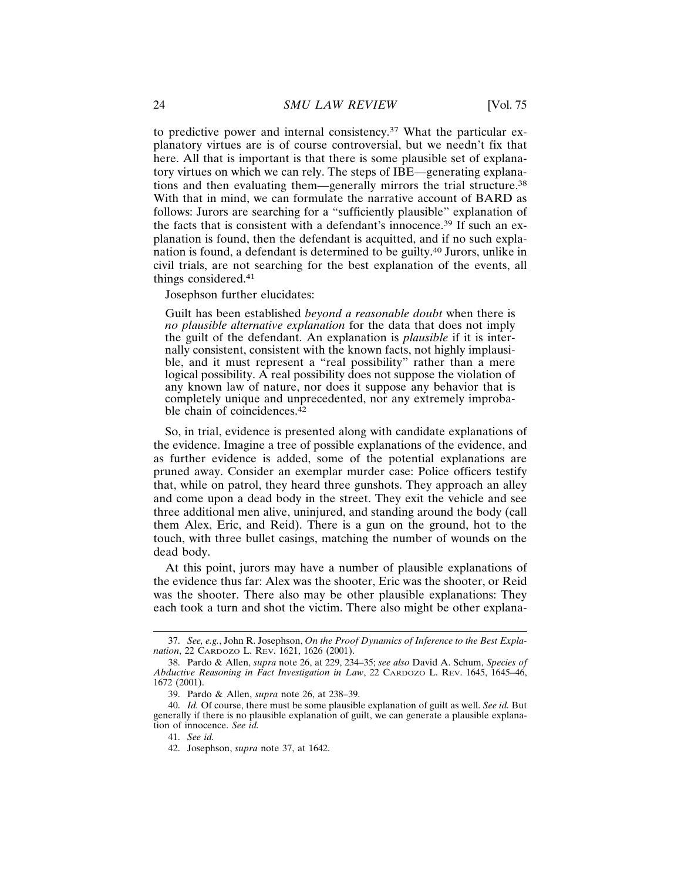to predictive power and internal consistency.37 What the particular explanatory virtues are is of course controversial, but we needn't fix that here. All that is important is that there is some plausible set of explanatory virtues on which we can rely. The steps of IBE—generating explanations and then evaluating them—generally mirrors the trial structure.<sup>38</sup> With that in mind, we can formulate the narrative account of BARD as follows: Jurors are searching for a "sufficiently plausible" explanation of the facts that is consistent with a defendant's innocence.39 If such an explanation is found, then the defendant is acquitted, and if no such explanation is found, a defendant is determined to be guilty.40 Jurors, unlike in civil trials, are not searching for the best explanation of the events, all things considered.<sup>41</sup>

Josephson further elucidates:

Guilt has been established *beyond a reasonable doubt* when there is *no plausible alternative explanation* for the data that does not imply the guilt of the defendant. An explanation is *plausible* if it is internally consistent, consistent with the known facts, not highly implausible, and it must represent a "real possibility" rather than a mere logical possibility. A real possibility does not suppose the violation of any known law of nature, nor does it suppose any behavior that is completely unique and unprecedented, nor any extremely improbable chain of coincidences. $42$ 

So, in trial, evidence is presented along with candidate explanations of the evidence. Imagine a tree of possible explanations of the evidence, and as further evidence is added, some of the potential explanations are pruned away. Consider an exemplar murder case: Police officers testify that, while on patrol, they heard three gunshots. They approach an alley and come upon a dead body in the street. They exit the vehicle and see three additional men alive, uninjured, and standing around the body (call them Alex, Eric, and Reid). There is a gun on the ground, hot to the touch, with three bullet casings, matching the number of wounds on the dead body.

At this point, jurors may have a number of plausible explanations of the evidence thus far: Alex was the shooter, Eric was the shooter, or Reid was the shooter. There also may be other plausible explanations: They each took a turn and shot the victim. There also might be other explana-

<sup>37.</sup> *See, e.g.*, John R. Josephson, *On the Proof Dynamics of Inference to the Best Explanation*, 22 CARDOZO L. REV. 1621, 1626 (2001).

<sup>38.</sup> Pardo & Allen, *supra* note 26, at 229, 234–35; *see also* David A. Schum, *Species of Abductive Reasoning in Fact Investigation in Law*, 22 CARDOZO L. REV. 1645, 1645–46, 1672 (2001).

<sup>39.</sup> Pardo & Allen, *supra* note 26, at 238–39.

<sup>40.</sup> *Id.* Of course, there must be some plausible explanation of guilt as well. *See id.* But generally if there is no plausible explanation of guilt, we can generate a plausible explanation of innocence. *See id.*

<sup>41.</sup> *See id.*

<sup>42.</sup> Josephson, *supra* note 37, at 1642.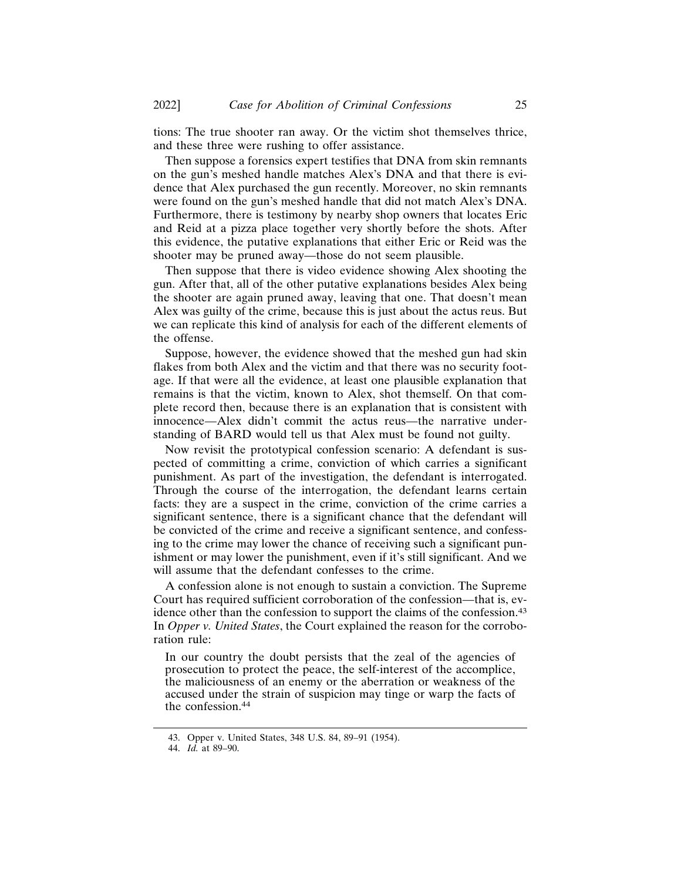tions: The true shooter ran away. Or the victim shot themselves thrice, and these three were rushing to offer assistance.

Then suppose a forensics expert testifies that DNA from skin remnants on the gun's meshed handle matches Alex's DNA and that there is evidence that Alex purchased the gun recently. Moreover, no skin remnants were found on the gun's meshed handle that did not match Alex's DNA. Furthermore, there is testimony by nearby shop owners that locates Eric and Reid at a pizza place together very shortly before the shots. After this evidence, the putative explanations that either Eric or Reid was the shooter may be pruned away—those do not seem plausible.

Then suppose that there is video evidence showing Alex shooting the gun. After that, all of the other putative explanations besides Alex being the shooter are again pruned away, leaving that one. That doesn't mean Alex was guilty of the crime, because this is just about the actus reus. But we can replicate this kind of analysis for each of the different elements of the offense.

Suppose, however, the evidence showed that the meshed gun had skin flakes from both Alex and the victim and that there was no security footage. If that were all the evidence, at least one plausible explanation that remains is that the victim, known to Alex, shot themself. On that complete record then, because there is an explanation that is consistent with innocence—Alex didn't commit the actus reus—the narrative understanding of BARD would tell us that Alex must be found not guilty.

Now revisit the prototypical confession scenario: A defendant is suspected of committing a crime, conviction of which carries a significant punishment. As part of the investigation, the defendant is interrogated. Through the course of the interrogation, the defendant learns certain facts: they are a suspect in the crime, conviction of the crime carries a significant sentence, there is a significant chance that the defendant will be convicted of the crime and receive a significant sentence, and confessing to the crime may lower the chance of receiving such a significant punishment or may lower the punishment, even if it's still significant. And we will assume that the defendant confesses to the crime.

A confession alone is not enough to sustain a conviction. The Supreme Court has required sufficient corroboration of the confession—that is, evidence other than the confession to support the claims of the confession.<sup>43</sup> In *Opper v. United States*, the Court explained the reason for the corroboration rule:

In our country the doubt persists that the zeal of the agencies of prosecution to protect the peace, the self-interest of the accomplice, the maliciousness of an enemy or the aberration or weakness of the accused under the strain of suspicion may tinge or warp the facts of the confession.<sup>44</sup>

<sup>43.</sup> Opper v. United States, 348 U.S. 84, 89–91 (1954).

<sup>44.</sup> *Id.* at 89–90.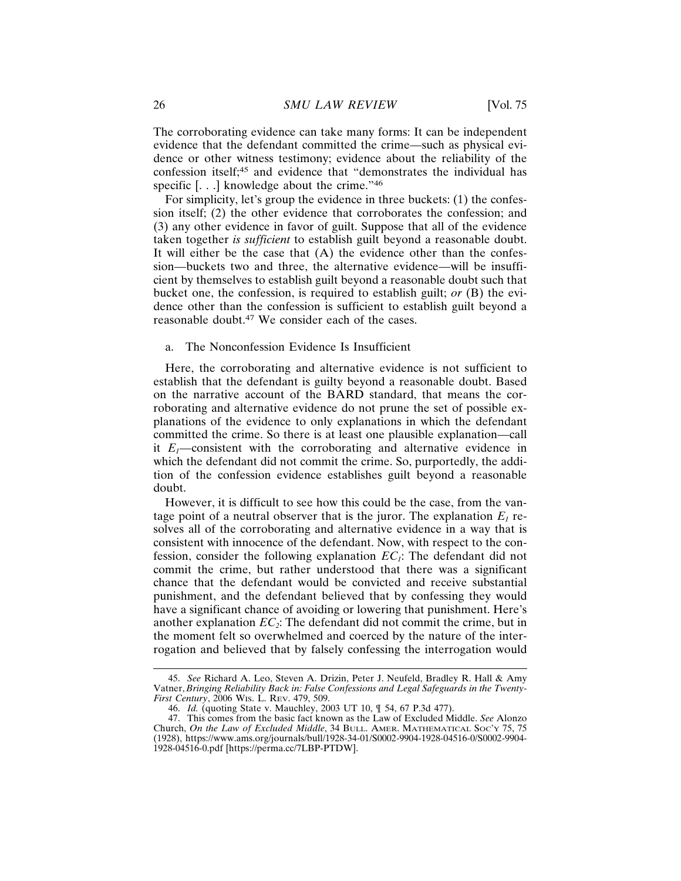The corroborating evidence can take many forms: It can be independent evidence that the defendant committed the crime—such as physical evidence or other witness testimony; evidence about the reliability of the confession itself;45 and evidence that "demonstrates the individual has specific [...] knowledge about the crime."<sup>46</sup>

For simplicity, let's group the evidence in three buckets: (1) the confession itself; (2) the other evidence that corroborates the confession; and (3) any other evidence in favor of guilt. Suppose that all of the evidence taken together *is sufficient* to establish guilt beyond a reasonable doubt. It will either be the case that  $(A)$  the evidence other than the confession—buckets two and three, the alternative evidence—will be insufficient by themselves to establish guilt beyond a reasonable doubt such that bucket one, the confession, is required to establish guilt; *or* (B) the evidence other than the confession is sufficient to establish guilt beyond a reasonable doubt.47 We consider each of the cases.

#### a. The Nonconfession Evidence Is Insufficient

Here, the corroborating and alternative evidence is not sufficient to establish that the defendant is guilty beyond a reasonable doubt. Based on the narrative account of the BARD standard, that means the corroborating and alternative evidence do not prune the set of possible explanations of the evidence to only explanations in which the defendant committed the crime. So there is at least one plausible explanation—call it  $E_1$ —consistent with the corroborating and alternative evidence in which the defendant did not commit the crime. So, purportedly, the addition of the confession evidence establishes guilt beyond a reasonable doubt.

However, it is difficult to see how this could be the case, from the vantage point of a neutral observer that is the juror. The explanation  $E_1$  resolves all of the corroborating and alternative evidence in a way that is consistent with innocence of the defendant. Now, with respect to the confession, consider the following explanation  $EC_1$ : The defendant did not commit the crime, but rather understood that there was a significant chance that the defendant would be convicted and receive substantial punishment, and the defendant believed that by confessing they would have a significant chance of avoiding or lowering that punishment. Here's another explanation  $EC<sub>2</sub>$ : The defendant did not commit the crime, but in the moment felt so overwhelmed and coerced by the nature of the interrogation and believed that by falsely confessing the interrogation would

<sup>45.</sup> *See* Richard A. Leo, Steven A. Drizin, Peter J. Neufeld, Bradley R. Hall & Amy Vatner, *Bringing Reliability Back in: False Confessions and Legal Safeguards in the Twenty-First Century*, 2006 WIS. L. REV. 479, 509.

<sup>46.</sup> *Id.* (quoting State v. Mauchley, 2003 UT 10, ¶ 54, 67 P.3d 477).

<sup>47.</sup> This comes from the basic fact known as the Law of Excluded Middle. *See* Alonzo Church, *On the Law of Excluded Middle*, 34 BULL. AMER. MATHEMATICAL SOC'Y 75, 75 (1928), https://www.ams.org/journals/bull/1928-34-01/S0002-9904-1928-04516-0/S0002-9904- 1928-04516-0.pdf [https://perma.cc/7LBP-PTDW].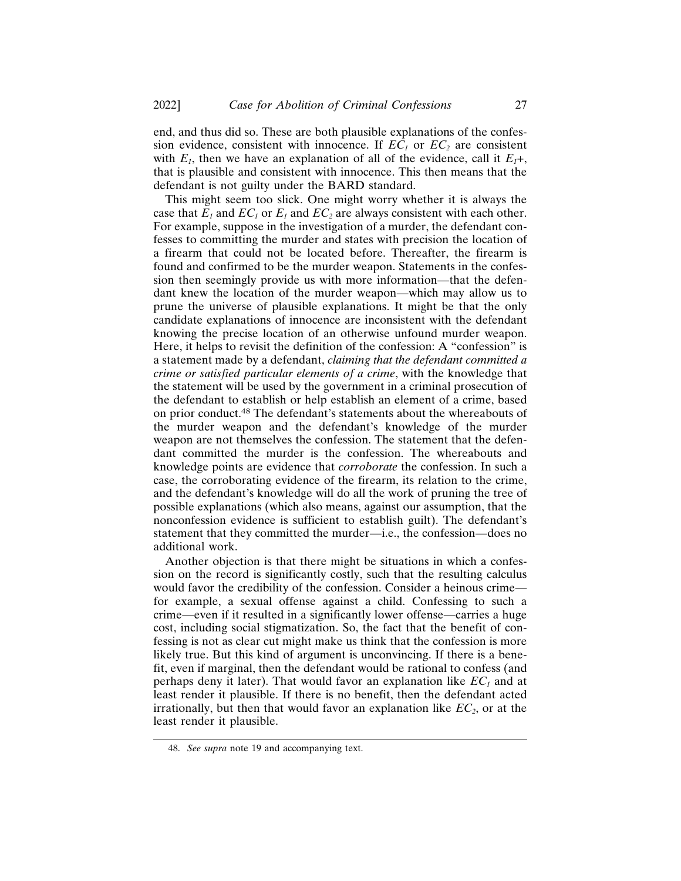end, and thus did so. These are both plausible explanations of the confession evidence, consistent with innocence. If  $EC_1$  or  $EC_2$  are consistent with  $E_1$ , then we have an explanation of all of the evidence, call it  $E_1 +$ , that is plausible and consistent with innocence. This then means that the defendant is not guilty under the BARD standard.

This might seem too slick. One might worry whether it is always the case that  $E_1$  and  $EC_1$  or  $E_1$  and  $EC_2$  are always consistent with each other. For example, suppose in the investigation of a murder, the defendant confesses to committing the murder and states with precision the location of a firearm that could not be located before. Thereafter, the firearm is found and confirmed to be the murder weapon. Statements in the confession then seemingly provide us with more information—that the defendant knew the location of the murder weapon—which may allow us to prune the universe of plausible explanations. It might be that the only candidate explanations of innocence are inconsistent with the defendant knowing the precise location of an otherwise unfound murder weapon. Here, it helps to revisit the definition of the confession: A "confession" is a statement made by a defendant, *claiming that the defendant committed a crime or satisfied particular elements of a crime*, with the knowledge that the statement will be used by the government in a criminal prosecution of the defendant to establish or help establish an element of a crime, based on prior conduct.48 The defendant's statements about the whereabouts of the murder weapon and the defendant's knowledge of the murder weapon are not themselves the confession. The statement that the defendant committed the murder is the confession. The whereabouts and knowledge points are evidence that *corroborate* the confession. In such a case, the corroborating evidence of the firearm, its relation to the crime, and the defendant's knowledge will do all the work of pruning the tree of possible explanations (which also means, against our assumption, that the nonconfession evidence is sufficient to establish guilt). The defendant's statement that they committed the murder—i.e., the confession—does no additional work.

Another objection is that there might be situations in which a confession on the record is significantly costly, such that the resulting calculus would favor the credibility of the confession. Consider a heinous crime for example, a sexual offense against a child. Confessing to such a crime—even if it resulted in a significantly lower offense—carries a huge cost, including social stigmatization. So, the fact that the benefit of confessing is not as clear cut might make us think that the confession is more likely true. But this kind of argument is unconvincing. If there is a benefit, even if marginal, then the defendant would be rational to confess (and perhaps deny it later). That would favor an explanation like  $EC_1$  and at least render it plausible. If there is no benefit, then the defendant acted irrationally, but then that would favor an explanation like  $EC<sub>2</sub>$ , or at the least render it plausible.

<sup>48.</sup> *See supra* note 19 and accompanying text.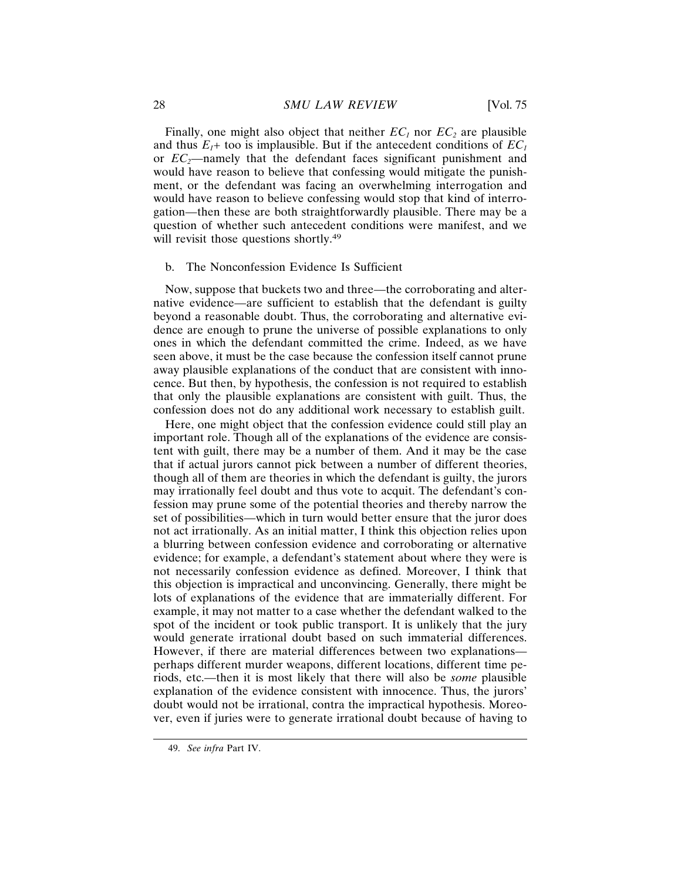Finally, one might also object that neither  $EC_1$  nor  $EC_2$  are plausible and thus  $E_1$ + too is implausible. But if the antecedent conditions of  $EC_1$ or  $EC_2$ —namely that the defendant faces significant punishment and would have reason to believe that confessing would mitigate the punishment, or the defendant was facing an overwhelming interrogation and would have reason to believe confessing would stop that kind of interrogation—then these are both straightforwardly plausible. There may be a question of whether such antecedent conditions were manifest, and we will revisit those questions shortly.<sup>49</sup>

#### b. The Nonconfession Evidence Is Sufficient

Now, suppose that buckets two and three—the corroborating and alternative evidence—are sufficient to establish that the defendant is guilty beyond a reasonable doubt. Thus, the corroborating and alternative evidence are enough to prune the universe of possible explanations to only ones in which the defendant committed the crime. Indeed, as we have seen above, it must be the case because the confession itself cannot prune away plausible explanations of the conduct that are consistent with innocence. But then, by hypothesis, the confession is not required to establish that only the plausible explanations are consistent with guilt. Thus, the confession does not do any additional work necessary to establish guilt.

Here, one might object that the confession evidence could still play an important role. Though all of the explanations of the evidence are consistent with guilt, there may be a number of them. And it may be the case that if actual jurors cannot pick between a number of different theories, though all of them are theories in which the defendant is guilty, the jurors may irrationally feel doubt and thus vote to acquit. The defendant's confession may prune some of the potential theories and thereby narrow the set of possibilities—which in turn would better ensure that the juror does not act irrationally. As an initial matter, I think this objection relies upon a blurring between confession evidence and corroborating or alternative evidence; for example, a defendant's statement about where they were is not necessarily confession evidence as defined. Moreover, I think that this objection is impractical and unconvincing. Generally, there might be lots of explanations of the evidence that are immaterially different. For example, it may not matter to a case whether the defendant walked to the spot of the incident or took public transport. It is unlikely that the jury would generate irrational doubt based on such immaterial differences. However, if there are material differences between two explanations perhaps different murder weapons, different locations, different time periods, etc.—then it is most likely that there will also be *some* plausible explanation of the evidence consistent with innocence. Thus, the jurors' doubt would not be irrational, contra the impractical hypothesis. Moreover, even if juries were to generate irrational doubt because of having to

<sup>49.</sup> *See infra* Part IV.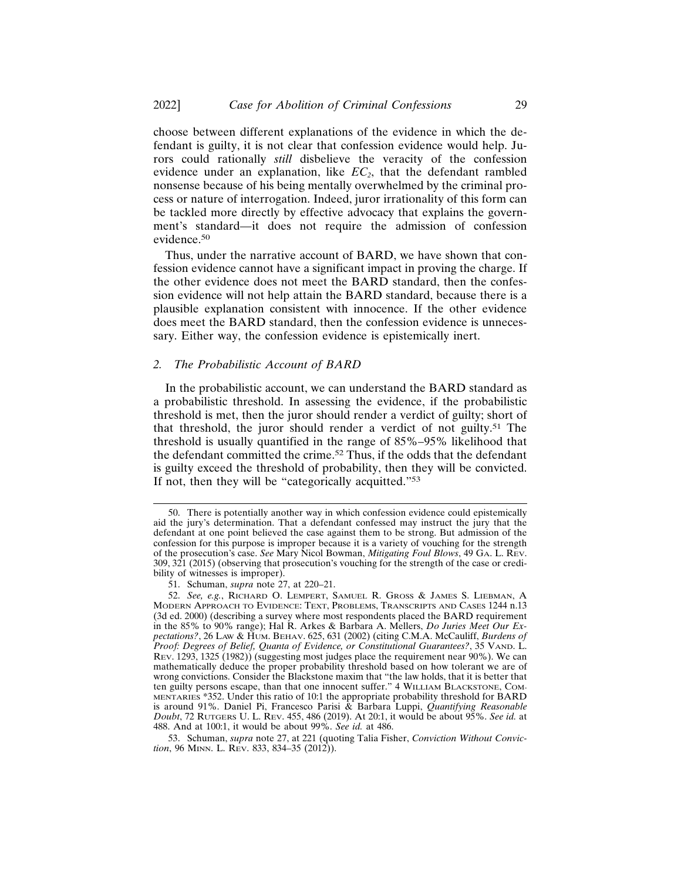choose between different explanations of the evidence in which the defendant is guilty, it is not clear that confession evidence would help. Jurors could rationally *still* disbelieve the veracity of the confession evidence under an explanation, like  $EC<sub>2</sub>$ , that the defendant rambled nonsense because of his being mentally overwhelmed by the criminal process or nature of interrogation. Indeed, juror irrationality of this form can be tackled more directly by effective advocacy that explains the government's standard—it does not require the admission of confession evidence.<sup>50</sup>

Thus, under the narrative account of BARD, we have shown that confession evidence cannot have a significant impact in proving the charge. If the other evidence does not meet the BARD standard, then the confession evidence will not help attain the BARD standard, because there is a plausible explanation consistent with innocence. If the other evidence does meet the BARD standard, then the confession evidence is unnecessary. Either way, the confession evidence is epistemically inert.

#### *2. The Probabilistic Account of BARD*

In the probabilistic account, we can understand the BARD standard as a probabilistic threshold. In assessing the evidence, if the probabilistic threshold is met, then the juror should render a verdict of guilty; short of that threshold, the juror should render a verdict of not guilty.51 The threshold is usually quantified in the range of 85%–95% likelihood that the defendant committed the crime.52 Thus, if the odds that the defendant is guilty exceed the threshold of probability, then they will be convicted. If not, then they will be "categorically acquitted."<sup>53</sup>

<sup>50.</sup> There is potentially another way in which confession evidence could epistemically aid the jury's determination. That a defendant confessed may instruct the jury that the defendant at one point believed the case against them to be strong. But admission of the confession for this purpose is improper because it is a variety of vouching for the strength of the prosecution's case. *See* Mary Nicol Bowman, *Mitigating Foul Blows*, 49 GA. L. REV. 309, 321 (2015) (observing that prosecution's vouching for the strength of the case or credibility of witnesses is improper).

<sup>51.</sup> Schuman, *supra* note 27, at 220–21.

<sup>52.</sup> *See, e.g.*, RICHARD O. LEMPERT, SAMUEL R. GROSS & JAMES S. LIEBMAN, A MODERN APPROACH TO EVIDENCE: TEXT, PROBLEMS, TRANSCRIPTS AND CASES 1244 n.13 (3d ed. 2000) (describing a survey where most respondents placed the BARD requirement in the 85% to 90% range); Hal R. Arkes & Barbara A. Mellers, *Do Juries Meet Our Expectations?*, 26 LAW & HUM. BEHAV. 625, 631 (2002) (citing C.M.A. McCauliff, *Burdens of Proof: Degrees of Belief, Quanta of Evidence, or Constitutional Guarantees?*, 35 VAND. L. REV. 1293, 1325 (1982)) (suggesting most judges place the requirement near 90%). We can mathematically deduce the proper probability threshold based on how tolerant we are of wrong convictions. Consider the Blackstone maxim that "the law holds, that it is better that ten guilty persons escape, than that one innocent suffer." 4 WILLIAM BLACKSTONE, COM-MENTARIES \*352. Under this ratio of 10:1 the appropriate probability threshold for BARD is around 91%. Daniel Pi, Francesco Parisi & Barbara Luppi, *Quantifying Reasonable Doubt*, 72 RUTGERS U. L. REV. 455, 486 (2019). At 20:1, it would be about 95%. *See id.* at 488. And at 100:1, it would be about 99%. *See id.* at 486.

<sup>53.</sup> Schuman, *supra* note 27, at 221 (quoting Talia Fisher, *Conviction Without Conviction*, 96 MINN. L. REV. 833, 834–35 (2012)).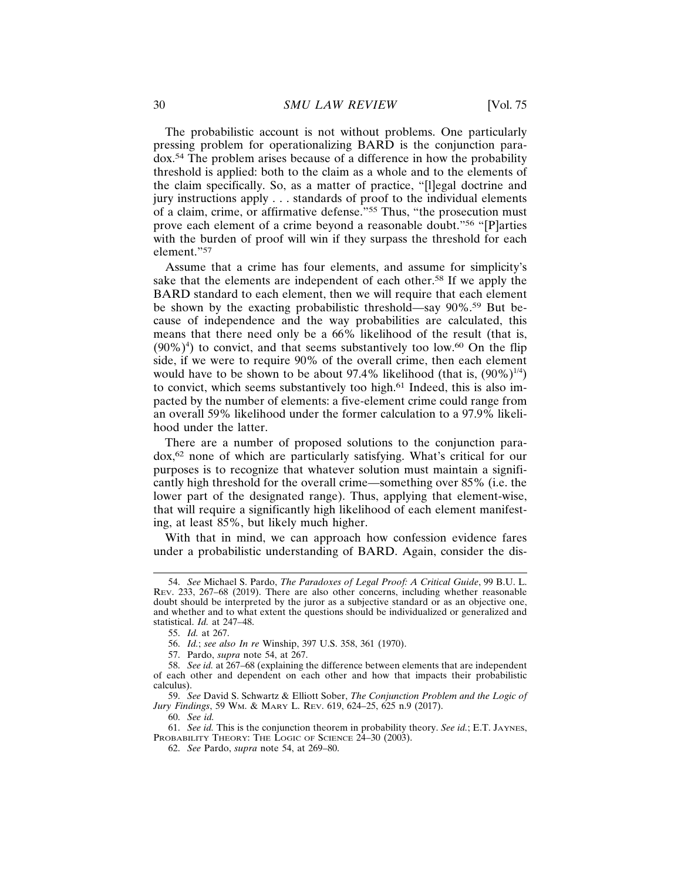The probabilistic account is not without problems. One particularly pressing problem for operationalizing BARD is the conjunction paradox.54 The problem arises because of a difference in how the probability threshold is applied: both to the claim as a whole and to the elements of the claim specifically. So, as a matter of practice, "[l]egal doctrine and jury instructions apply . . . standards of proof to the individual elements of a claim, crime, or affirmative defense."55 Thus, "the prosecution must prove each element of a crime beyond a reasonable doubt."56 "[P]arties with the burden of proof will win if they surpass the threshold for each element."<sup>57</sup>

Assume that a crime has four elements, and assume for simplicity's sake that the elements are independent of each other.58 If we apply the BARD standard to each element, then we will require that each element be shown by the exacting probabilistic threshold—say 90%.59 But because of independence and the way probabilities are calculated, this means that there need only be a 66% likelihood of the result (that is,  $(90\%)<sup>4</sup>$ ) to convict, and that seems substantively too low.<sup>60</sup> On the flip side, if we were to require 90% of the overall crime, then each element would have to be shown to be about 97.4% likelihood (that is,  $(90\%)^{1/4}$ ) to convict, which seems substantively too high.61 Indeed, this is also impacted by the number of elements: a five-element crime could range from an overall 59% likelihood under the former calculation to a 97.9% likelihood under the latter.

There are a number of proposed solutions to the conjunction paradox,62 none of which are particularly satisfying. What's critical for our purposes is to recognize that whatever solution must maintain a significantly high threshold for the overall crime—something over 85% (i.e. the lower part of the designated range). Thus, applying that element-wise, that will require a significantly high likelihood of each element manifesting, at least 85%, but likely much higher.

With that in mind, we can approach how confession evidence fares under a probabilistic understanding of BARD. Again, consider the dis-

<sup>54.</sup> *See* Michael S. Pardo, *The Paradoxes of Legal Proof: A Critical Guide*, 99 B.U. L. REV. 233, 267–68 (2019). There are also other concerns, including whether reasonable doubt should be interpreted by the juror as a subjective standard or as an objective one, and whether and to what extent the questions should be individualized or generalized and statistical. *Id.* at 247–48.

<sup>55.</sup> *Id.* at 267.

<sup>56.</sup> *Id.*; *see also In re* Winship, 397 U.S. 358, 361 (1970).

<sup>57.</sup> Pardo, *supra* note 54, at 267.

<sup>58.</sup> *See id.* at 267–68 (explaining the difference between elements that are independent of each other and dependent on each other and how that impacts their probabilistic calculus).

<sup>59.</sup> *See* David S. Schwartz & Elliott Sober, *The Conjunction Problem and the Logic of Jury Findings*, 59 WM. & MARY L. REV. 619, 624–25, 625 n.9 (2017).

<sup>60.</sup> *See id.*

<sup>61.</sup> *See id.* This is the conjunction theorem in probability theory. *See id.*; E.T. JAYNES, PROBABILITY THEORY: THE LOGIC OF SCIENCE 24-30 (2003).

<sup>62.</sup> *See* Pardo, *supra* note 54, at 269–80.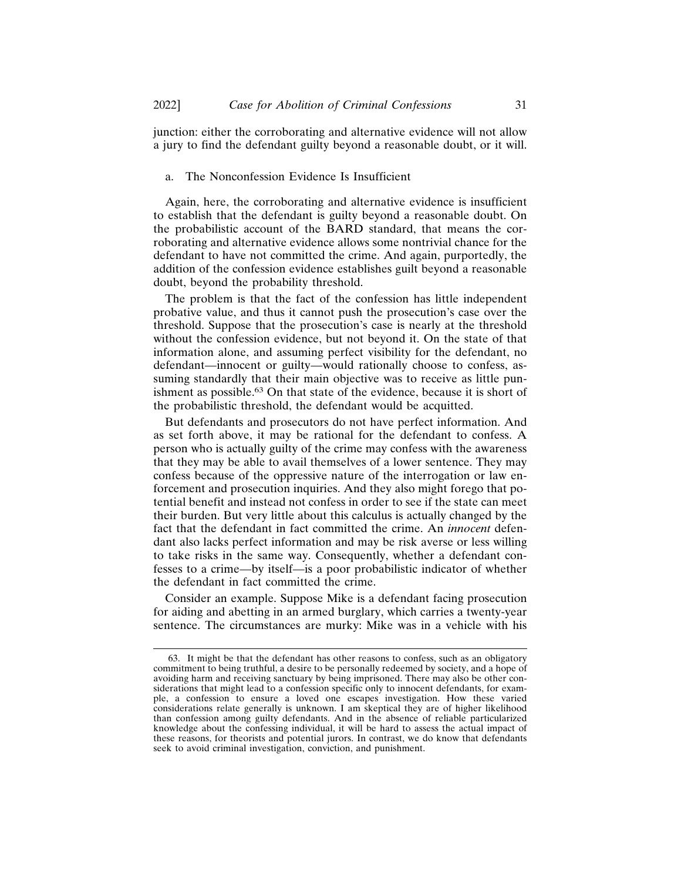junction: either the corroborating and alternative evidence will not allow a jury to find the defendant guilty beyond a reasonable doubt, or it will.

# a. The Nonconfession Evidence Is Insufficient

Again, here, the corroborating and alternative evidence is insufficient to establish that the defendant is guilty beyond a reasonable doubt. On the probabilistic account of the BARD standard, that means the corroborating and alternative evidence allows some nontrivial chance for the defendant to have not committed the crime. And again, purportedly, the addition of the confession evidence establishes guilt beyond a reasonable doubt, beyond the probability threshold.

The problem is that the fact of the confession has little independent probative value, and thus it cannot push the prosecution's case over the threshold. Suppose that the prosecution's case is nearly at the threshold without the confession evidence, but not beyond it. On the state of that information alone, and assuming perfect visibility for the defendant, no defendant—innocent or guilty—would rationally choose to confess, assuming standardly that their main objective was to receive as little punishment as possible.63 On that state of the evidence, because it is short of the probabilistic threshold, the defendant would be acquitted.

But defendants and prosecutors do not have perfect information. And as set forth above, it may be rational for the defendant to confess. A person who is actually guilty of the crime may confess with the awareness that they may be able to avail themselves of a lower sentence. They may confess because of the oppressive nature of the interrogation or law enforcement and prosecution inquiries. And they also might forego that potential benefit and instead not confess in order to see if the state can meet their burden. But very little about this calculus is actually changed by the fact that the defendant in fact committed the crime. An *innocent* defendant also lacks perfect information and may be risk averse or less willing to take risks in the same way. Consequently, whether a defendant confesses to a crime—by itself—is a poor probabilistic indicator of whether the defendant in fact committed the crime.

Consider an example. Suppose Mike is a defendant facing prosecution for aiding and abetting in an armed burglary, which carries a twenty-year sentence. The circumstances are murky: Mike was in a vehicle with his

<sup>63.</sup> It might be that the defendant has other reasons to confess, such as an obligatory commitment to being truthful, a desire to be personally redeemed by society, and a hope of avoiding harm and receiving sanctuary by being imprisoned. There may also be other considerations that might lead to a confession specific only to innocent defendants, for example, a confession to ensure a loved one escapes investigation. How these varied considerations relate generally is unknown. I am skeptical they are of higher likelihood than confession among guilty defendants. And in the absence of reliable particularized knowledge about the confessing individual, it will be hard to assess the actual impact of these reasons, for theorists and potential jurors. In contrast, we do know that defendants seek to avoid criminal investigation, conviction, and punishment.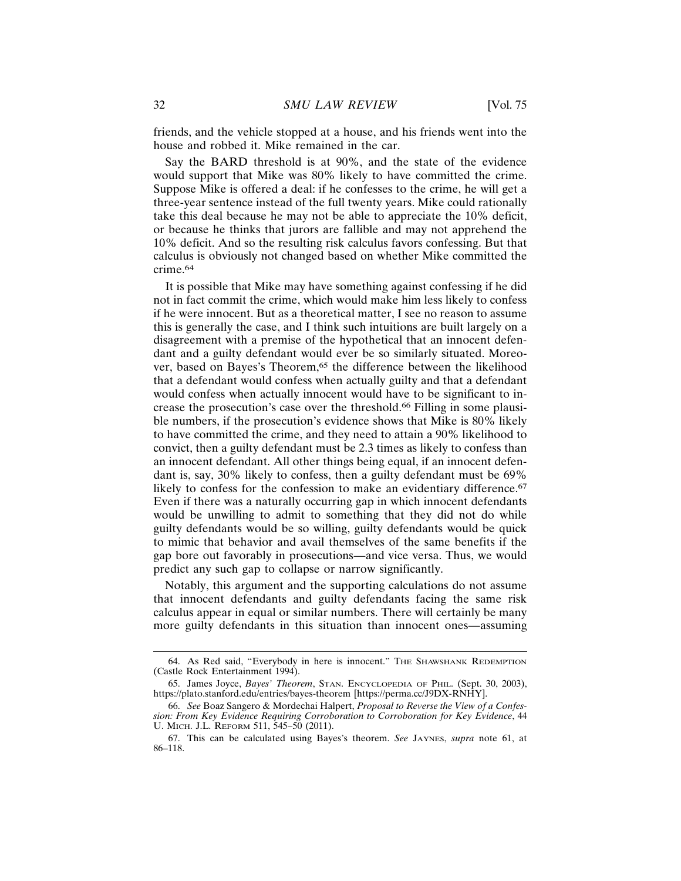friends, and the vehicle stopped at a house, and his friends went into the house and robbed it. Mike remained in the car.

Say the BARD threshold is at 90%, and the state of the evidence would support that Mike was 80% likely to have committed the crime. Suppose Mike is offered a deal: if he confesses to the crime, he will get a three-year sentence instead of the full twenty years. Mike could rationally take this deal because he may not be able to appreciate the 10% deficit, or because he thinks that jurors are fallible and may not apprehend the 10% deficit. And so the resulting risk calculus favors confessing. But that calculus is obviously not changed based on whether Mike committed the crime.64

It is possible that Mike may have something against confessing if he did not in fact commit the crime, which would make him less likely to confess if he were innocent. But as a theoretical matter, I see no reason to assume this is generally the case, and I think such intuitions are built largely on a disagreement with a premise of the hypothetical that an innocent defendant and a guilty defendant would ever be so similarly situated. Moreover, based on Bayes's Theorem,<sup>65</sup> the difference between the likelihood that a defendant would confess when actually guilty and that a defendant would confess when actually innocent would have to be significant to increase the prosecution's case over the threshold.66 Filling in some plausible numbers, if the prosecution's evidence shows that Mike is 80% likely to have committed the crime, and they need to attain a 90% likelihood to convict, then a guilty defendant must be 2.3 times as likely to confess than an innocent defendant. All other things being equal, if an innocent defendant is, say, 30% likely to confess, then a guilty defendant must be 69% likely to confess for the confession to make an evidentiary difference.<sup>67</sup> Even if there was a naturally occurring gap in which innocent defendants would be unwilling to admit to something that they did not do while guilty defendants would be so willing, guilty defendants would be quick to mimic that behavior and avail themselves of the same benefits if the gap bore out favorably in prosecutions—and vice versa. Thus, we would predict any such gap to collapse or narrow significantly.

Notably, this argument and the supporting calculations do not assume that innocent defendants and guilty defendants facing the same risk calculus appear in equal or similar numbers. There will certainly be many more guilty defendants in this situation than innocent ones—assuming

<sup>64.</sup> As Red said, "Everybody in here is innocent." THE SHAWSHANK REDEMPTION (Castle Rock Entertainment 1994).

<sup>65.</sup> James Joyce, *Bayes' Theorem*, STAN. ENCYCLOPEDIA OF PHIL. (Sept. 30, 2003), https://plato.stanford.edu/entries/bayes-theorem [https://perma.cc/J9DX-RNHY].

<sup>66.</sup> *See* Boaz Sangero & Mordechai Halpert, *Proposal to Reverse the View of a Confession: From Key Evidence Requiring Corroboration to Corroboration for Key Evidence*, 44 U. MICH. J.L. REFORM 511, 545–50 (2011).

<sup>67.</sup> This can be calculated using Bayes's theorem. *See* JAYNES, *supra* note 61, at 86–118.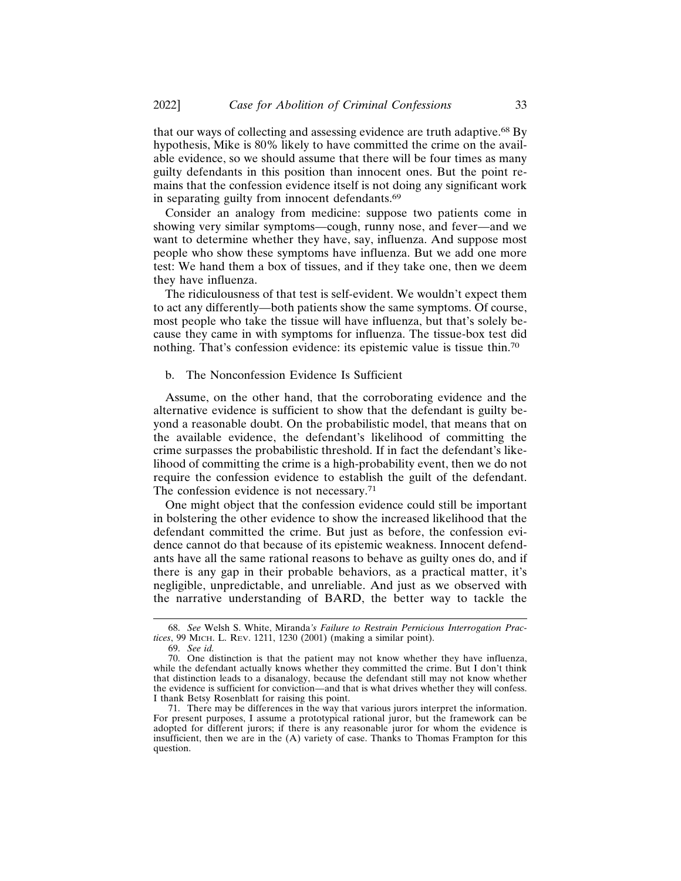that our ways of collecting and assessing evidence are truth adaptive.68 By hypothesis, Mike is 80% likely to have committed the crime on the available evidence, so we should assume that there will be four times as many guilty defendants in this position than innocent ones. But the point remains that the confession evidence itself is not doing any significant work in separating guilty from innocent defendants.<sup>69</sup>

Consider an analogy from medicine: suppose two patients come in showing very similar symptoms—cough, runny nose, and fever—and we want to determine whether they have, say, influenza. And suppose most people who show these symptoms have influenza. But we add one more test: We hand them a box of tissues, and if they take one, then we deem they have influenza.

The ridiculousness of that test is self-evident. We wouldn't expect them to act any differently—both patients show the same symptoms. Of course, most people who take the tissue will have influenza, but that's solely because they came in with symptoms for influenza. The tissue-box test did nothing. That's confession evidence: its epistemic value is tissue thin.<sup>70</sup>

# b. The Nonconfession Evidence Is Sufficient

Assume, on the other hand, that the corroborating evidence and the alternative evidence is sufficient to show that the defendant is guilty beyond a reasonable doubt. On the probabilistic model, that means that on the available evidence, the defendant's likelihood of committing the crime surpasses the probabilistic threshold. If in fact the defendant's likelihood of committing the crime is a high-probability event, then we do not require the confession evidence to establish the guilt of the defendant. The confession evidence is not necessary.<sup>71</sup>

One might object that the confession evidence could still be important in bolstering the other evidence to show the increased likelihood that the defendant committed the crime. But just as before, the confession evidence cannot do that because of its epistemic weakness. Innocent defendants have all the same rational reasons to behave as guilty ones do, and if there is any gap in their probable behaviors, as a practical matter, it's negligible, unpredictable, and unreliable. And just as we observed with the narrative understanding of BARD, the better way to tackle the

<sup>68.</sup> *See* Welsh S. White, Miranda*'s Failure to Restrain Pernicious Interrogation Practices*, 99 MICH. L. REV. 1211, 1230 (2001) (making a similar point).

<sup>69.</sup> *See id.*

<sup>70.</sup> One distinction is that the patient may not know whether they have influenza, while the defendant actually knows whether they committed the crime. But I don't think that distinction leads to a disanalogy, because the defendant still may not know whether the evidence is sufficient for conviction—and that is what drives whether they will confess. I thank Betsy Rosenblatt for raising this point.

<sup>71.</sup> There may be differences in the way that various jurors interpret the information. For present purposes, I assume a prototypical rational juror, but the framework can be adopted for different jurors; if there is any reasonable juror for whom the evidence is insufficient, then we are in the  $(A)$  variety of case. Thanks to Thomas Frampton for this question.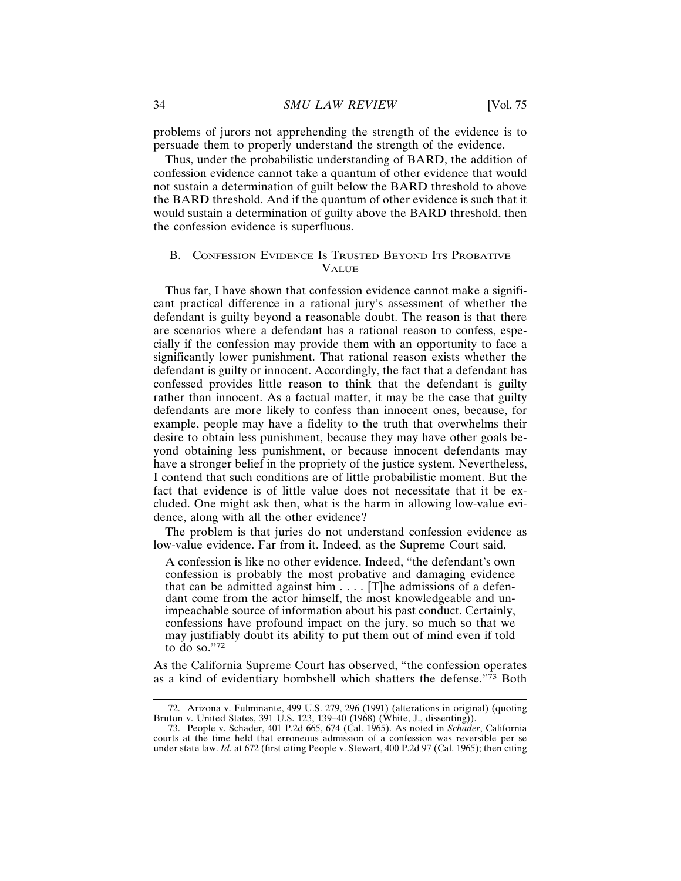problems of jurors not apprehending the strength of the evidence is to persuade them to properly understand the strength of the evidence.

Thus, under the probabilistic understanding of BARD, the addition of confession evidence cannot take a quantum of other evidence that would not sustain a determination of guilt below the BARD threshold to above the BARD threshold. And if the quantum of other evidence is such that it would sustain a determination of guilty above the BARD threshold, then the confession evidence is superfluous.

# B. CONFESSION EVIDENCE IS TRUSTED BEYOND ITS PROBATIVE **VALUE**

Thus far, I have shown that confession evidence cannot make a significant practical difference in a rational jury's assessment of whether the defendant is guilty beyond a reasonable doubt. The reason is that there are scenarios where a defendant has a rational reason to confess, especially if the confession may provide them with an opportunity to face a significantly lower punishment. That rational reason exists whether the defendant is guilty or innocent. Accordingly, the fact that a defendant has confessed provides little reason to think that the defendant is guilty rather than innocent. As a factual matter, it may be the case that guilty defendants are more likely to confess than innocent ones, because, for example, people may have a fidelity to the truth that overwhelms their desire to obtain less punishment, because they may have other goals beyond obtaining less punishment, or because innocent defendants may have a stronger belief in the propriety of the justice system. Nevertheless, I contend that such conditions are of little probabilistic moment. But the fact that evidence is of little value does not necessitate that it be excluded. One might ask then, what is the harm in allowing low-value evidence, along with all the other evidence?

The problem is that juries do not understand confession evidence as low-value evidence. Far from it. Indeed, as the Supreme Court said,

A confession is like no other evidence. Indeed, "the defendant's own confession is probably the most probative and damaging evidence that can be admitted against him  $\ldots$  [T]he admissions of a defendant come from the actor himself, the most knowledgeable and unimpeachable source of information about his past conduct. Certainly, confessions have profound impact on the jury, so much so that we may justifiably doubt its ability to put them out of mind even if told to do so."<sup>72</sup>

As the California Supreme Court has observed, "the confession operates as a kind of evidentiary bombshell which shatters the defense."73 Both

<sup>72.</sup> Arizona v. Fulminante, 499 U.S. 279, 296 (1991) (alterations in original) (quoting Bruton v. United States, 391 U.S. 123, 139–40 (1968) (White, J., dissenting)).

<sup>73.</sup> People v. Schader, 401 P.2d 665, 674 (Cal. 1965). As noted in *Schader*, California courts at the time held that erroneous admission of a confession was reversible per se under state law. *Id.* at 672 (first citing People v. Stewart, 400 P.2d 97 (Cal. 1965); then citing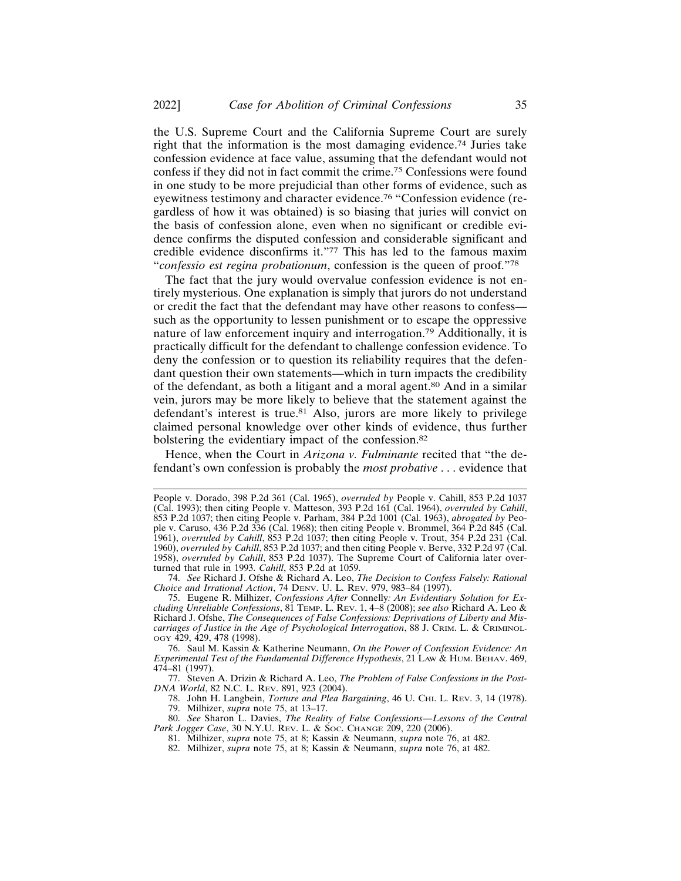the U.S. Supreme Court and the California Supreme Court are surely right that the information is the most damaging evidence.74 Juries take confession evidence at face value, assuming that the defendant would not confess if they did not in fact commit the crime.75 Confessions were found in one study to be more prejudicial than other forms of evidence, such as eyewitness testimony and character evidence.76 "Confession evidence (regardless of how it was obtained) is so biasing that juries will convict on the basis of confession alone, even when no significant or credible evidence confirms the disputed confession and considerable significant and credible evidence disconfirms it."77 This has led to the famous maxim "*confessio est regina probationum*, confession is the queen of proof."<sup>78</sup>

The fact that the jury would overvalue confession evidence is not entirely mysterious. One explanation is simply that jurors do not understand or credit the fact that the defendant may have other reasons to confess such as the opportunity to lessen punishment or to escape the oppressive nature of law enforcement inquiry and interrogation.79 Additionally, it is practically difficult for the defendant to challenge confession evidence. To deny the confession or to question its reliability requires that the defendant question their own statements—which in turn impacts the credibility of the defendant, as both a litigant and a moral agent.80 And in a similar vein, jurors may be more likely to believe that the statement against the defendant's interest is true.<sup>81</sup> Also, jurors are more likely to privilege claimed personal knowledge over other kinds of evidence, thus further bolstering the evidentiary impact of the confession.<sup>82</sup>

Hence, when the Court in *Arizona v. Fulminante* recited that "the defendant's own confession is probably the *most probative* . . . evidence that

People v. Dorado, 398 P.2d 361 (Cal. 1965), *overruled by* People v. Cahill, 853 P.2d 1037 (Cal. 1993); then citing People v. Matteson, 393 P.2d 161 (Cal. 1964), *overruled by Cahill*, 853 P.2d 1037; then citing People v. Parham, 384 P.2d 1001 (Cal. 1963), *abrogated by* People v. Caruso, 436 P.2d 336 (Cal. 1968); then citing People v. Brommel, 364 P.2d 845 (Cal. 1961), *overruled by Cahill*, 853 P.2d 1037; then citing People v. Trout, 354 P.2d 231 (Cal. 1960), *overruled by Cahill*, 853 P.2d 1037; and then citing People v. Berve, 332 P.2d 97 (Cal. 1958), *overruled by Cahill*, 853 P.2d 1037). The Supreme Court of California later overturned that rule in 1993. *Cahill*, 853 P.2d at 1059.

<sup>74.</sup> *See* Richard J. Ofshe & Richard A. Leo, *The Decision to Confess Falsely: Rational Choice and Irrational Action*, 74 DENV. U. L. REV. 979, 983–84 (1997).

<sup>75.</sup> Eugene R. Milhizer, *Confessions After* Connelly*: An Evidentiary Solution for Excluding Unreliable Confessions*, 81 TEMP. L. REV. 1, 4–8 (2008); *see also* Richard A. Leo & Richard J. Ofshe, *The Consequences of False Confessions: Deprivations of Liberty and Miscarriages of Justice in the Age of Psychological Interrogation*, 88 J. CRIM. L. & CRIMINOL-OGY 429, 429, 478 (1998).

<sup>76.</sup> Saul M. Kassin & Katherine Neumann, *On the Power of Confession Evidence: An Experimental Test of the Fundamental Difference Hypothesis*, 21 LAW & HUM. BEHAV. 469, 474–81 (1997).

<sup>77.</sup> Steven A. Drizin & Richard A. Leo, *The Problem of False Confessions in the Post-DNA World*, 82 N.C. L. REV. 891, 923 (2004).

<sup>78.</sup> John H. Langbein, *Torture and Plea Bargaining*, 46 U. CHI. L. REV. 3, 14 (1978). 79. Milhizer, *supra* note 75, at 13–17.

<sup>80.</sup> *See* Sharon L. Davies, *The Reality of False Confessions—Lessons of the Central Park Jogger Case*, 30 N.Y.U. REV. L. & SOC. CHANGE 209, 220 (2006).

<sup>81.</sup> Milhizer, *supra* note 75, at 8; Kassin & Neumann, *supra* note 76, at 482.

<sup>82.</sup> Milhizer, *supra* note 75, at 8; Kassin & Neumann, *supra* note 76, at 482.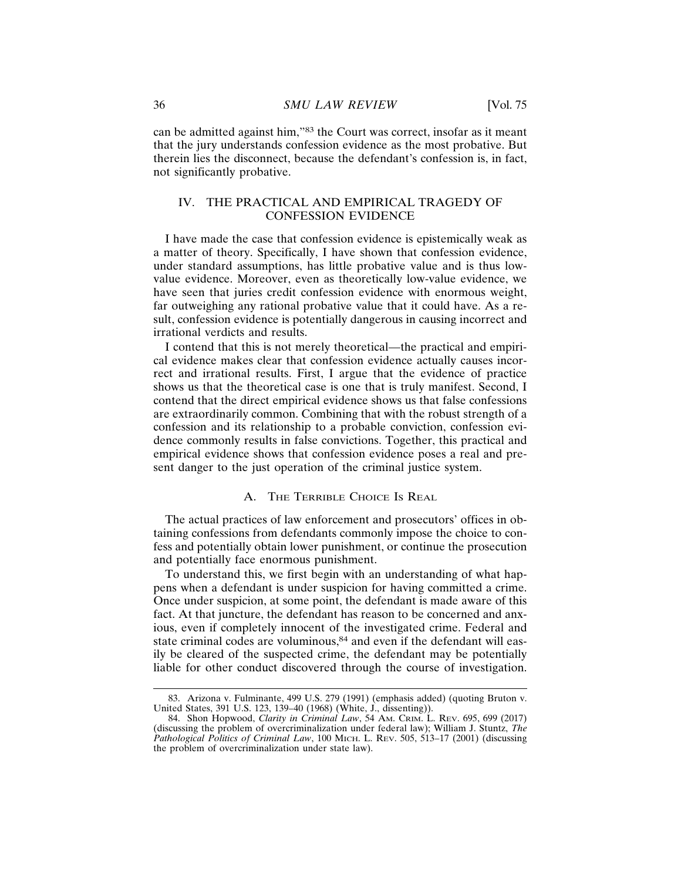can be admitted against him,"83 the Court was correct, insofar as it meant that the jury understands confession evidence as the most probative. But therein lies the disconnect, because the defendant's confession is, in fact, not significantly probative.

# IV. THE PRACTICAL AND EMPIRICAL TRAGEDY OF CONFESSION EVIDENCE

I have made the case that confession evidence is epistemically weak as a matter of theory. Specifically, I have shown that confession evidence, under standard assumptions, has little probative value and is thus lowvalue evidence. Moreover, even as theoretically low-value evidence, we have seen that juries credit confession evidence with enormous weight, far outweighing any rational probative value that it could have. As a result, confession evidence is potentially dangerous in causing incorrect and irrational verdicts and results.

I contend that this is not merely theoretical—the practical and empirical evidence makes clear that confession evidence actually causes incorrect and irrational results. First, I argue that the evidence of practice shows us that the theoretical case is one that is truly manifest. Second, I contend that the direct empirical evidence shows us that false confessions are extraordinarily common. Combining that with the robust strength of a confession and its relationship to a probable conviction, confession evidence commonly results in false convictions. Together, this practical and empirical evidence shows that confession evidence poses a real and present danger to the just operation of the criminal justice system.

# A. THE TERRIBLE CHOICE IS REAL

The actual practices of law enforcement and prosecutors' offices in obtaining confessions from defendants commonly impose the choice to confess and potentially obtain lower punishment, or continue the prosecution and potentially face enormous punishment.

To understand this, we first begin with an understanding of what happens when a defendant is under suspicion for having committed a crime. Once under suspicion, at some point, the defendant is made aware of this fact. At that juncture, the defendant has reason to be concerned and anxious, even if completely innocent of the investigated crime. Federal and state criminal codes are voluminous,<sup>84</sup> and even if the defendant will easily be cleared of the suspected crime, the defendant may be potentially liable for other conduct discovered through the course of investigation.

<sup>83.</sup> Arizona v. Fulminante, 499 U.S. 279 (1991) (emphasis added) (quoting Bruton v. United States, 391 U.S. 123, 139–40 (1968) (White, J., dissenting)).

<sup>84.</sup> Shon Hopwood, *Clarity in Criminal Law*, 54 AM. CRIM. L. REV. 695, 699 (2017) (discussing the problem of overcriminalization under federal law); William J. Stuntz, *The Pathological Politics of Criminal Law*, 100 MICH. L. REV. 505, 513–17 (2001) (discussing the problem of overcriminalization under state law).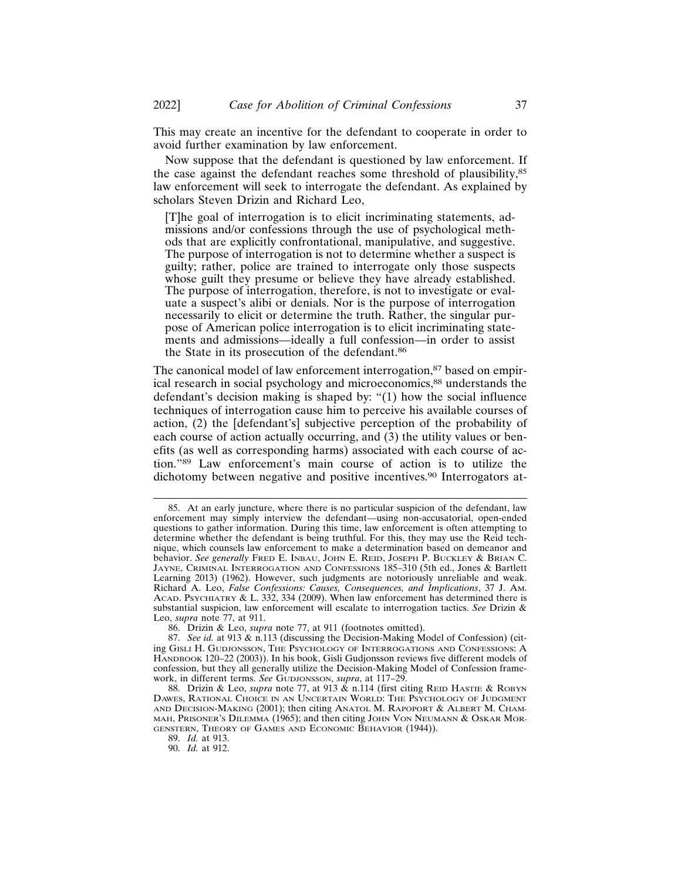This may create an incentive for the defendant to cooperate in order to avoid further examination by law enforcement.

Now suppose that the defendant is questioned by law enforcement. If the case against the defendant reaches some threshold of plausibility,<sup>85</sup> law enforcement will seek to interrogate the defendant. As explained by scholars Steven Drizin and Richard Leo,

[T]he goal of interrogation is to elicit incriminating statements, admissions and/or confessions through the use of psychological methods that are explicitly confrontational, manipulative, and suggestive. The purpose of interrogation is not to determine whether a suspect is guilty; rather, police are trained to interrogate only those suspects whose guilt they presume or believe they have already established. The purpose of interrogation, therefore, is not to investigate or evaluate a suspect's alibi or denials. Nor is the purpose of interrogation necessarily to elicit or determine the truth. Rather, the singular purpose of American police interrogation is to elicit incriminating statements and admissions—ideally a full confession—in order to assist the State in its prosecution of the defendant.<sup>86</sup>

The canonical model of law enforcement interrogation,<sup>87</sup> based on empirical research in social psychology and microeconomics,<sup>88</sup> understands the defendant's decision making is shaped by: "(1) how the social influence techniques of interrogation cause him to perceive his available courses of action, (2) the [defendant's] subjective perception of the probability of each course of action actually occurring, and (3) the utility values or benefits (as well as corresponding harms) associated with each course of action."89 Law enforcement's main course of action is to utilize the dichotomy between negative and positive incentives.<sup>90</sup> Interrogators at-

<sup>85.</sup> At an early juncture, where there is no particular suspicion of the defendant, law enforcement may simply interview the defendant—using non-accusatorial, open-ended questions to gather information. During this time, law enforcement is often attempting to determine whether the defendant is being truthful. For this, they may use the Reid technique, which counsels law enforcement to make a determination based on demeanor and behavior. *See generally* FRED E. INBAU, JOHN E. REID, JOSEPH P. BUCKLEY & BRIAN C. JAYNE, CRIMINAL INTERROGATION AND CONFESSIONS 185–310 (5th ed., Jones & Bartlett Learning 2013) (1962). However, such judgments are notoriously unreliable and weak. Richard A. Leo, *False Confessions: Causes, Consequences, and Implications*, 37 J. AM. ACAD. PSYCHIATRY & L. 332, 334 (2009). When law enforcement has determined there is substantial suspicion, law enforcement will escalate to interrogation tactics. *See* Drizin & Leo, *supra* note 77, at 911.

<sup>86.</sup> Drizin & Leo, *supra* note 77, at 911 (footnotes omitted).

<sup>87.</sup> *See id.* at 913 & n.113 (discussing the Decision-Making Model of Confession) (citing GISLI H. GUDJONSSON, THE PSYCHOLOGY OF INTERROGATIONS AND CONFESSIONS: A HANDBOOK 120–22 (2003)). In his book, Gisli Gudjonsson reviews five different models of confession, but they all generally utilize the Decision-Making Model of Confession framework, in different terms. *See* GUDJONSSON, *supra*, at 117–29.

<sup>88.</sup> Drizin & Leo, *supra* note 77, at 913 & n.114 (first citing REID HASTIE & ROBYN DAWES, RATIONAL CHOICE IN AN UNCERTAIN WORLD: THE PSYCHOLOGY OF JUDGMENT AND DECISION-MAKING (2001); then citing ANATOL M. RAPOPORT & ALBERT M. CHAM-MAH, PRISONER'S DILEMMA (1965); and then citing JOHN VON NEUMANN & OSKAR MOR-GENSTERN, THEORY OF GAMES AND ECONOMIC BEHAVIOR (1944)).

<sup>89.</sup> *Id.* at 913.

<sup>90.</sup> *Id.* at 912.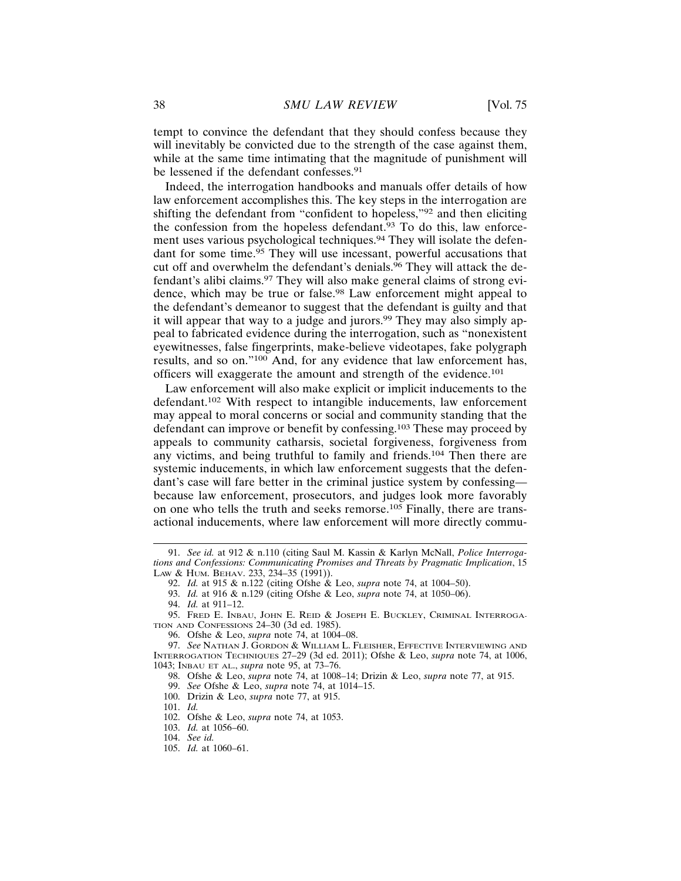tempt to convince the defendant that they should confess because they will inevitably be convicted due to the strength of the case against them, while at the same time intimating that the magnitude of punishment will be lessened if the defendant confesses.<sup>91</sup>

Indeed, the interrogation handbooks and manuals offer details of how law enforcement accomplishes this. The key steps in the interrogation are shifting the defendant from "confident to hopeless,"92 and then eliciting the confession from the hopeless defendant. $93$  To do this, law enforcement uses various psychological techniques.94 They will isolate the defendant for some time.95 They will use incessant, powerful accusations that cut off and overwhelm the defendant's denials.<sup>96</sup> They will attack the defendant's alibi claims.97 They will also make general claims of strong evidence, which may be true or false.<sup>98</sup> Law enforcement might appeal to the defendant's demeanor to suggest that the defendant is guilty and that it will appear that way to a judge and jurors.<sup>99</sup> They may also simply appeal to fabricated evidence during the interrogation, such as "nonexistent eyewitnesses, false fingerprints, make-believe videotapes, fake polygraph results, and so on."100 And, for any evidence that law enforcement has, officers will exaggerate the amount and strength of the evidence.<sup>101</sup>

Law enforcement will also make explicit or implicit inducements to the defendant.102 With respect to intangible inducements, law enforcement may appeal to moral concerns or social and community standing that the defendant can improve or benefit by confessing.103 These may proceed by appeals to community catharsis, societal forgiveness, forgiveness from any victims, and being truthful to family and friends.104 Then there are systemic inducements, in which law enforcement suggests that the defendant's case will fare better in the criminal justice system by confessing because law enforcement, prosecutors, and judges look more favorably on one who tells the truth and seeks remorse.105 Finally, there are transactional inducements, where law enforcement will more directly commu-

<sup>91.</sup> *See id.* at 912 & n.110 (citing Saul M. Kassin & Karlyn McNall, *Police Interrogations and Confessions: Communicating Promises and Threats by Pragmatic Implication*, 15 LAW & HUM. BEHAV. 233, 234–35 (1991)).

<sup>92.</sup> *Id.* at 915 & n.122 (citing Ofshe & Leo, *supra* note 74, at 1004–50).

<sup>93.</sup> *Id.* at 916 & n.129 (citing Ofshe & Leo, *supra* note 74, at 1050–06).

<sup>94.</sup> *Id.* at 911–12.

<sup>95.</sup> FRED E. INBAU, JOHN E. REID & JOSEPH E. BUCKLEY, CRIMINAL INTERROGA-TION AND CONFESSIONS 24–30 (3d ed. 1985).

<sup>96.</sup> Ofshe & Leo, *supra* note 74, at 1004–08.

<sup>97.</sup> *See* NATHAN J. GORDON & WILLIAM L. FLEISHER, EFFECTIVE INTERVIEWING AND INTERROGATION TECHNIQUES 27–29 (3d ed. 2011); Ofshe & Leo, *supra* note 74, at 1006, 1043; INBAU ET AL., *supra* note 95, at 73–76.

<sup>98.</sup> Ofshe & Leo, *supra* note 74, at 1008–14; Drizin & Leo, *supra* note 77, at 915.

<sup>99.</sup> *See* Ofshe & Leo, *supra* note 74, at 1014–15.

<sup>100.</sup> Drizin & Leo, *supra* note 77, at 915.

<sup>101.</sup> *Id.*

<sup>102.</sup> Ofshe & Leo, *supra* note 74, at 1053.

<sup>103.</sup> *Id.* at 1056–60.

<sup>104.</sup> *See id.*

<sup>105.</sup> *Id.* at 1060–61.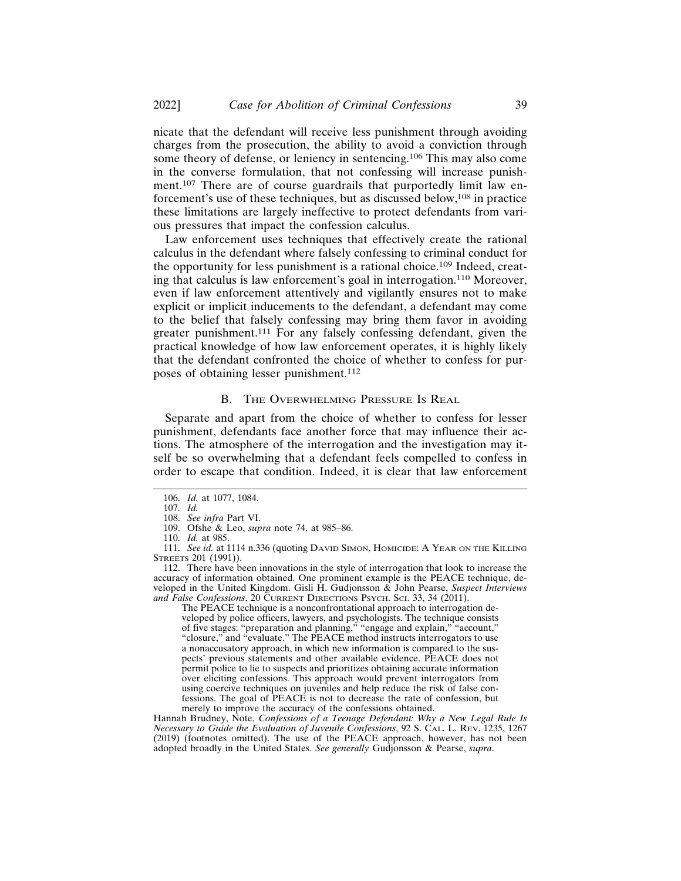nicate that the defendant will receive less punishment through avoiding charges from the prosecution, the ability to avoid a conviction through some theory of defense, or leniency in sentencing.106 This may also come in the converse formulation, that not confessing will increase punishment.<sup>107</sup> There are of course guardrails that purportedly limit law enforcement's use of these techniques, but as discussed below,<sup>108</sup> in practice these limitations are largely ineffective to protect defendants from various pressures that impact the confession calculus.

Law enforcement uses techniques that effectively create the rational calculus in the defendant where falsely confessing to criminal conduct for the opportunity for less punishment is a rational choice.109 Indeed, creating that calculus is law enforcement's goal in interrogation.110 Moreover, even if law enforcement attentively and vigilantly ensures not to make explicit or implicit inducements to the defendant, a defendant may come to the belief that falsely confessing may bring them favor in avoiding greater punishment.111 For any falsely confessing defendant, given the practical knowledge of how law enforcement operates, it is highly likely that the defendant confronted the choice of whether to confess for purposes of obtaining lesser punishment.<sup>112</sup>

#### B. THE OVERWHELMING PRESSURE IS REAL

Separate and apart from the choice of whether to confess for lesser punishment, defendants face another force that may influence their actions. The atmosphere of the interrogation and the investigation may itself be so overwhelming that a defendant feels compelled to confess in order to escape that condition. Indeed, it is clear that law enforcement

The PEACE technique is a nonconfrontational approach to interrogation developed by police officers, lawyers, and psychologists. The technique consists of five stages: "preparation and planning," "engage and explain," "account," "closure," and "evaluate." The PEACE method instructs interrogators to use a nonaccusatory approach, in which new information is compared to the suspects' previous statements and other available evidence. PEACE does not permit police to lie to suspects and prioritizes obtaining accurate information over eliciting confessions. This approach would prevent interrogators from using coercive techniques on juveniles and help reduce the risk of false confessions. The goal of PEACE is not to decrease the rate of confession, but merely to improve the accuracy of the confessions obtained.

Hannah Brudney, Note, *Confessions of a Teenage Defendant: Why a New Legal Rule Is Necessary to Guide the Evaluation of Juvenile Confessions*, 92 S. CAL. L. REV. 1235, 1267 (2019) (footnotes omitted). The use of the PEACE approach, however, has not been adopted broadly in the United States. *See generally* Gudjonsson & Pearse, *supra*.

<sup>106.</sup> *Id.* at 1077, 1084.

<sup>107.</sup> *Id.*

<sup>108.</sup> *See infra* Part VI. 109. Ofshe & Leo, *supra* note 74, at 985–86.

<sup>110.</sup> *Id.* at 985.

<sup>111.</sup> *See id.* at 1114 n.336 (quoting DAVID SIMON, HOMICIDE: A YEAR ON THE KILLING STREETS 201 (1991)).

<sup>112.</sup> There have been innovations in the style of interrogation that look to increase the accuracy of information obtained. One prominent example is the PEACE technique, developed in the United Kingdom. Gisli H. Gudjonsson & John Pearse, *Suspect Interviews and False Confessions*, 20 CURRENT DIRECTIONS PSYCH. SCI. 33, 34 (2011).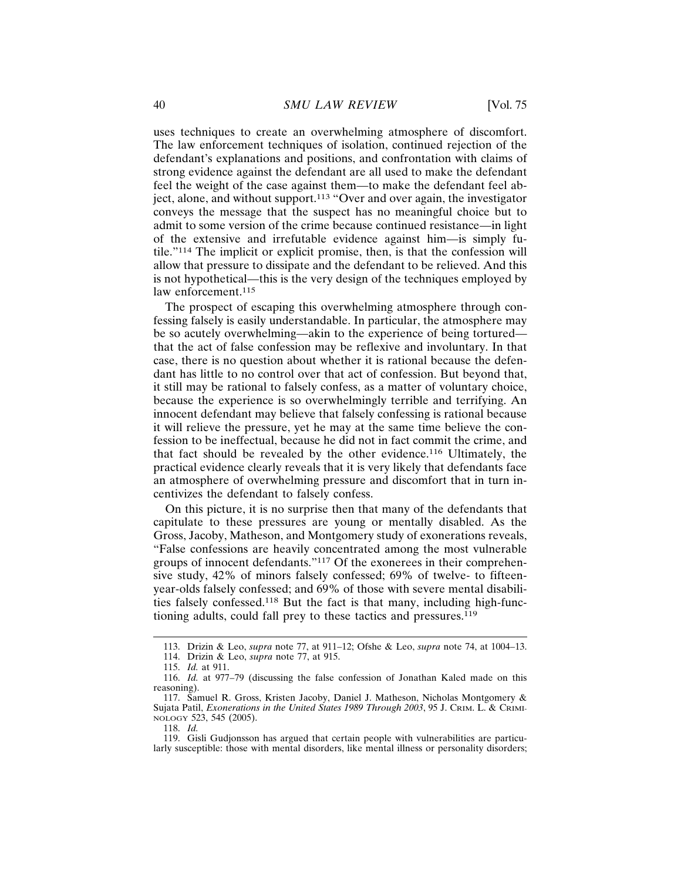uses techniques to create an overwhelming atmosphere of discomfort. The law enforcement techniques of isolation, continued rejection of the defendant's explanations and positions, and confrontation with claims of strong evidence against the defendant are all used to make the defendant feel the weight of the case against them—to make the defendant feel abject, alone, and without support.113 "Over and over again, the investigator conveys the message that the suspect has no meaningful choice but to admit to some version of the crime because continued resistance—in light of the extensive and irrefutable evidence against him—is simply futile."114 The implicit or explicit promise, then, is that the confession will allow that pressure to dissipate and the defendant to be relieved. And this is not hypothetical—this is the very design of the techniques employed by law enforcement.<sup>115</sup>

The prospect of escaping this overwhelming atmosphere through confessing falsely is easily understandable. In particular, the atmosphere may be so acutely overwhelming—akin to the experience of being tortured that the act of false confession may be reflexive and involuntary. In that case, there is no question about whether it is rational because the defendant has little to no control over that act of confession. But beyond that, it still may be rational to falsely confess, as a matter of voluntary choice, because the experience is so overwhelmingly terrible and terrifying. An innocent defendant may believe that falsely confessing is rational because it will relieve the pressure, yet he may at the same time believe the confession to be ineffectual, because he did not in fact commit the crime, and that fact should be revealed by the other evidence.116 Ultimately, the practical evidence clearly reveals that it is very likely that defendants face an atmosphere of overwhelming pressure and discomfort that in turn incentivizes the defendant to falsely confess.

On this picture, it is no surprise then that many of the defendants that capitulate to these pressures are young or mentally disabled. As the Gross, Jacoby, Matheson, and Montgomery study of exonerations reveals, "False confessions are heavily concentrated among the most vulnerable groups of innocent defendants."117 Of the exonerees in their comprehensive study, 42% of minors falsely confessed; 69% of twelve- to fifteenyear-olds falsely confessed; and 69% of those with severe mental disabilities falsely confessed.118 But the fact is that many, including high-functioning adults, could fall prey to these tactics and pressures.<sup>119</sup>

<sup>113.</sup> Drizin & Leo, *supra* note 77, at 911–12; Ofshe & Leo, *supra* note 74, at 1004–13.

<sup>114.</sup> Drizin & Leo, *supra* note 77, at 915.

<sup>115.</sup> *Id.* at 911.

<sup>116.</sup> *Id.* at 977–79 (discussing the false confession of Jonathan Kaled made on this reasoning).

<sup>117.</sup> Samuel R. Gross, Kristen Jacoby, Daniel J. Matheson, Nicholas Montgomery & Sujata Patil, *Exonerations in the United States 1989 Through 2003*, 95 J. CRIM. L. & CRIMI-NOLOGY 523, 545 (2005).

<sup>118.</sup> *Id.*

<sup>119.</sup> Gisli Gudjonsson has argued that certain people with vulnerabilities are particularly susceptible: those with mental disorders, like mental illness or personality disorders;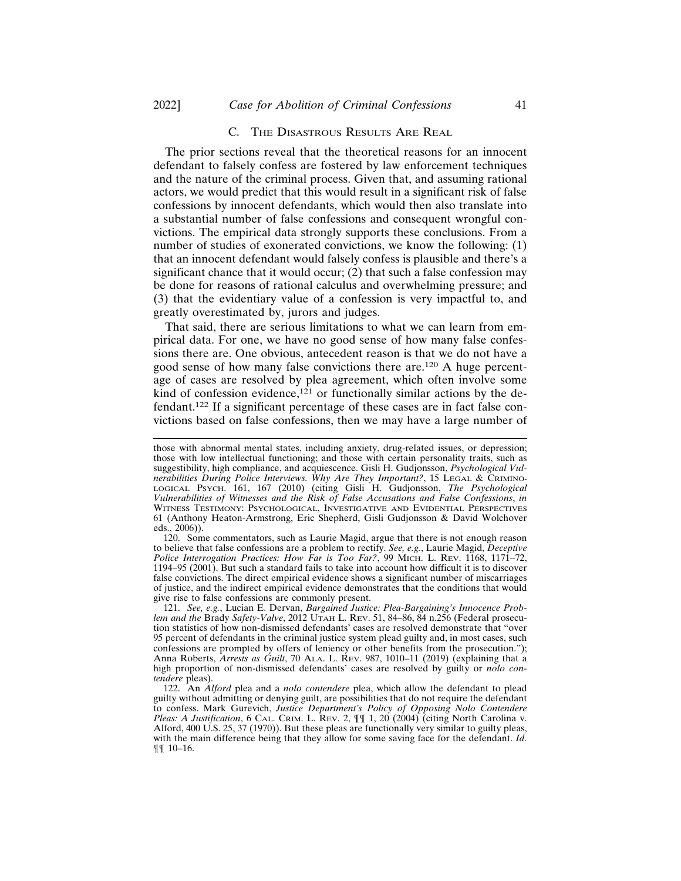#### C. THE DISASTROUS RESULTS ARE REAL

The prior sections reveal that the theoretical reasons for an innocent defendant to falsely confess are fostered by law enforcement techniques and the nature of the criminal process. Given that, and assuming rational actors, we would predict that this would result in a significant risk of false confessions by innocent defendants, which would then also translate into a substantial number of false confessions and consequent wrongful convictions. The empirical data strongly supports these conclusions. From a number of studies of exonerated convictions, we know the following: (1) that an innocent defendant would falsely confess is plausible and there's a significant chance that it would occur; (2) that such a false confession may be done for reasons of rational calculus and overwhelming pressure; and (3) that the evidentiary value of a confession is very impactful to, and greatly overestimated by, jurors and judges.

That said, there are serious limitations to what we can learn from empirical data. For one, we have no good sense of how many false confessions there are. One obvious, antecedent reason is that we do not have a good sense of how many false convictions there are.120 A huge percentage of cases are resolved by plea agreement, which often involve some kind of confession evidence,<sup>121</sup> or functionally similar actions by the defendant.122 If a significant percentage of these cases are in fact false convictions based on false confessions, then we may have a large number of

120. Some commentators, such as Laurie Magid, argue that there is not enough reason to believe that false confessions are a problem to rectify. *See, e.g.*, Laurie Magid, *Deceptive* Police Interrogation Practices: How Far is Too Far?, 99 MICH. L. REV. 1168, 1171-72, 1194–95 (2001). But such a standard fails to take into account how difficult it is to discover false convictions. The direct empirical evidence shows a significant number of miscarriages of justice, and the indirect empirical evidence demonstrates that the conditions that would give rise to false confessions are commonly present.

121. *See, e.g.*, Lucian E. Dervan, *Bargained Justice: Plea-Bargaining's Innocence Problem and the* Brady *Safety-Valve*, 2012 UTAH L. REV. 51, 84–86, 84 n.256 (Federal prosecution statistics of how non-dismissed defendants' cases are resolved demonstrate that "over 95 percent of defendants in the criminal justice system plead guilty and, in most cases, such confessions are prompted by offers of leniency or other benefits from the prosecution."); Anna Roberts, *Arrests as Guilt*, 70 ALA. L. REV. 987, 1010–11 (2019) (explaining that a high proportion of non-dismissed defendants' cases are resolved by guilty or *nolo contendere* pleas).

those with abnormal mental states, including anxiety, drug-related issues, or depression; those with low intellectual functioning; and those with certain personality traits, such as suggestibility, high compliance, and acquiescence. Gisli H. Gudjonsson, *Psychological Vulnerabilities During Police Interviews. Why Are They Important?*, 15 LEGAL & CRIMINO-LOGICAL PSYCH. 161, 167 (2010) (citing Gisli H. Gudjonsson, *The Psychological Vulnerabilities of Witnesses and the Risk of False Accusations and False Confessions*, *in* WITNESS TESTIMONY: PSYCHOLOGICAL, INVESTIGATIVE AND EVIDENTIAL PERSPECTIVES 61 (Anthony Heaton-Armstrong, Eric Shepherd, Gisli Gudjonsson & David Wolchover eds., 2006)).

<sup>122.</sup> An *Alford* plea and a *nolo contendere* plea, which allow the defendant to plead guilty without admitting or denying guilt, are possibilities that do not require the defendant to confess. Mark Gurevich, *Justice Department's Policy of Opposing Nolo Contendere Pleas: A Justification*, 6 CAL. CRIM. L. REV. 2, ¶¶ 1, 20 (2004) (citing North Carolina v. Alford, 400 U.S. 25, 37 (1970)). But these pleas are functionally very similar to guilty pleas, with the main difference being that they allow for some saving face for the defendant. *Id.* ¶¶ 10–16.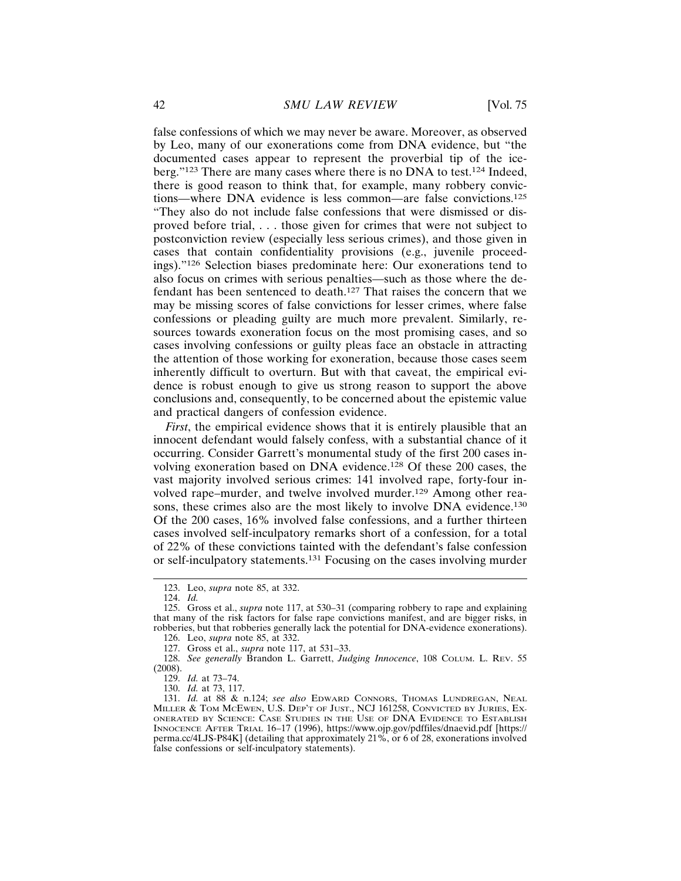false confessions of which we may never be aware. Moreover, as observed by Leo, many of our exonerations come from DNA evidence, but "the documented cases appear to represent the proverbial tip of the iceberg."123 There are many cases where there is no DNA to test.124 Indeed, there is good reason to think that, for example, many robbery convictions—where DNA evidence is less common—are false convictions.<sup>125</sup> "They also do not include false confessions that were dismissed or disproved before trial, . . . those given for crimes that were not subject to postconviction review (especially less serious crimes), and those given in cases that contain confidentiality provisions (e.g., juvenile proceedings)."126 Selection biases predominate here: Our exonerations tend to also focus on crimes with serious penalties—such as those where the defendant has been sentenced to death.127 That raises the concern that we may be missing scores of false convictions for lesser crimes, where false confessions or pleading guilty are much more prevalent. Similarly, resources towards exoneration focus on the most promising cases, and so cases involving confessions or guilty pleas face an obstacle in attracting the attention of those working for exoneration, because those cases seem inherently difficult to overturn. But with that caveat, the empirical evidence is robust enough to give us strong reason to support the above conclusions and, consequently, to be concerned about the epistemic value and practical dangers of confession evidence.

*First*, the empirical evidence shows that it is entirely plausible that an innocent defendant would falsely confess, with a substantial chance of it occurring. Consider Garrett's monumental study of the first 200 cases involving exoneration based on DNA evidence.<sup>128</sup> Of these 200 cases, the vast majority involved serious crimes: 141 involved rape, forty-four involved rape–murder, and twelve involved murder.129 Among other reasons, these crimes also are the most likely to involve DNA evidence.<sup>130</sup> Of the 200 cases, 16% involved false confessions, and a further thirteen cases involved self-inculpatory remarks short of a confession, for a total of 22% of these convictions tainted with the defendant's false confession or self-inculpatory statements.131 Focusing on the cases involving murder

128. *See generally* Brandon L. Garrett, *Judging Innocence*, 108 COLUM. L. REV. 55 (2008).

129. *Id.* at 73–74.

<sup>123.</sup> Leo, *supra* note 85, at 332.

<sup>124.</sup> *Id.*

<sup>125.</sup> Gross et al., *supra* note 117, at 530–31 (comparing robbery to rape and explaining that many of the risk factors for false rape convictions manifest, and are bigger risks, in robberies, but that robberies generally lack the potential for DNA-evidence exonerations).

<sup>126.</sup> Leo, *supra* note 85, at 332.

<sup>127.</sup> Gross et al., *supra* note 117, at 531–33.

<sup>130.</sup> *Id.* at 73, 117.

<sup>131.</sup> *Id.* at 88 & n.124; *see also* EDWARD CONNORS, THOMAS LUNDREGAN, NEAL MILLER & TOM MCEWEN, U.S. DEP'T OF JUST., NCJ 161258, CONVICTED BY JURIES, EX-ONERATED BY SCIENCE: CASE STUDIES IN THE USE OF DNA EVIDENCE TO ESTABLISH INNOCENCE AFTER TRIAL 16–17 (1996), https://www.ojp.gov/pdffiles/dnaevid.pdf [https:// perma.cc/4LJS-P84K] (detailing that approximately 21%, or 6 of 28, exonerations involved false confessions or self-inculpatory statements).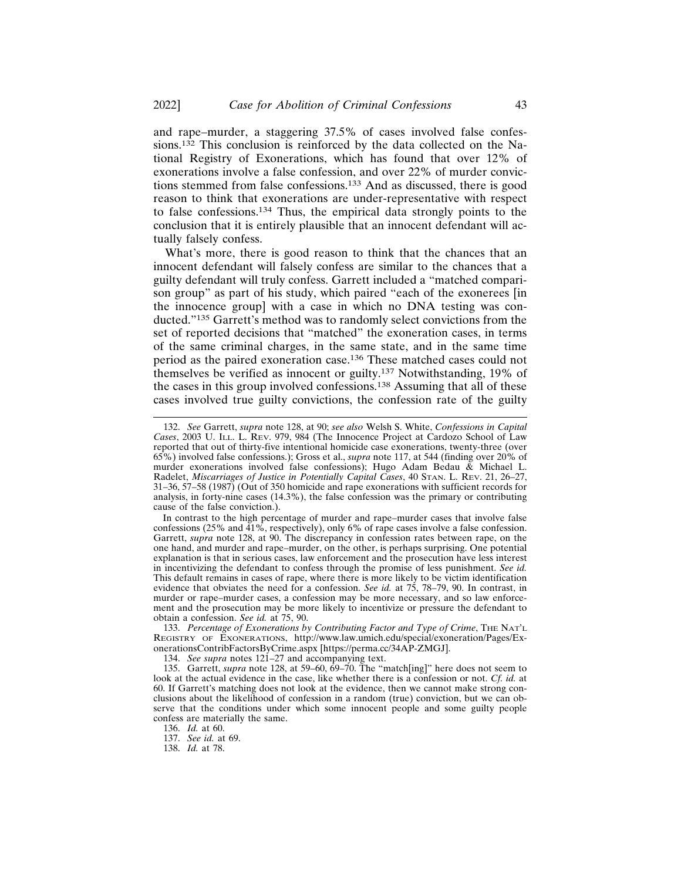and rape–murder, a staggering 37.5% of cases involved false confessions.132 This conclusion is reinforced by the data collected on the National Registry of Exonerations, which has found that over 12% of exonerations involve a false confession, and over 22% of murder convictions stemmed from false confessions.133 And as discussed, there is good reason to think that exonerations are under-representative with respect to false confessions.134 Thus, the empirical data strongly points to the conclusion that it is entirely plausible that an innocent defendant will actually falsely confess.

What's more, there is good reason to think that the chances that an innocent defendant will falsely confess are similar to the chances that a guilty defendant will truly confess. Garrett included a "matched comparison group" as part of his study, which paired "each of the exonerees [in the innocence group] with a case in which no DNA testing was conducted."135 Garrett's method was to randomly select convictions from the set of reported decisions that "matched" the exoneration cases, in terms of the same criminal charges, in the same state, and in the same time period as the paired exoneration case.136 These matched cases could not themselves be verified as innocent or guilty.137 Notwithstanding, 19% of the cases in this group involved confessions.138 Assuming that all of these cases involved true guilty convictions, the confession rate of the guilty

In contrast to the high percentage of murder and rape–murder cases that involve false confessions ( $25\%$  and  $\overline{41\%}$ , respectively), only 6% of rape cases involve a false confession. Garrett, *supra* note 128, at 90. The discrepancy in confession rates between rape, on the one hand, and murder and rape–murder, on the other, is perhaps surprising. One potential explanation is that in serious cases, law enforcement and the prosecution have less interest in incentivizing the defendant to confess through the promise of less punishment. *See id.* This default remains in cases of rape, where there is more likely to be victim identification evidence that obviates the need for a confession. *See id.* at 75, 78–79, 90. In contrast, in murder or rape–murder cases, a confession may be more necessary, and so law enforcement and the prosecution may be more likely to incentivize or pressure the defendant to obtain a confession. *See id.* at 75, 90.

133. *Percentage of Exonerations by Contributing Factor and Type of Crime*, THE NAT'L REGISTRY OF EXONERATIONS, http://www.law.umich.edu/special/exoneration/Pages/ExonerationsContribFactorsByCrime.aspx [https://perma.cc/34AP-ZMGJ].

134. *See supra* notes 121–27 and accompanying text.

135. Garrett, *supra* note 128, at 59–60, 69–70. The "match[ing]" here does not seem to look at the actual evidence in the case, like whether there is a confession or not. *Cf. id.* at 60. If Garrett's matching does not look at the evidence, then we cannot make strong conclusions about the likelihood of confession in a random (true) conviction, but we can observe that the conditions under which some innocent people and some guilty people confess are materially the same.

136. *Id.* at 60.

137. *See id.* at 69.

138. *Id.* at 78.

<sup>132.</sup> *See* Garrett, *supra* note 128, at 90; *see also* Welsh S. White, *Confessions in Capital Cases*, 2003 U. ILL. L. REV. 979, 984 (The Innocence Project at Cardozo School of Law reported that out of thirty-five intentional homicide case exonerations, twenty-three (over 65%) involved false confessions.); Gross et al., *supra* note 117, at 544 (finding over 20% of murder exonerations involved false confessions); Hugo Adam Bedau & Michael L. Radelet, *Miscarriages of Justice in Potentially Capital Cases*, 40 STAN. L. REV. 21, 26–27, 31–36, 57–58 (1987) (Out of 350 homicide and rape exonerations with sufficient records for analysis, in forty-nine cases (14.3%), the false confession was the primary or contributing cause of the false conviction.).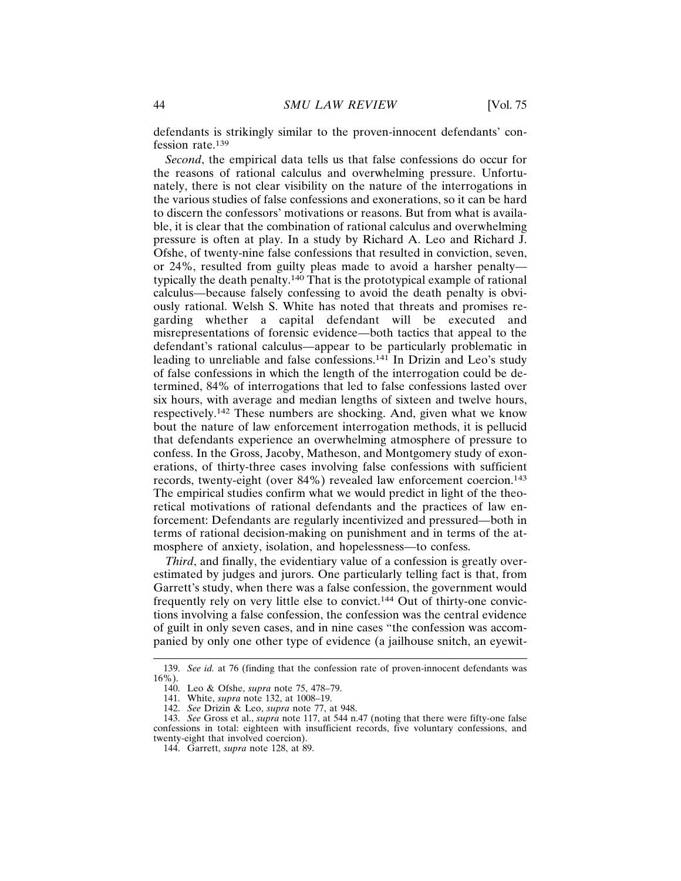defendants is strikingly similar to the proven-innocent defendants' confession rate.<sup>139</sup>

*Second*, the empirical data tells us that false confessions do occur for the reasons of rational calculus and overwhelming pressure. Unfortunately, there is not clear visibility on the nature of the interrogations in the various studies of false confessions and exonerations, so it can be hard to discern the confessors' motivations or reasons. But from what is available, it is clear that the combination of rational calculus and overwhelming pressure is often at play. In a study by Richard A. Leo and Richard J. Ofshe, of twenty-nine false confessions that resulted in conviction, seven, or 24%, resulted from guilty pleas made to avoid a harsher penalty typically the death penalty.140 That is the prototypical example of rational calculus—because falsely confessing to avoid the death penalty is obviously rational. Welsh S. White has noted that threats and promises regarding whether a capital defendant will be executed and misrepresentations of forensic evidence—both tactics that appeal to the defendant's rational calculus—appear to be particularly problematic in leading to unreliable and false confessions.141 In Drizin and Leo's study of false confessions in which the length of the interrogation could be determined, 84% of interrogations that led to false confessions lasted over six hours, with average and median lengths of sixteen and twelve hours, respectively.142 These numbers are shocking. And, given what we know bout the nature of law enforcement interrogation methods, it is pellucid that defendants experience an overwhelming atmosphere of pressure to confess. In the Gross, Jacoby, Matheson, and Montgomery study of exonerations, of thirty-three cases involving false confessions with sufficient records, twenty-eight (over 84%) revealed law enforcement coercion.<sup>143</sup> The empirical studies confirm what we would predict in light of the theoretical motivations of rational defendants and the practices of law enforcement: Defendants are regularly incentivized and pressured—both in terms of rational decision-making on punishment and in terms of the atmosphere of anxiety, isolation, and hopelessness—to confess.

*Third*, and finally, the evidentiary value of a confession is greatly overestimated by judges and jurors. One particularly telling fact is that, from Garrett's study, when there was a false confession, the government would frequently rely on very little else to convict.144 Out of thirty-one convictions involving a false confession, the confession was the central evidence of guilt in only seven cases, and in nine cases "the confession was accompanied by only one other type of evidence (a jailhouse snitch, an eyewit-

<sup>139.</sup> *See id.* at 76 (finding that the confession rate of proven-innocent defendants was 16%).

<sup>140.</sup> Leo & Ofshe, *supra* note 75, 478–79.

<sup>141.</sup> White, *supra* note 132, at 1008–19.

<sup>142.</sup> *See* Drizin & Leo, *supra* note 77, at 948.

<sup>143.</sup> *See* Gross et al., *supra* note 117, at 544 n.47 (noting that there were fifty-one false confessions in total: eighteen with insufficient records, five voluntary confessions, and twenty-eight that involved coercion).

<sup>144.</sup> Garrett, *supra* note 128, at 89.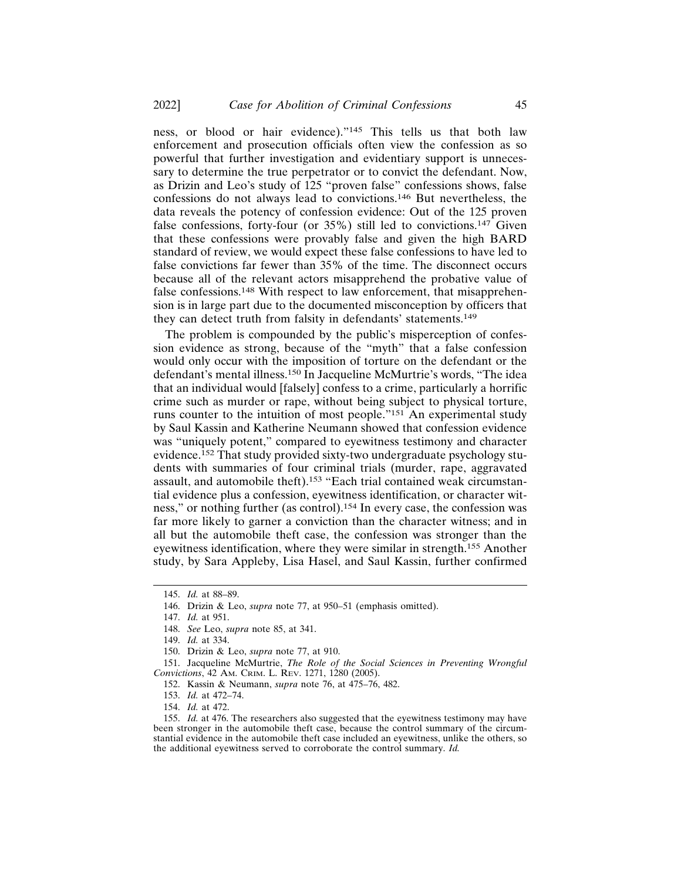ness, or blood or hair evidence)."145 This tells us that both law enforcement and prosecution officials often view the confession as so powerful that further investigation and evidentiary support is unnecessary to determine the true perpetrator or to convict the defendant. Now, as Drizin and Leo's study of 125 "proven false" confessions shows, false confessions do not always lead to convictions.146 But nevertheless, the data reveals the potency of confession evidence: Out of the 125 proven false confessions, forty-four (or  $35\%$ ) still led to convictions.<sup>147</sup> Given that these confessions were provably false and given the high BARD standard of review, we would expect these false confessions to have led to false convictions far fewer than 35% of the time. The disconnect occurs because all of the relevant actors misapprehend the probative value of false confessions.148 With respect to law enforcement, that misapprehension is in large part due to the documented misconception by officers that they can detect truth from falsity in defendants' statements.<sup>149</sup>

The problem is compounded by the public's misperception of confession evidence as strong, because of the "myth" that a false confession would only occur with the imposition of torture on the defendant or the defendant's mental illness.150 In Jacqueline McMurtrie's words, "The idea that an individual would [falsely] confess to a crime, particularly a horrific crime such as murder or rape, without being subject to physical torture, runs counter to the intuition of most people."151 An experimental study by Saul Kassin and Katherine Neumann showed that confession evidence was "uniquely potent," compared to eyewitness testimony and character evidence.152 That study provided sixty-two undergraduate psychology students with summaries of four criminal trials (murder, rape, aggravated assault, and automobile theft).<sup>153</sup> "Each trial contained weak circumstantial evidence plus a confession, eyewitness identification, or character witness," or nothing further (as control).154 In every case, the confession was far more likely to garner a conviction than the character witness; and in all but the automobile theft case, the confession was stronger than the eyewitness identification, where they were similar in strength.155 Another study, by Sara Appleby, Lisa Hasel, and Saul Kassin, further confirmed

<sup>145.</sup> *Id.* at 88–89.

<sup>146.</sup> Drizin & Leo, *supra* note 77, at 950–51 (emphasis omitted).

<sup>147.</sup> *Id.* at 951.

<sup>148.</sup> *See* Leo, *supra* note 85, at 341.

<sup>149.</sup> *Id.* at 334.

<sup>150.</sup> Drizin & Leo, *supra* note 77, at 910.

<sup>151.</sup> Jacqueline McMurtrie, *The Role of the Social Sciences in Preventing Wrongful Convictions*, 42 AM. CRIM. L. REV. 1271, 1280 (2005).

<sup>152.</sup> Kassin & Neumann, *supra* note 76, at 475–76, 482.

<sup>153.</sup> *Id.* at 472–74.

<sup>154.</sup> *Id.* at 472.

<sup>155.</sup> *Id.* at 476. The researchers also suggested that the eyewitness testimony may have been stronger in the automobile theft case, because the control summary of the circumstantial evidence in the automobile theft case included an eyewitness, unlike the others, so the additional eyewitness served to corroborate the control summary. *Id.*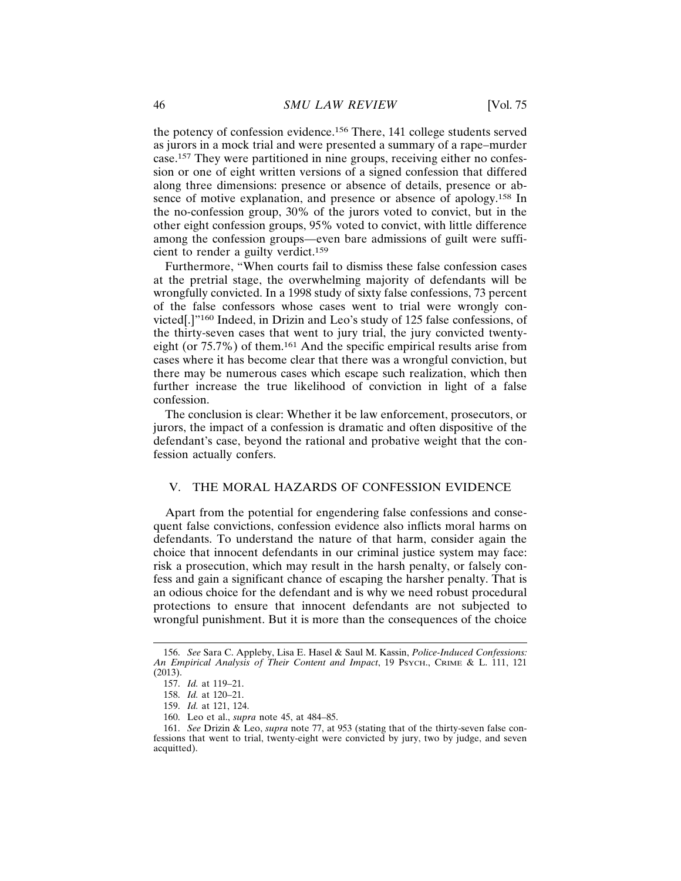the potency of confession evidence.156 There, 141 college students served as jurors in a mock trial and were presented a summary of a rape–murder case.157 They were partitioned in nine groups, receiving either no confession or one of eight written versions of a signed confession that differed along three dimensions: presence or absence of details, presence or absence of motive explanation, and presence or absence of apology.158 In the no-confession group, 30% of the jurors voted to convict, but in the other eight confession groups, 95% voted to convict, with little difference among the confession groups—even bare admissions of guilt were sufficient to render a guilty verdict.<sup>159</sup>

Furthermore, "When courts fail to dismiss these false confession cases at the pretrial stage, the overwhelming majority of defendants will be wrongfully convicted. In a 1998 study of sixty false confessions, 73 percent of the false confessors whose cases went to trial were wrongly convicted[.]"160 Indeed, in Drizin and Leo's study of 125 false confessions, of the thirty-seven cases that went to jury trial, the jury convicted twentyeight (or 75.7%) of them.161 And the specific empirical results arise from cases where it has become clear that there was a wrongful conviction, but there may be numerous cases which escape such realization, which then further increase the true likelihood of conviction in light of a false confession.

The conclusion is clear: Whether it be law enforcement, prosecutors, or jurors, the impact of a confession is dramatic and often dispositive of the defendant's case, beyond the rational and probative weight that the confession actually confers.

#### V. THE MORAL HAZARDS OF CONFESSION EVIDENCE

Apart from the potential for engendering false confessions and consequent false convictions, confession evidence also inflicts moral harms on defendants. To understand the nature of that harm, consider again the choice that innocent defendants in our criminal justice system may face: risk a prosecution, which may result in the harsh penalty, or falsely confess and gain a significant chance of escaping the harsher penalty. That is an odious choice for the defendant and is why we need robust procedural protections to ensure that innocent defendants are not subjected to wrongful punishment. But it is more than the consequences of the choice

<sup>156.</sup> *See* Sara C. Appleby, Lisa E. Hasel & Saul M. Kassin, *Police-Induced Confessions: An Empirical Analysis of Their Content and Impact*, 19 PSYCH., CRIME & L. 111, 121 (2013).

<sup>157.</sup> *Id.* at 119–21.

<sup>158.</sup> *Id.* at 120–21.

<sup>159.</sup> *Id.* at 121, 124.

<sup>160.</sup> Leo et al., *supra* note 45, at 484–85.

<sup>161.</sup> *See* Drizin & Leo, *supra* note 77, at 953 (stating that of the thirty-seven false confessions that went to trial, twenty-eight were convicted by jury, two by judge, and seven acquitted).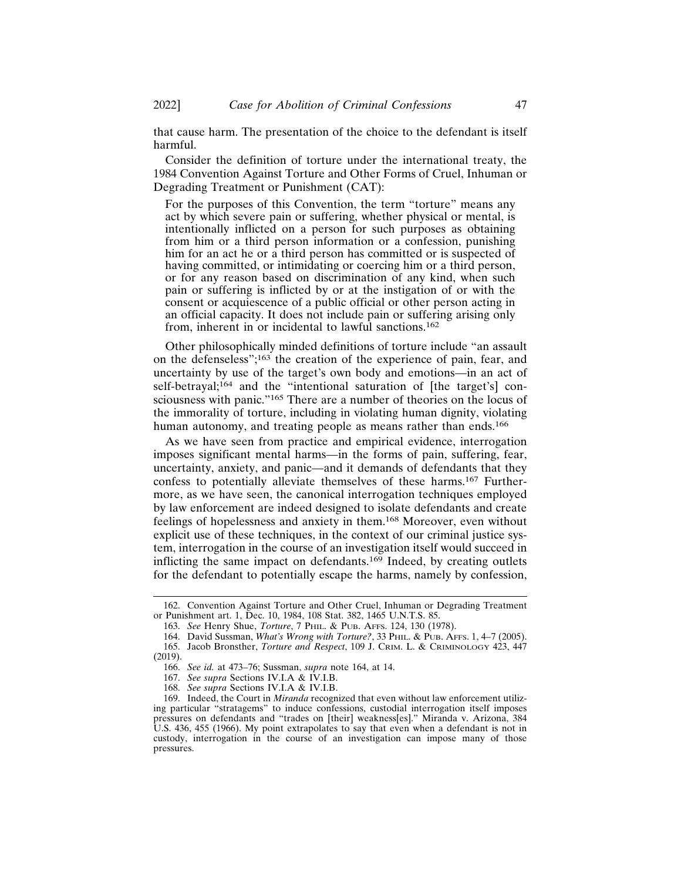that cause harm. The presentation of the choice to the defendant is itself harmful.

Consider the definition of torture under the international treaty, the 1984 Convention Against Torture and Other Forms of Cruel, Inhuman or Degrading Treatment or Punishment (CAT):

For the purposes of this Convention, the term "torture" means any act by which severe pain or suffering, whether physical or mental, is intentionally inflicted on a person for such purposes as obtaining from him or a third person information or a confession, punishing him for an act he or a third person has committed or is suspected of having committed, or intimidating or coercing him or a third person, or for any reason based on discrimination of any kind, when such pain or suffering is inflicted by or at the instigation of or with the consent or acquiescence of a public official or other person acting in an official capacity. It does not include pain or suffering arising only from, inherent in or incidental to lawful sanctions.<sup>162</sup>

Other philosophically minded definitions of torture include "an assault on the defenseless";163 the creation of the experience of pain, fear, and uncertainty by use of the target's own body and emotions—in an act of self-betrayal;<sup>164</sup> and the "intentional saturation of [the target's] consciousness with panic."165 There are a number of theories on the locus of the immorality of torture, including in violating human dignity, violating human autonomy, and treating people as means rather than ends.<sup>166</sup>

As we have seen from practice and empirical evidence, interrogation imposes significant mental harms—in the forms of pain, suffering, fear, uncertainty, anxiety, and panic—and it demands of defendants that they confess to potentially alleviate themselves of these harms.167 Furthermore, as we have seen, the canonical interrogation techniques employed by law enforcement are indeed designed to isolate defendants and create feelings of hopelessness and anxiety in them.168 Moreover, even without explicit use of these techniques, in the context of our criminal justice system, interrogation in the course of an investigation itself would succeed in inflicting the same impact on defendants.169 Indeed, by creating outlets for the defendant to potentially escape the harms, namely by confession,

<sup>162.</sup> Convention Against Torture and Other Cruel, Inhuman or Degrading Treatment or Punishment art. 1, Dec. 10, 1984, 108 Stat. 382, 1465 U.N.T.S. 85.

<sup>163.</sup> *See* Henry Shue, *Torture*, 7 PHIL. & PUB. AFFS. 124, 130 (1978).

<sup>164.</sup> David Sussman, *What's Wrong with Torture?*, 33 PHIL. & PUB. AFFS. 1, 4–7 (2005). 165. Jacob Bronsther, *Torture and Respect*, 109 J. CRIM. L. & CRIMINOLOGY 423, 447 (2019).

<sup>166.</sup> *See id.* at 473–76; Sussman, *supra* note 164, at 14.

<sup>167.</sup> *See supra* Sections IV.I.A & IV.I.B.

<sup>168.</sup> *See supra* Sections IV.I.A & IV.I.B.

<sup>169.</sup> Indeed, the Court in *Miranda* recognized that even without law enforcement utilizing particular "stratagems" to induce confessions, custodial interrogation itself imposes pressures on defendants and "trades on [their] weakness[es]." Miranda v. Arizona, 384 U.S. 436, 455 (1966). My point extrapolates to say that even when a defendant is not in custody, interrogation in the course of an investigation can impose many of those pressures.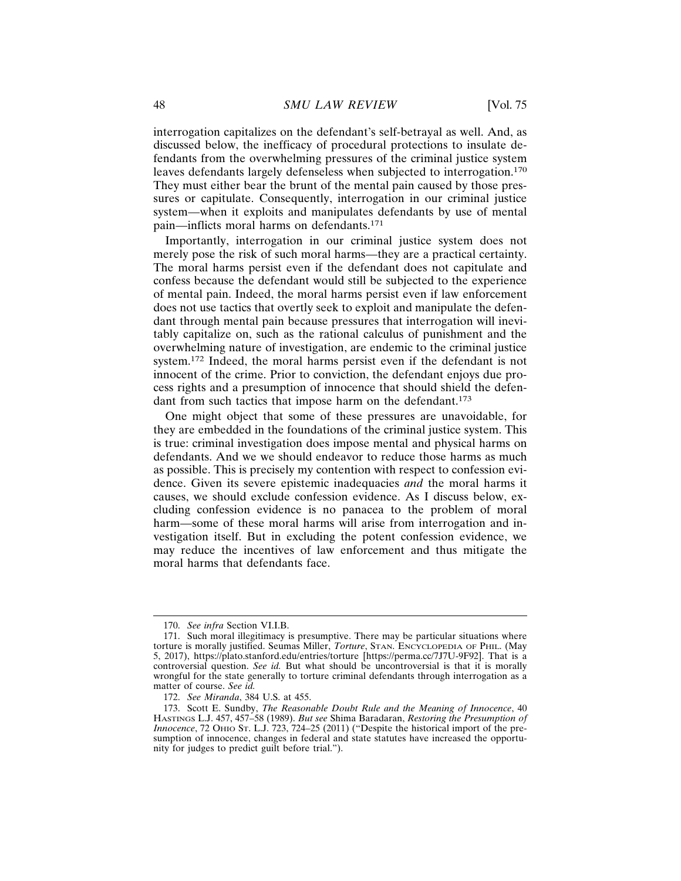interrogation capitalizes on the defendant's self-betrayal as well. And, as discussed below, the inefficacy of procedural protections to insulate defendants from the overwhelming pressures of the criminal justice system leaves defendants largely defenseless when subjected to interrogation.<sup>170</sup> They must either bear the brunt of the mental pain caused by those pressures or capitulate. Consequently, interrogation in our criminal justice system—when it exploits and manipulates defendants by use of mental pain—inflicts moral harms on defendants.<sup>171</sup>

Importantly, interrogation in our criminal justice system does not merely pose the risk of such moral harms—they are a practical certainty. The moral harms persist even if the defendant does not capitulate and confess because the defendant would still be subjected to the experience of mental pain. Indeed, the moral harms persist even if law enforcement does not use tactics that overtly seek to exploit and manipulate the defendant through mental pain because pressures that interrogation will inevitably capitalize on, such as the rational calculus of punishment and the overwhelming nature of investigation, are endemic to the criminal justice system.172 Indeed, the moral harms persist even if the defendant is not innocent of the crime. Prior to conviction, the defendant enjoys due process rights and a presumption of innocence that should shield the defendant from such tactics that impose harm on the defendant.<sup>173</sup>

One might object that some of these pressures are unavoidable, for they are embedded in the foundations of the criminal justice system. This is true: criminal investigation does impose mental and physical harms on defendants. And we we should endeavor to reduce those harms as much as possible. This is precisely my contention with respect to confession evidence. Given its severe epistemic inadequacies *and* the moral harms it causes, we should exclude confession evidence. As I discuss below, excluding confession evidence is no panacea to the problem of moral harm—some of these moral harms will arise from interrogation and investigation itself. But in excluding the potent confession evidence, we may reduce the incentives of law enforcement and thus mitigate the moral harms that defendants face.

<sup>170.</sup> *See infra* Section VI.I.B.

<sup>171.</sup> Such moral illegitimacy is presumptive. There may be particular situations where torture is morally justified. Seumas Miller, *Torture*, STAN. ENCYCLOPEDIA OF PHIL. (May 5, 2017), https://plato.stanford.edu/entries/torture [https://perma.cc/7J7U-9F92]. That is a controversial question. *See id.* But what should be uncontroversial is that it is morally wrongful for the state generally to torture criminal defendants through interrogation as a matter of course. *See id.*

<sup>172.</sup> *See Miranda*, 384 U.S. at 455.

<sup>173.</sup> Scott E. Sundby, *The Reasonable Doubt Rule and the Meaning of Innocence*, 40 HASTINGS L.J. 457, 457–58 (1989). *But see* Shima Baradaran, *Restoring the Presumption of Innocence*, 72 OHIO ST. L.J. 723, 724-25 (2011) ("Despite the historical import of the presumption of innocence, changes in federal and state statutes have increased the opportunity for judges to predict guilt before trial.").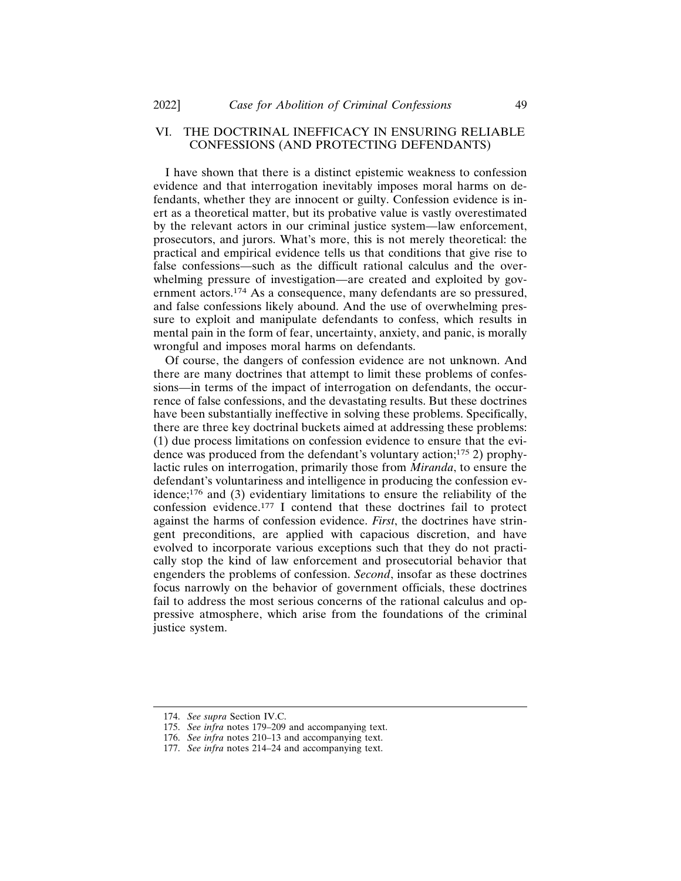# VI. THE DOCTRINAL INEFFICACY IN ENSURING RELIABLE CONFESSIONS (AND PROTECTING DEFENDANTS)

I have shown that there is a distinct epistemic weakness to confession evidence and that interrogation inevitably imposes moral harms on defendants, whether they are innocent or guilty. Confession evidence is inert as a theoretical matter, but its probative value is vastly overestimated by the relevant actors in our criminal justice system—law enforcement, prosecutors, and jurors. What's more, this is not merely theoretical: the practical and empirical evidence tells us that conditions that give rise to false confessions—such as the difficult rational calculus and the overwhelming pressure of investigation—are created and exploited by government actors.174 As a consequence, many defendants are so pressured, and false confessions likely abound. And the use of overwhelming pressure to exploit and manipulate defendants to confess, which results in mental pain in the form of fear, uncertainty, anxiety, and panic, is morally wrongful and imposes moral harms on defendants.

Of course, the dangers of confession evidence are not unknown. And there are many doctrines that attempt to limit these problems of confessions—in terms of the impact of interrogation on defendants, the occurrence of false confessions, and the devastating results. But these doctrines have been substantially ineffective in solving these problems. Specifically, there are three key doctrinal buckets aimed at addressing these problems: (1) due process limitations on confession evidence to ensure that the evidence was produced from the defendant's voluntary action;175 2) prophylactic rules on interrogation, primarily those from *Miranda*, to ensure the defendant's voluntariness and intelligence in producing the confession evidence;176 and (3) evidentiary limitations to ensure the reliability of the confession evidence.177 I contend that these doctrines fail to protect against the harms of confession evidence. *First*, the doctrines have stringent preconditions, are applied with capacious discretion, and have evolved to incorporate various exceptions such that they do not practically stop the kind of law enforcement and prosecutorial behavior that engenders the problems of confession. *Second*, insofar as these doctrines focus narrowly on the behavior of government officials, these doctrines fail to address the most serious concerns of the rational calculus and oppressive atmosphere, which arise from the foundations of the criminal justice system.

<sup>174.</sup> *See supra* Section IV.C.

<sup>175.</sup> *See infra* notes 179–209 and accompanying text.

<sup>176.</sup> *See infra* notes 210–13 and accompanying text.

<sup>177.</sup> *See infra* notes 214–24 and accompanying text.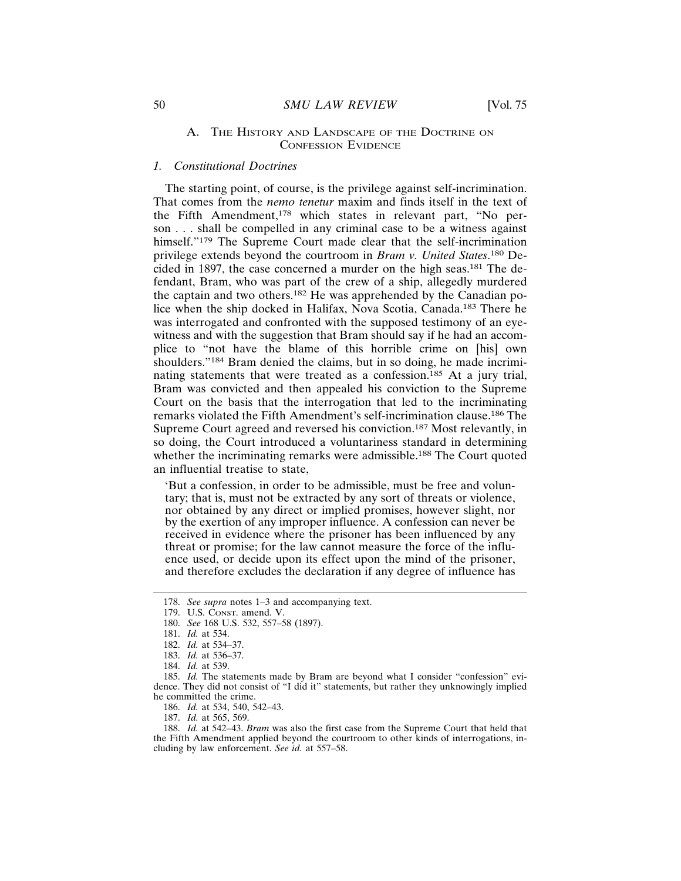## *1. Constitutional Doctrines*

The starting point, of course, is the privilege against self-incrimination. That comes from the *nemo tenetur* maxim and finds itself in the text of the Fifth Amendment,178 which states in relevant part, "No person . . . shall be compelled in any criminal case to be a witness against himself."<sup>179</sup> The Supreme Court made clear that the self-incrimination privilege extends beyond the courtroom in *Bram v. United States*. 180 Decided in 1897, the case concerned a murder on the high seas.181 The defendant, Bram, who was part of the crew of a ship, allegedly murdered the captain and two others.182 He was apprehended by the Canadian police when the ship docked in Halifax, Nova Scotia, Canada.183 There he was interrogated and confronted with the supposed testimony of an eyewitness and with the suggestion that Bram should say if he had an accomplice to "not have the blame of this horrible crime on [his] own shoulders."<sup>184</sup> Bram denied the claims, but in so doing, he made incriminating statements that were treated as a confession.<sup>185</sup> At a jury trial, Bram was convicted and then appealed his conviction to the Supreme Court on the basis that the interrogation that led to the incriminating remarks violated the Fifth Amendment's self-incrimination clause.186 The Supreme Court agreed and reversed his conviction.187 Most relevantly, in so doing, the Court introduced a voluntariness standard in determining whether the incriminating remarks were admissible.<sup>188</sup> The Court quoted an influential treatise to state,

'But a confession, in order to be admissible, must be free and voluntary; that is, must not be extracted by any sort of threats or violence, nor obtained by any direct or implied promises, however slight, nor by the exertion of any improper influence. A confession can never be received in evidence where the prisoner has been influenced by any threat or promise; for the law cannot measure the force of the influence used, or decide upon its effect upon the mind of the prisoner, and therefore excludes the declaration if any degree of influence has

185. *Id.* The statements made by Bram are beyond what I consider "confession" evidence. They did not consist of "I did it" statements, but rather they unknowingly implied he committed the crime.

186. *Id.* at 534, 540, 542–43.

187. *Id.* at 565, 569.

188. *Id.* at 542–43. *Bram* was also the first case from the Supreme Court that held that the Fifth Amendment applied beyond the courtroom to other kinds of interrogations, including by law enforcement. *See id.* at 557–58.

<sup>178.</sup> *See supra* notes 1–3 and accompanying text.

<sup>179.</sup> U.S. CONST. amend. V.

<sup>180.</sup> *See* 168 U.S. 532, 557–58 (1897).

<sup>181.</sup> *Id.* at 534.

<sup>182.</sup> *Id.* at 534–37.

<sup>183.</sup> *Id.* at 536–37.

<sup>184.</sup> *Id.* at 539.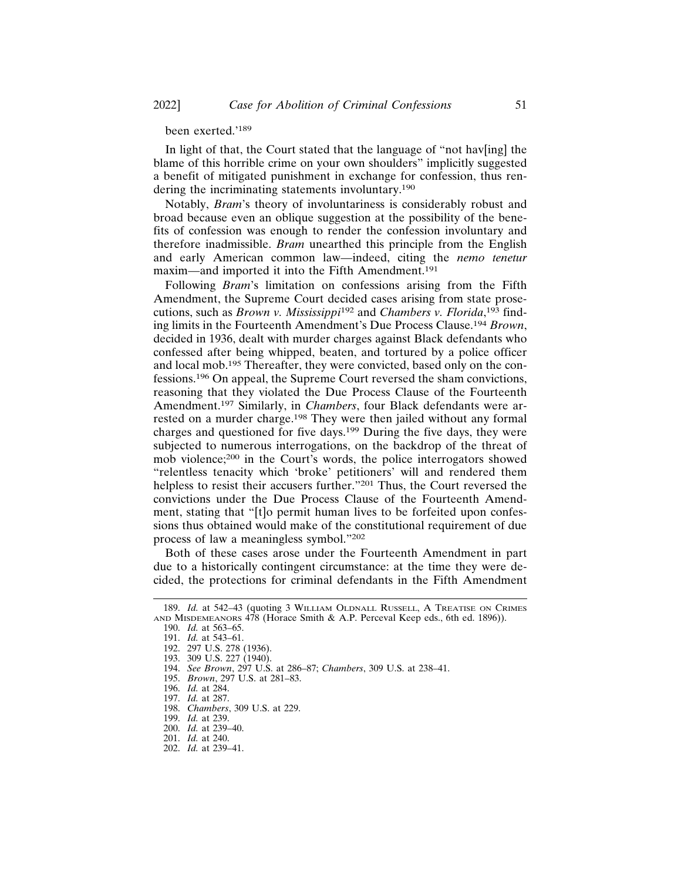# been exerted.'<sup>189</sup>

In light of that, the Court stated that the language of "not have  $\left[\frac{1}{10}\right]$  the blame of this horrible crime on your own shoulders" implicitly suggested a benefit of mitigated punishment in exchange for confession, thus rendering the incriminating statements involuntary.<sup>190</sup>

Notably, *Bram*'s theory of involuntariness is considerably robust and broad because even an oblique suggestion at the possibility of the benefits of confession was enough to render the confession involuntary and therefore inadmissible. *Bram* unearthed this principle from the English and early American common law—indeed, citing the *nemo tenetur* maxim—and imported it into the Fifth Amendment.<sup>191</sup>

Following *Bram*'s limitation on confessions arising from the Fifth Amendment, the Supreme Court decided cases arising from state prosecutions, such as *Brown v. Mississippi*192 and *Chambers v. Florida*, 193 finding limits in the Fourteenth Amendment's Due Process Clause.<sup>194</sup> *Brown*, decided in 1936, dealt with murder charges against Black defendants who confessed after being whipped, beaten, and tortured by a police officer and local mob.195 Thereafter, they were convicted, based only on the confessions.196 On appeal, the Supreme Court reversed the sham convictions, reasoning that they violated the Due Process Clause of the Fourteenth Amendment.197 Similarly, in *Chambers*, four Black defendants were arrested on a murder charge.198 They were then jailed without any formal charges and questioned for five days.199 During the five days, they were subjected to numerous interrogations, on the backdrop of the threat of mob violence;200 in the Court's words, the police interrogators showed "relentless tenacity which 'broke' petitioners' will and rendered them helpless to resist their accusers further."201 Thus, the Court reversed the convictions under the Due Process Clause of the Fourteenth Amendment, stating that "[t]o permit human lives to be forfeited upon confessions thus obtained would make of the constitutional requirement of due process of law a meaningless symbol."<sup>202</sup>

Both of these cases arose under the Fourteenth Amendment in part due to a historically contingent circumstance: at the time they were decided, the protections for criminal defendants in the Fifth Amendment

<sup>189.</sup> *Id.* at 542–43 (quoting 3 WILLIAM OLDNALL RUSSELL, A TREATISE ON CRIMES AND MISDEMEANORS 478 (Horace Smith & A.P. Perceval Keep eds., 6th ed. 1896)).

<sup>190.</sup> *Id.* at 563–65.

<sup>191.</sup> *Id.* at 543–61.

<sup>192. 297</sup> U.S. 278 (1936).

<sup>193. 309</sup> U.S. 227 (1940).

<sup>194.</sup> *See Brown*, 297 U.S. at 286–87; *Chambers*, 309 U.S. at 238–41.

<sup>195.</sup> *Brown*, 297 U.S. at 281–83.

<sup>196.</sup> *Id.* at 284.

<sup>197.</sup> *Id.* at 287.

<sup>198.</sup> *Chambers*, 309 U.S. at 229.

<sup>199.</sup> *Id.* at 239.

<sup>200.</sup> *Id.* at 239–40.

<sup>201.</sup> *Id.* at 240.

<sup>202.</sup> *Id.* at 239–41.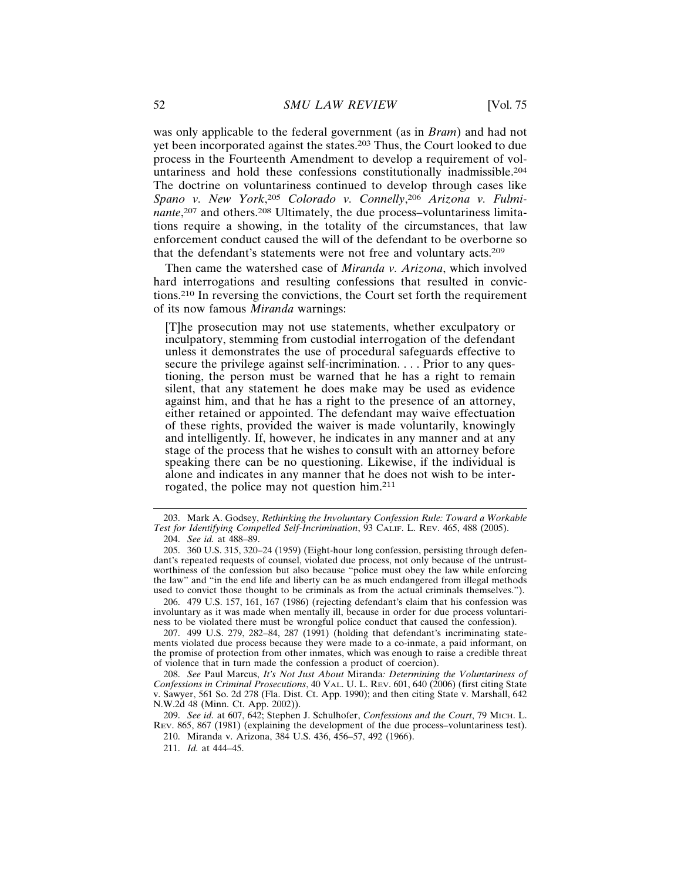was only applicable to the federal government (as in *Bram*) and had not yet been incorporated against the states.203 Thus, the Court looked to due process in the Fourteenth Amendment to develop a requirement of voluntariness and hold these confessions constitutionally inadmissible.<sup>204</sup> The doctrine on voluntariness continued to develop through cases like *Spano v. New York*, <sup>205</sup> *Colorado v. Connelly*, <sup>206</sup> *Arizona v. Fulmi*nante,<sup>207</sup> and others.<sup>208</sup> Ultimately, the due process-voluntariness limitations require a showing, in the totality of the circumstances, that law enforcement conduct caused the will of the defendant to be overborne so that the defendant's statements were not free and voluntary acts.<sup>209</sup>

Then came the watershed case of *Miranda v. Arizona*, which involved hard interrogations and resulting confessions that resulted in convictions.210 In reversing the convictions, the Court set forth the requirement of its now famous *Miranda* warnings:

[T]he prosecution may not use statements, whether exculpatory or inculpatory, stemming from custodial interrogation of the defendant unless it demonstrates the use of procedural safeguards effective to secure the privilege against self-incrimination. . . . Prior to any questioning, the person must be warned that he has a right to remain silent, that any statement he does make may be used as evidence against him, and that he has a right to the presence of an attorney, either retained or appointed. The defendant may waive effectuation of these rights, provided the waiver is made voluntarily, knowingly and intelligently. If, however, he indicates in any manner and at any stage of the process that he wishes to consult with an attorney before speaking there can be no questioning. Likewise, if the individual is alone and indicates in any manner that he does not wish to be interrogated, the police may not question him.<sup>211</sup>

206. 479 U.S. 157, 161, 167 (1986) (rejecting defendant's claim that his confession was involuntary as it was made when mentally ill, because in order for due process voluntariness to be violated there must be wrongful police conduct that caused the confession).

207. 499 U.S. 279, 282–84, 287 (1991) (holding that defendant's incriminating statements violated due process because they were made to a co-inmate, a paid informant, on the promise of protection from other inmates, which was enough to raise a credible threat of violence that in turn made the confession a product of coercion).

208. *See* Paul Marcus, *It's Not Just About* Miranda*: Determining the Voluntariness of Confessions in Criminal Prosecutions*, 40 VAL. U. L. REV. 601, 640 (2006) (first citing State v. Sawyer, 561 So. 2d 278 (Fla. Dist. Ct. App. 1990); and then citing State v. Marshall, 642 N.W.2d 48 (Minn. Ct. App. 2002)).

209. *See id.* at 607, 642; Stephen J. Schulhofer, *Confessions and the Court*, 79 MICH. L. REV. 865, 867 (1981) (explaining the development of the due process–voluntariness test).

210. Miranda v. Arizona, 384 U.S. 436, 456–57, 492 (1966).

211. *Id.* at 444–45.

<sup>203.</sup> Mark A. Godsey, *Rethinking the Involuntary Confession Rule: Toward a Workable Test for Identifying Compelled Self-Incrimination*, 93 CALIF. L. REV. 465, 488 (2005). 204. *See id.* at 488–89.

<sup>205. 360</sup> U.S. 315, 320–24 (1959) (Eight-hour long confession, persisting through defendant's repeated requests of counsel, violated due process, not only because of the untrustworthiness of the confession but also because "police must obey the law while enforcing the law" and "in the end life and liberty can be as much endangered from illegal methods used to convict those thought to be criminals as from the actual criminals themselves.").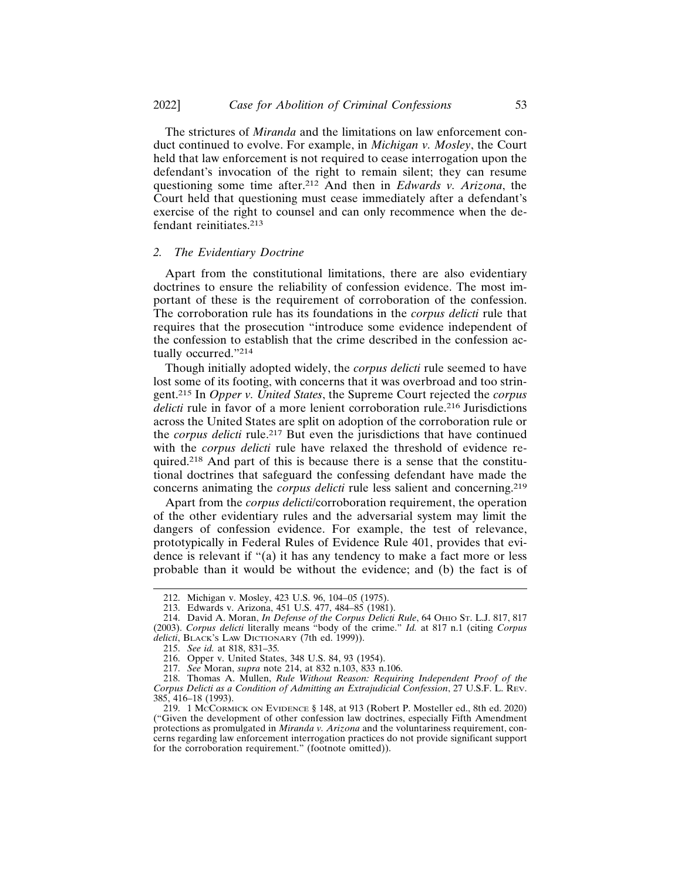The strictures of *Miranda* and the limitations on law enforcement conduct continued to evolve. For example, in *Michigan v. Mosley*, the Court held that law enforcement is not required to cease interrogation upon the defendant's invocation of the right to remain silent; they can resume questioning some time after.212 And then in *Edwards v. Arizona*, the Court held that questioning must cease immediately after a defendant's exercise of the right to counsel and can only recommence when the defendant reinitiates.<sup>213</sup>

#### *2. The Evidentiary Doctrine*

Apart from the constitutional limitations, there are also evidentiary doctrines to ensure the reliability of confession evidence. The most important of these is the requirement of corroboration of the confession. The corroboration rule has its foundations in the *corpus delicti* rule that requires that the prosecution "introduce some evidence independent of the confession to establish that the crime described in the confession actually occurred."<sup>214</sup>

Though initially adopted widely, the *corpus delicti* rule seemed to have lost some of its footing, with concerns that it was overbroad and too stringent.215 In *Opper v. United States*, the Supreme Court rejected the *corpus delicti* rule in favor of a more lenient corroboration rule.<sup>216</sup> Jurisdictions across the United States are split on adoption of the corroboration rule or the *corpus delicti* rule.217 But even the jurisdictions that have continued with the *corpus delicti* rule have relaxed the threshold of evidence required.218 And part of this is because there is a sense that the constitutional doctrines that safeguard the confessing defendant have made the concerns animating the *corpus delicti* rule less salient and concerning.<sup>219</sup>

Apart from the *corpus delicti*/corroboration requirement, the operation of the other evidentiary rules and the adversarial system may limit the dangers of confession evidence. For example, the test of relevance, prototypically in Federal Rules of Evidence Rule 401, provides that evidence is relevant if "(a) it has any tendency to make a fact more or less probable than it would be without the evidence; and (b) the fact is of

<sup>212.</sup> Michigan v. Mosley, 423 U.S. 96, 104–05 (1975).

<sup>213.</sup> Edwards v. Arizona, 451 U.S. 477, 484–85 (1981).

<sup>214.</sup> David A. Moran, *In Defense of the Corpus Delicti Rule*, 64 OHIO ST. L.J. 817, 817

<sup>(2003).</sup> *Corpus delicti* literally means "body of the crime." *Id.* at 817 n.1 (citing *Corpus delicti*, BLACK'S LAW DICTIONARY (7th ed. 1999)).

<sup>215.</sup> *See id.* at 818, 831–35*.*

<sup>216.</sup> Opper v. United States, 348 U.S. 84, 93 (1954).

<sup>217.</sup> *See* Moran, *supra* note 214, at 832 n.103, 833 n.106.

<sup>218.</sup> Thomas A. Mullen, *Rule Without Reason: Requiring Independent Proof of the Corpus Delicti as a Condition of Admitting an Extrajudicial Confession*, 27 U.S.F. L. REV. 385, 416–18 (1993).

<sup>219. 1</sup> MCCORMICK ON EVIDENCE § 148, at 913 (Robert P. Mosteller ed., 8th ed. 2020) ("Given the development of other confession law doctrines, especially Fifth Amendment protections as promulgated in *Miranda v. Arizona* and the voluntariness requirement, concerns regarding law enforcement interrogation practices do not provide significant support for the corroboration requirement." (footnote omitted)).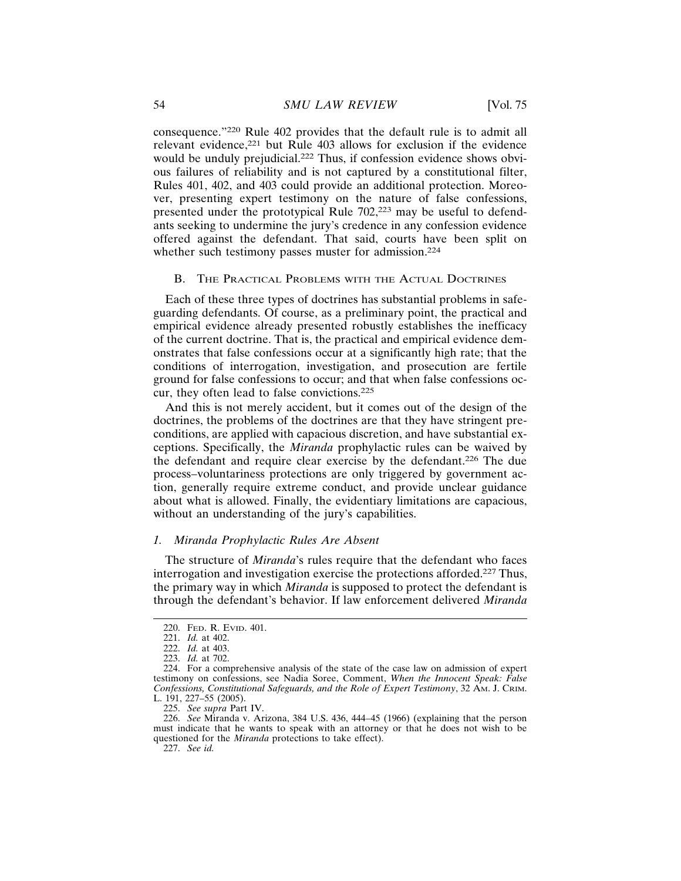consequence."220 Rule 402 provides that the default rule is to admit all relevant evidence,221 but Rule 403 allows for exclusion if the evidence would be unduly prejudicial.222 Thus, if confession evidence shows obvious failures of reliability and is not captured by a constitutional filter, Rules 401, 402, and 403 could provide an additional protection. Moreover, presenting expert testimony on the nature of false confessions, presented under the prototypical Rule 702,223 may be useful to defendants seeking to undermine the jury's credence in any confession evidence offered against the defendant. That said, courts have been split on whether such testimony passes muster for admission.<sup>224</sup>

#### B. THE PRACTICAL PROBLEMS WITH THE ACTUAL DOCTRINES

Each of these three types of doctrines has substantial problems in safeguarding defendants. Of course, as a preliminary point, the practical and empirical evidence already presented robustly establishes the inefficacy of the current doctrine. That is, the practical and empirical evidence demonstrates that false confessions occur at a significantly high rate; that the conditions of interrogation, investigation, and prosecution are fertile ground for false confessions to occur; and that when false confessions occur, they often lead to false convictions.<sup>225</sup>

And this is not merely accident, but it comes out of the design of the doctrines, the problems of the doctrines are that they have stringent preconditions, are applied with capacious discretion, and have substantial exceptions. Specifically, the *Miranda* prophylactic rules can be waived by the defendant and require clear exercise by the defendant.226 The due process–voluntariness protections are only triggered by government action, generally require extreme conduct, and provide unclear guidance about what is allowed. Finally, the evidentiary limitations are capacious, without an understanding of the jury's capabilities.

# *1. Miranda Prophylactic Rules Are Absent*

The structure of *Miranda*'s rules require that the defendant who faces interrogation and investigation exercise the protections afforded.227 Thus, the primary way in which *Miranda* is supposed to protect the defendant is through the defendant's behavior. If law enforcement delivered *Miranda*

227. *See id.*

<sup>220.</sup> FED. R. EVID. 401.

<sup>221.</sup> *Id.* at 402.

<sup>222.</sup> *Id.* at 403.

<sup>223.</sup> *Id.* at 702.

<sup>224.</sup> For a comprehensive analysis of the state of the case law on admission of expert testimony on confessions, see Nadia Soree, Comment, *When the Innocent Speak: False Confessions, Constitutional Safeguards, and the Role of Expert Testimony*, 32 AM. J. CRIM. L. 191, 227–55 (2005).

<sup>225.</sup> *See supra* Part IV.

<sup>226.</sup> *See* Miranda v. Arizona, 384 U.S. 436, 444–45 (1966) (explaining that the person must indicate that he wants to speak with an attorney or that he does not wish to be questioned for the *Miranda* protections to take effect).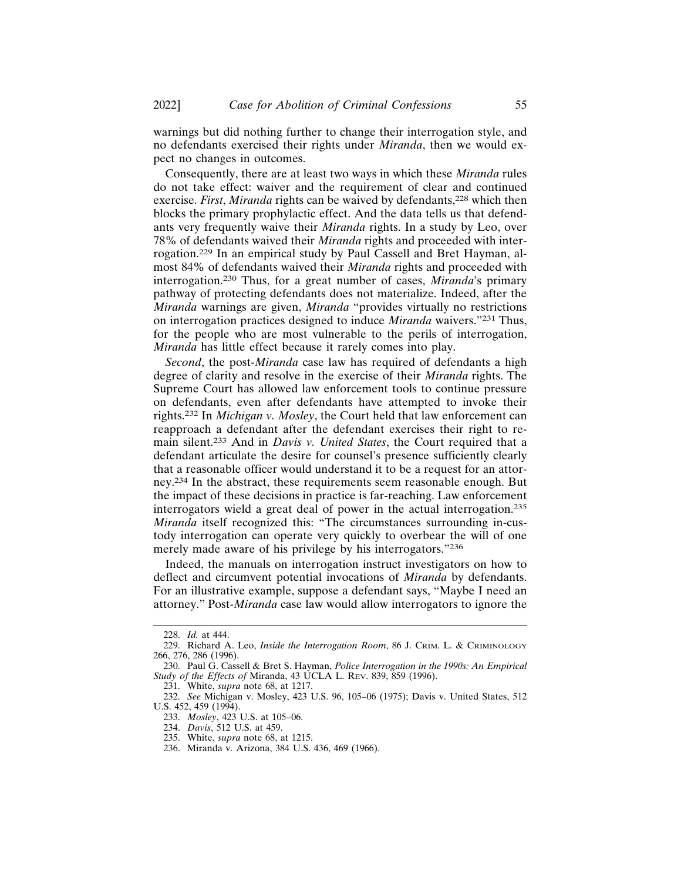warnings but did nothing further to change their interrogation style, and no defendants exercised their rights under *Miranda*, then we would expect no changes in outcomes.

Consequently, there are at least two ways in which these *Miranda* rules do not take effect: waiver and the requirement of clear and continued exercise. *First*, *Miranda* rights can be waived by defendants,<sup>228</sup> which then blocks the primary prophylactic effect. And the data tells us that defendants very frequently waive their *Miranda* rights. In a study by Leo, over 78% of defendants waived their *Miranda* rights and proceeded with interrogation.229 In an empirical study by Paul Cassell and Bret Hayman, almost 84% of defendants waived their *Miranda* rights and proceeded with interrogation.230 Thus, for a great number of cases, *Miranda*'s primary pathway of protecting defendants does not materialize. Indeed, after the *Miranda* warnings are given, *Miranda* "provides virtually no restrictions on interrogation practices designed to induce *Miranda* waivers."231 Thus, for the people who are most vulnerable to the perils of interrogation, *Miranda* has little effect because it rarely comes into play.

*Second*, the post-*Miranda* case law has required of defendants a high degree of clarity and resolve in the exercise of their *Miranda* rights. The Supreme Court has allowed law enforcement tools to continue pressure on defendants, even after defendants have attempted to invoke their rights.232 In *Michigan v. Mosley*, the Court held that law enforcement can reapproach a defendant after the defendant exercises their right to remain silent.233 And in *Davis v. United States*, the Court required that a defendant articulate the desire for counsel's presence sufficiently clearly that a reasonable officer would understand it to be a request for an attorney.234 In the abstract, these requirements seem reasonable enough. But the impact of these decisions in practice is far-reaching. Law enforcement interrogators wield a great deal of power in the actual interrogation.<sup>235</sup> *Miranda* itself recognized this: "The circumstances surrounding in-custody interrogation can operate very quickly to overbear the will of one merely made aware of his privilege by his interrogators."<sup>236</sup>

Indeed, the manuals on interrogation instruct investigators on how to deflect and circumvent potential invocations of *Miranda* by defendants. For an illustrative example, suppose a defendant says, "Maybe I need an attorney." Post-*Miranda* case law would allow interrogators to ignore the

<sup>228.</sup> *Id.* at 444.

<sup>229.</sup> Richard A. Leo, *Inside the Interrogation Room*, 86 J. CRIM. L. & CRIMINOLOGY 266, 276, 286 (1996).

<sup>230.</sup> Paul G. Cassell & Bret S. Hayman, *Police Interrogation in the 1990s: An Empirical Study of the Effects of* Miranda, 43 UCLA L. REV. 839, 859 (1996).

<sup>231.</sup> White, *supra* note 68, at 1217.

<sup>232.</sup> *See* Michigan v. Mosley, 423 U.S. 96, 105–06 (1975); Davis v. United States, 512 U.S. 452, 459 (1994).

<sup>233.</sup> *Mosley*, 423 U.S. at 105–06.

<sup>234.</sup> *Davis*, 512 U.S. at 459.

<sup>235.</sup> White, *supra* note 68, at 1215.

<sup>236.</sup> Miranda v. Arizona, 384 U.S. 436, 469 (1966).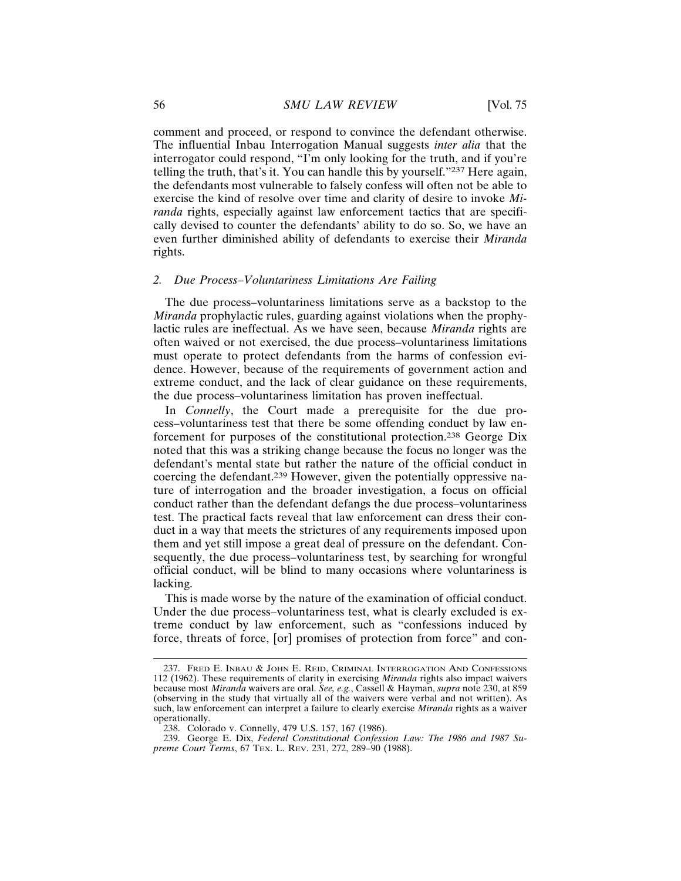comment and proceed, or respond to convince the defendant otherwise. The influential Inbau Interrogation Manual suggests *inter alia* that the interrogator could respond, "I'm only looking for the truth, and if you're telling the truth, that's it. You can handle this by yourself."237 Here again, the defendants most vulnerable to falsely confess will often not be able to exercise the kind of resolve over time and clarity of desire to invoke *Miranda* rights, especially against law enforcement tactics that are specifically devised to counter the defendants' ability to do so. So, we have an even further diminished ability of defendants to exercise their *Miranda* rights.

# *2. Due Process–Voluntariness Limitations Are Failing*

The due process–voluntariness limitations serve as a backstop to the *Miranda* prophylactic rules, guarding against violations when the prophylactic rules are ineffectual. As we have seen, because *Miranda* rights are often waived or not exercised, the due process–voluntariness limitations must operate to protect defendants from the harms of confession evidence. However, because of the requirements of government action and extreme conduct, and the lack of clear guidance on these requirements, the due process–voluntariness limitation has proven ineffectual.

In *Connelly*, the Court made a prerequisite for the due process–voluntariness test that there be some offending conduct by law enforcement for purposes of the constitutional protection.238 George Dix noted that this was a striking change because the focus no longer was the defendant's mental state but rather the nature of the official conduct in coercing the defendant.239 However, given the potentially oppressive nature of interrogation and the broader investigation, a focus on official conduct rather than the defendant defangs the due process–voluntariness test. The practical facts reveal that law enforcement can dress their conduct in a way that meets the strictures of any requirements imposed upon them and yet still impose a great deal of pressure on the defendant. Consequently, the due process–voluntariness test, by searching for wrongful official conduct, will be blind to many occasions where voluntariness is lacking.

This is made worse by the nature of the examination of official conduct. Under the due process–voluntariness test, what is clearly excluded is extreme conduct by law enforcement, such as "confessions induced by force, threats of force, [or] promises of protection from force" and con-

<sup>237.</sup> FRED E. INBAU & JOHN E. REID, CRIMINAL INTERROGATION AND CONFESSIONS 112 (1962). These requirements of clarity in exercising *Miranda* rights also impact waivers because most *Miranda* waivers are oral. *See, e.g.*, Cassell & Hayman, *supra* note 230, at 859 (observing in the study that virtually all of the waivers were verbal and not written). As such, law enforcement can interpret a failure to clearly exercise *Miranda* rights as a waiver operationally.

<sup>238.</sup> Colorado v. Connelly, 479 U.S. 157, 167 (1986).

<sup>239.</sup> George E. Dix, *Federal Constitutional Confession Law: The 1986 and 1987 Supreme Court Terms*, 67 TEX. L. REV. 231, 272, 289–90 (1988).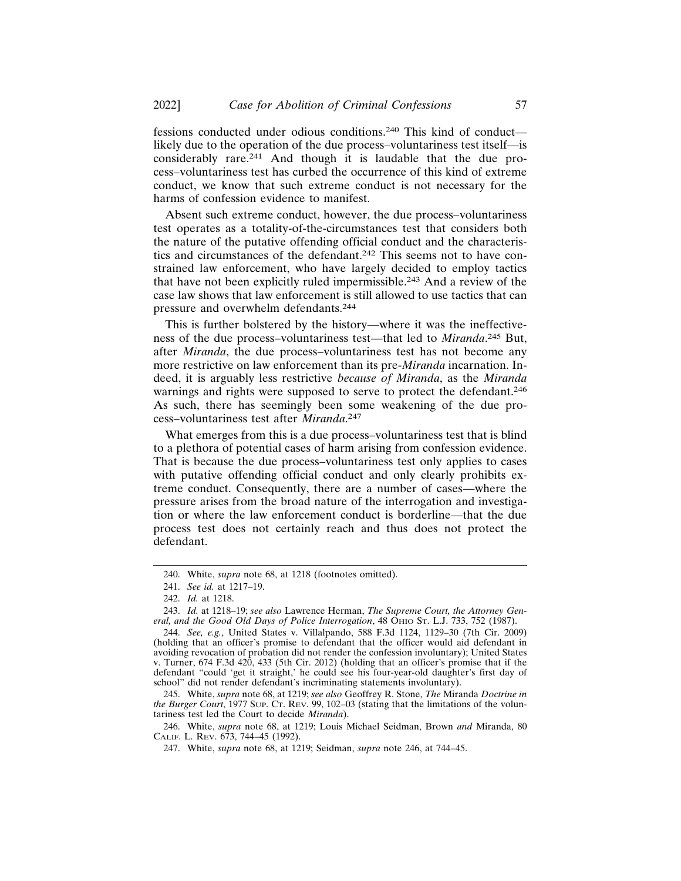fessions conducted under odious conditions.240 This kind of conduct likely due to the operation of the due process–voluntariness test itself—is considerably rare.241 And though it is laudable that the due process–voluntariness test has curbed the occurrence of this kind of extreme conduct, we know that such extreme conduct is not necessary for the harms of confession evidence to manifest.

Absent such extreme conduct, however, the due process–voluntariness test operates as a totality-of-the-circumstances test that considers both the nature of the putative offending official conduct and the characteristics and circumstances of the defendant.242 This seems not to have constrained law enforcement, who have largely decided to employ tactics that have not been explicitly ruled impermissible.243 And a review of the case law shows that law enforcement is still allowed to use tactics that can pressure and overwhelm defendants.<sup>244</sup>

This is further bolstered by the history—where it was the ineffectiveness of the due process–voluntariness test—that led to *Miranda*. 245 But, after *Miranda*, the due process–voluntariness test has not become any more restrictive on law enforcement than its pre-*Miranda* incarnation. Indeed, it is arguably less restrictive *because of Miranda*, as the *Miranda* warnings and rights were supposed to serve to protect the defendant.<sup>246</sup> As such, there has seemingly been some weakening of the due process–voluntariness test after *Miranda*. 247

What emerges from this is a due process–voluntariness test that is blind to a plethora of potential cases of harm arising from confession evidence. That is because the due process–voluntariness test only applies to cases with putative offending official conduct and only clearly prohibits extreme conduct. Consequently, there are a number of cases—where the pressure arises from the broad nature of the interrogation and investigation or where the law enforcement conduct is borderline—that the due process test does not certainly reach and thus does not protect the defendant.

245. White, *supra* note 68, at 1219; *see also* Geoffrey R. Stone, *The* Miranda *Doctrine in the Burger Court*, 1977 SUP. CT. REV. 99, 102–03 (stating that the limitations of the voluntariness test led the Court to decide *Miranda*).

246. White, *supra* note 68, at 1219; Louis Michael Seidman, Brown *and* Miranda, 80 CALIF. L. REV. 673, 744–45 (1992).

<sup>240.</sup> White, *supra* note 68, at 1218 (footnotes omitted).

<sup>241.</sup> *See id.* at 1217–19.

<sup>242.</sup> *Id.* at 1218.

<sup>243.</sup> *Id.* at 1218–19; *see also* Lawrence Herman, *The Supreme Court, the Attorney General, and the Good Old Days of Police Interrogation*, 48 OHIO ST. L.J. 733, 752 (1987).

<sup>244.</sup> *See, e.g.*, United States v. Villalpando, 588 F.3d 1124, 1129–30 (7th Cir. 2009) (holding that an officer's promise to defendant that the officer would aid defendant in avoiding revocation of probation did not render the confession involuntary); United States v. Turner, 674 F.3d 420, 433 (5th Cir. 2012) (holding that an officer's promise that if the defendant "could 'get it straight,' he could see his four-year-old daughter's first day of school" did not render defendant's incriminating statements involuntary).

<sup>247.</sup> White, *supra* note 68, at 1219; Seidman, *supra* note 246, at 744–45.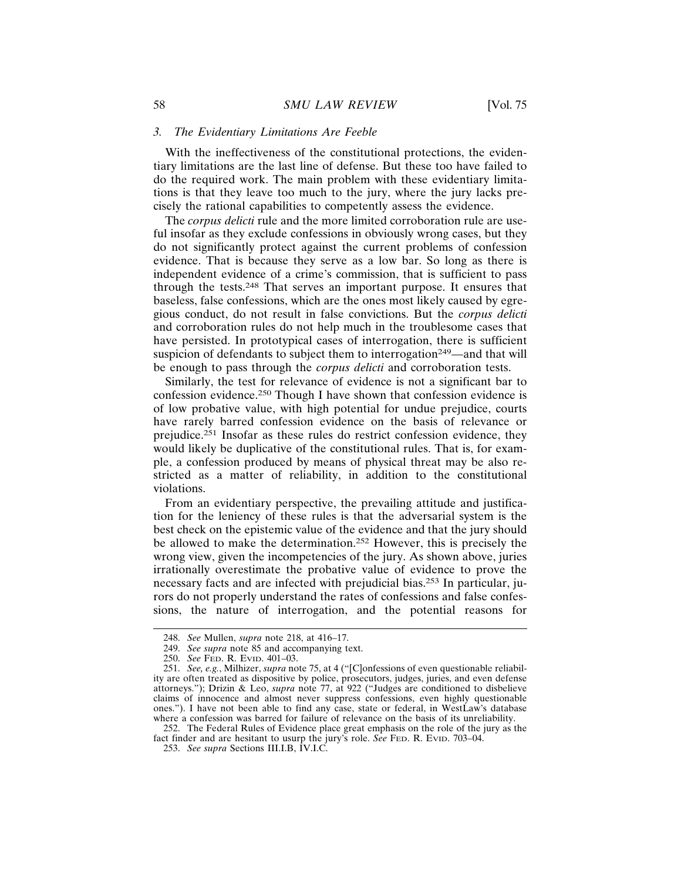#### *3. The Evidentiary Limitations Are Feeble*

With the ineffectiveness of the constitutional protections, the evidentiary limitations are the last line of defense. But these too have failed to do the required work. The main problem with these evidentiary limitations is that they leave too much to the jury, where the jury lacks precisely the rational capabilities to competently assess the evidence.

The *corpus delicti* rule and the more limited corroboration rule are useful insofar as they exclude confessions in obviously wrong cases, but they do not significantly protect against the current problems of confession evidence. That is because they serve as a low bar. So long as there is independent evidence of a crime's commission, that is sufficient to pass through the tests.248 That serves an important purpose. It ensures that baseless, false confessions, which are the ones most likely caused by egregious conduct, do not result in false convictions. But the *corpus delicti* and corroboration rules do not help much in the troublesome cases that have persisted. In prototypical cases of interrogation, there is sufficient suspicion of defendants to subject them to interrogation<sup>249</sup>—and that will be enough to pass through the *corpus delicti* and corroboration tests.

Similarly, the test for relevance of evidence is not a significant bar to confession evidence.250 Though I have shown that confession evidence is of low probative value, with high potential for undue prejudice, courts have rarely barred confession evidence on the basis of relevance or prejudice.251 Insofar as these rules do restrict confession evidence, they would likely be duplicative of the constitutional rules. That is, for example, a confession produced by means of physical threat may be also restricted as a matter of reliability, in addition to the constitutional violations.

From an evidentiary perspective, the prevailing attitude and justification for the leniency of these rules is that the adversarial system is the best check on the epistemic value of the evidence and that the jury should be allowed to make the determination.252 However, this is precisely the wrong view, given the incompetencies of the jury. As shown above, juries irrationally overestimate the probative value of evidence to prove the necessary facts and are infected with prejudicial bias.253 In particular, jurors do not properly understand the rates of confessions and false confessions, the nature of interrogation, and the potential reasons for

<sup>248.</sup> *See* Mullen, *supra* note 218, at 416–17.

<sup>249.</sup> *See supra* note 85 and accompanying text.

<sup>250.</sup> *See* FED. R. EVID. 401–03.

<sup>251.</sup> *See, e.g.*, Milhizer, *supra* note 75, at 4 ("[C]onfessions of even questionable reliability are often treated as dispositive by police, prosecutors, judges, juries, and even defense attorneys."); Drizin & Leo, *supra* note 77, at 922 ("Judges are conditioned to disbelieve claims of innocence and almost never suppress confessions, even highly questionable ones."). I have not been able to find any case, state or federal, in WestLaw's database where a confession was barred for failure of relevance on the basis of its unreliability.

<sup>252.</sup> The Federal Rules of Evidence place great emphasis on the role of the jury as the fact finder and are hesitant to usurp the jury's role. *See* FED. R. EVID. 703–04.

<sup>253.</sup> *See supra* Sections III.I.B, IV.I.C.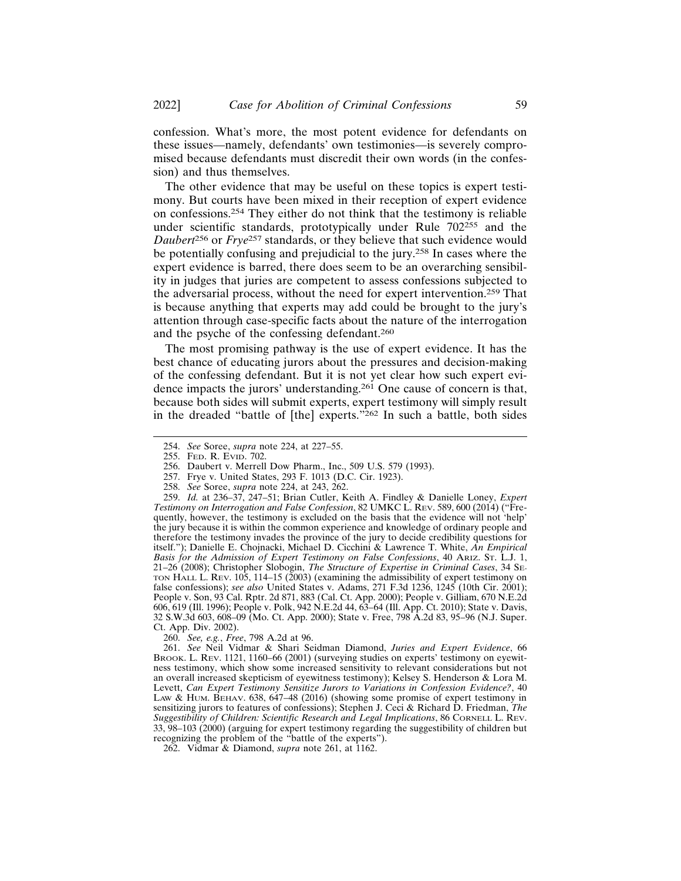confession. What's more, the most potent evidence for defendants on these issues—namely, defendants' own testimonies—is severely compromised because defendants must discredit their own words (in the confession) and thus themselves.

The other evidence that may be useful on these topics is expert testimony. But courts have been mixed in their reception of expert evidence on confessions.254 They either do not think that the testimony is reliable under scientific standards, prototypically under Rule 702<sup>255</sup> and the *Daubert*256 or *Frye*257 standards, or they believe that such evidence would be potentially confusing and prejudicial to the jury.258 In cases where the expert evidence is barred, there does seem to be an overarching sensibility in judges that juries are competent to assess confessions subjected to the adversarial process, without the need for expert intervention.259 That is because anything that experts may add could be brought to the jury's attention through case-specific facts about the nature of the interrogation and the psyche of the confessing defendant.<sup>260</sup>

The most promising pathway is the use of expert evidence. It has the best chance of educating jurors about the pressures and decision-making of the confessing defendant. But it is not yet clear how such expert evidence impacts the jurors' understanding.261 One cause of concern is that, because both sides will submit experts, expert testimony will simply result in the dreaded "battle of [the] experts."262 In such a battle, both sides

260. *See, e.g.*, *Free*, 798 A.2d at 96.

261. *See* Neil Vidmar & Shari Seidman Diamond, *Juries and Expert Evidence*, 66 BROOK. L. REV. 1121, 1160–66 (2001) (surveying studies on experts' testimony on eyewitness testimony, which show some increased sensitivity to relevant considerations but not an overall increased skepticism of eyewitness testimony); Kelsey S. Henderson & Lora M. Levett, *Can Expert Testimony Sensitize Jurors to Variations in Confession Evidence?*, 40 LAW & HUM. BEHAV. 638, 647–48 (2016) (showing some promise of expert testimony in sensitizing jurors to features of confessions); Stephen J. Ceci & Richard D. Friedman, *The Suggestibility of Children: Scientific Research and Legal Implications*, 86 CORNELL L. REV. 33, 98–103 (2000) (arguing for expert testimony regarding the suggestibility of children but recognizing the problem of the "battle of the experts").

<sup>254.</sup> *See* Soree, *supra* note 224, at 227–55.

<sup>255.</sup> FED. R. EVID. 702.

<sup>256.</sup> Daubert v. Merrell Dow Pharm., Inc., 509 U.S. 579 (1993).

<sup>257.</sup> Frye v. United States, 293 F. 1013 (D.C. Cir. 1923).

<sup>258.</sup> *See* Soree, *supra* note 224, at 243, 262.

<sup>259.</sup> *Id.* at 236–37, 247–51; Brian Cutler, Keith A. Findley & Danielle Loney, *Expert Testimony on Interrogation and False Confession*, 82 UMKC L. REV. 589, 600 (2014) ("Frequently, however, the testimony is excluded on the basis that the evidence will not 'help' the jury because it is within the common experience and knowledge of ordinary people and therefore the testimony invades the province of the jury to decide credibility questions for itself."); Danielle E. Chojnacki, Michael D. Cicchini & Lawrence T. White, *An Empirical Basis for the Admission of Expert Testimony on False Confessions*, 40 ARIZ. ST. L.J. 1, 21–26 (2008); Christopher Slobogin, *The Structure of Expertise in Criminal Cases*, 34 SE-TON HALL L. REV. 105, 114–15 (2003) (examining the admissibility of expert testimony on false confessions); *see also* United States v. Adams, 271 F.3d 1236, 1245 (10th Cir. 2001); People v. Son, 93 Cal. Rptr. 2d 871, 883 (Cal. Ct. App. 2000); People v. Gilliam, 670 N.E.2d 606, 619 (Ill. 1996); People v. Polk, 942 N.E.2d 44, 63–64 (Ill. App. Ct. 2010); State v. Davis, 32 S.W.3d 603, 608–09 (Mo. Ct. App. 2000); State v. Free, 798 A.2d 83, 95–96 (N.J. Super. Ct. App. Div. 2002).

<sup>262.</sup> Vidmar & Diamond, *supra* note 261, at 1162.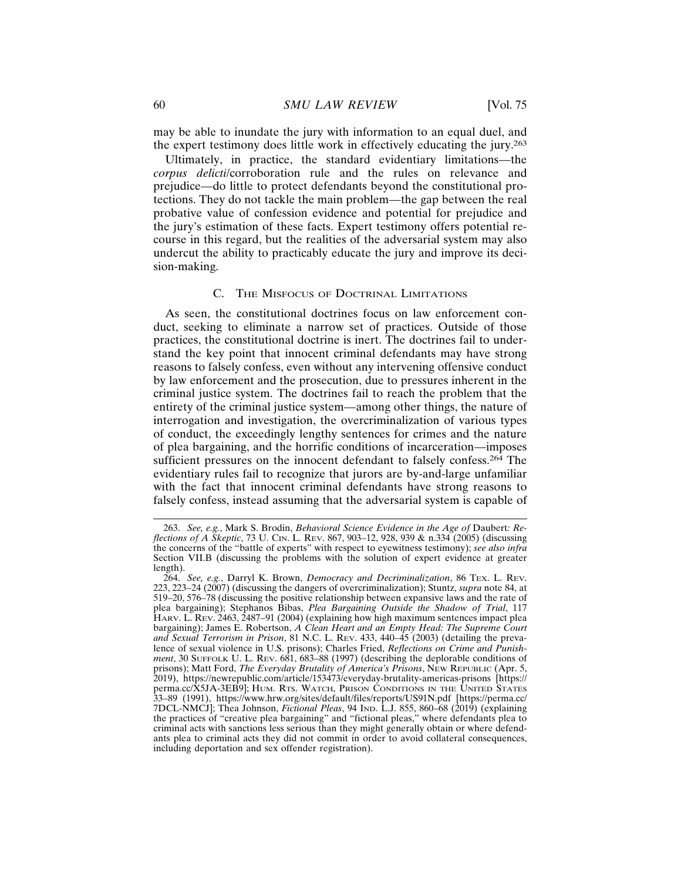may be able to inundate the jury with information to an equal duel, and the expert testimony does little work in effectively educating the jury.<sup>263</sup>

Ultimately, in practice, the standard evidentiary limitations—the *corpus delicti*/corroboration rule and the rules on relevance and prejudice—do little to protect defendants beyond the constitutional protections. They do not tackle the main problem—the gap between the real probative value of confession evidence and potential for prejudice and the jury's estimation of these facts. Expert testimony offers potential recourse in this regard, but the realities of the adversarial system may also undercut the ability to practicably educate the jury and improve its decision-making.

### C. THE MISFOCUS OF DOCTRINAL LIMITATIONS

As seen, the constitutional doctrines focus on law enforcement conduct, seeking to eliminate a narrow set of practices. Outside of those practices, the constitutional doctrine is inert. The doctrines fail to understand the key point that innocent criminal defendants may have strong reasons to falsely confess, even without any intervening offensive conduct by law enforcement and the prosecution, due to pressures inherent in the criminal justice system. The doctrines fail to reach the problem that the entirety of the criminal justice system—among other things, the nature of interrogation and investigation, the overcriminalization of various types of conduct, the exceedingly lengthy sentences for crimes and the nature of plea bargaining, and the horrific conditions of incarceration—imposes sufficient pressures on the innocent defendant to falsely confess.<sup>264</sup> The evidentiary rules fail to recognize that jurors are by-and-large unfamiliar with the fact that innocent criminal defendants have strong reasons to falsely confess, instead assuming that the adversarial system is capable of

<sup>263.</sup> *See, e.g.*, Mark S. Brodin, *Behavioral Science Evidence in the Age of* Daubert*: Reflections of A Skeptic*, 73 U. CIN. L. REV. 867, 903–12, 928, 939 & n.334 (2005) (discussing the concerns of the "battle of experts" with respect to eyewitness testimony); *see also infra* Section VII.B (discussing the problems with the solution of expert evidence at greater length).

<sup>264.</sup> *See, e.g.*, Darryl K. Brown, *Democracy and Decriminalization*, 86 TEX. L. REV. 223, 223–24 (2007) (discussing the dangers of overcriminalization); Stuntz, *supra* note 84, at 519–20, 576–78 (discussing the positive relationship between expansive laws and the rate of plea bargaining); Stephanos Bibas, *Plea Bargaining Outside the Shadow of Trial*, 117 HARV. L. REV. 2463, 2487–91 (2004) (explaining how high maximum sentences impact plea bargaining); James E. Robertson, *A Clean Heart and an Empty Head: The Supreme Court and Sexual Terrorism in Prison*, 81 N.C. L. REV. 433, 440–45 (2003) (detailing the prevalence of sexual violence in U.S. prisons); Charles Fried, *Reflections on Crime and Punishment*, 30 SUFFOLK U. L. REV. 681, 683–88 (1997) (describing the deplorable conditions of prisons); Matt Ford, *The Everyday Brutality of America's Prisons*, NEW REPUBLIC (Apr. 5, 2019), https://newrepublic.com/article/153473/everyday-brutality-americas-prisons [https:// perma.cc/X5JA-3EB9]; HUM. RTS. WATCH, PRISON CONDITIONS IN THE UNITED STATES 33–89 (1991), https://www.hrw.org/sites/default/files/reports/US91N.pdf [https://perma.cc/ 7DCL-NMCJ]; Thea Johnson, *Fictional Pleas*, 94 IND. L.J. 855, 860–68 (2019) (explaining the practices of "creative plea bargaining" and "fictional pleas," where defendants plea to criminal acts with sanctions less serious than they might generally obtain or where defendants plea to criminal acts they did not commit in order to avoid collateral consequences, including deportation and sex offender registration).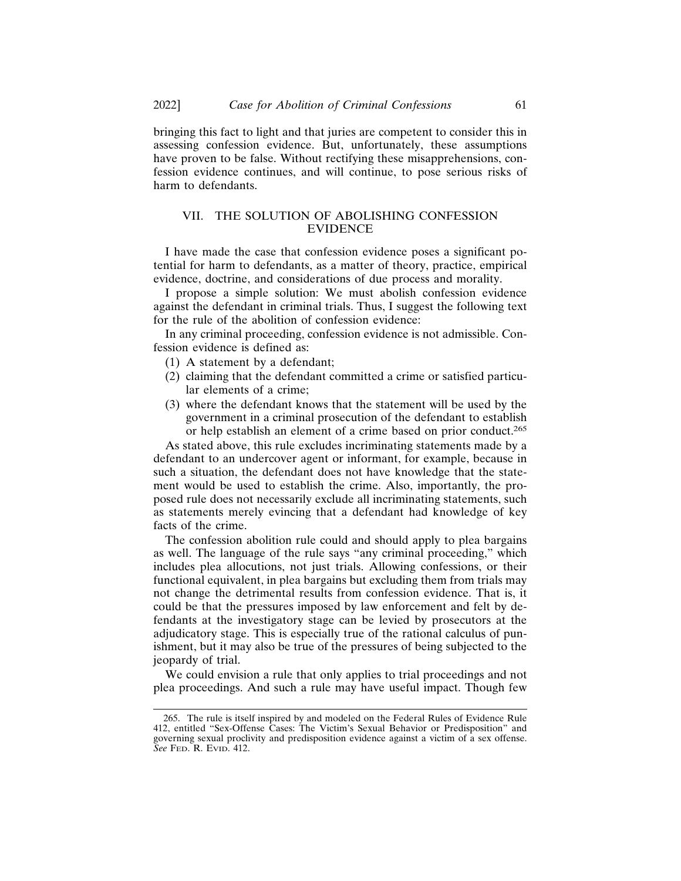bringing this fact to light and that juries are competent to consider this in assessing confession evidence. But, unfortunately, these assumptions have proven to be false. Without rectifying these misapprehensions, confession evidence continues, and will continue, to pose serious risks of harm to defendants.

# VII. THE SOLUTION OF ABOLISHING CONFESSION **EVIDENCE**

I have made the case that confession evidence poses a significant potential for harm to defendants, as a matter of theory, practice, empirical evidence, doctrine, and considerations of due process and morality.

I propose a simple solution: We must abolish confession evidence against the defendant in criminal trials. Thus, I suggest the following text for the rule of the abolition of confession evidence:

In any criminal proceeding, confession evidence is not admissible. Confession evidence is defined as:

- (1) A statement by a defendant;
- (2) claiming that the defendant committed a crime or satisfied particular elements of a crime;
- (3) where the defendant knows that the statement will be used by the government in a criminal prosecution of the defendant to establish or help establish an element of a crime based on prior conduct.<sup>265</sup>

As stated above, this rule excludes incriminating statements made by a defendant to an undercover agent or informant, for example, because in such a situation, the defendant does not have knowledge that the statement would be used to establish the crime. Also, importantly, the proposed rule does not necessarily exclude all incriminating statements, such as statements merely evincing that a defendant had knowledge of key facts of the crime.

The confession abolition rule could and should apply to plea bargains as well. The language of the rule says "any criminal proceeding," which includes plea allocutions, not just trials. Allowing confessions, or their functional equivalent, in plea bargains but excluding them from trials may not change the detrimental results from confession evidence. That is, it could be that the pressures imposed by law enforcement and felt by defendants at the investigatory stage can be levied by prosecutors at the adjudicatory stage. This is especially true of the rational calculus of punishment, but it may also be true of the pressures of being subjected to the jeopardy of trial.

We could envision a rule that only applies to trial proceedings and not plea proceedings. And such a rule may have useful impact. Though few

<sup>265.</sup> The rule is itself inspired by and modeled on the Federal Rules of Evidence Rule 412, entitled "Sex-Offense Cases: The Victim's Sexual Behavior or Predisposition" and governing sexual proclivity and predisposition evidence against a victim of a sex offense. *See* FED. R. EVID. 412.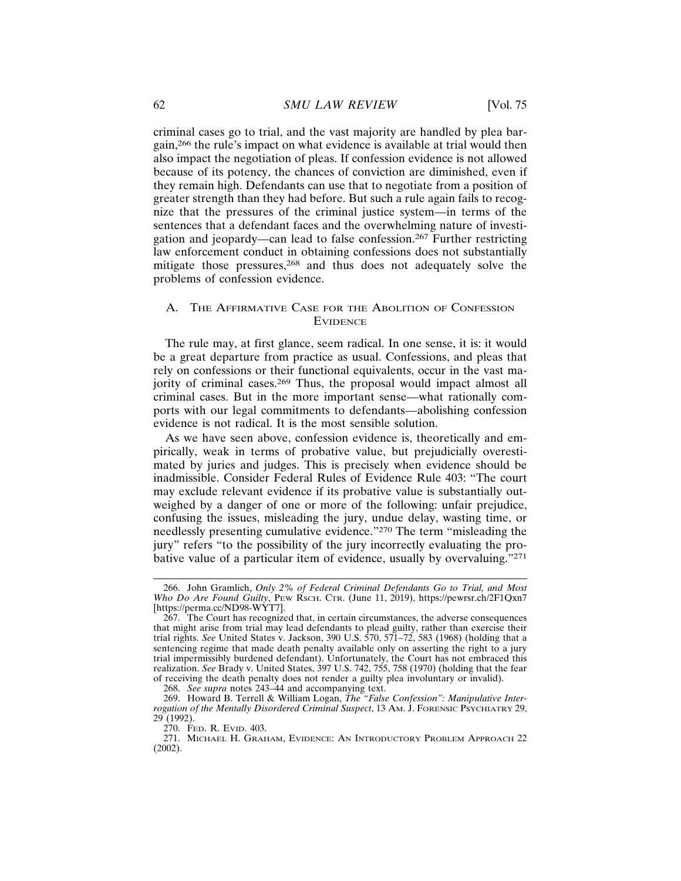criminal cases go to trial, and the vast majority are handled by plea bargain,266 the rule's impact on what evidence is available at trial would then also impact the negotiation of pleas. If confession evidence is not allowed because of its potency, the chances of conviction are diminished, even if they remain high. Defendants can use that to negotiate from a position of greater strength than they had before. But such a rule again fails to recognize that the pressures of the criminal justice system—in terms of the sentences that a defendant faces and the overwhelming nature of investigation and jeopardy—can lead to false confession.267 Further restricting law enforcement conduct in obtaining confessions does not substantially mitigate those pressures,<sup>268</sup> and thus does not adequately solve the problems of confession evidence.

# A. THE AFFIRMATIVE CASE FOR THE ABOLITION OF CONFESSION **EVIDENCE**

The rule may, at first glance, seem radical. In one sense, it is: it would be a great departure from practice as usual. Confessions, and pleas that rely on confessions or their functional equivalents, occur in the vast majority of criminal cases.<sup>269</sup> Thus, the proposal would impact almost all criminal cases. But in the more important sense—what rationally comports with our legal commitments to defendants—abolishing confession evidence is not radical. It is the most sensible solution.

As we have seen above, confession evidence is, theoretically and empirically, weak in terms of probative value, but prejudicially overestimated by juries and judges. This is precisely when evidence should be inadmissible. Consider Federal Rules of Evidence Rule 403: "The court may exclude relevant evidence if its probative value is substantially outweighed by a danger of one or more of the following: unfair prejudice, confusing the issues, misleading the jury, undue delay, wasting time, or needlessly presenting cumulative evidence."270 The term "misleading the jury" refers "to the possibility of the jury incorrectly evaluating the probative value of a particular item of evidence, usually by overvaluing."<sup>271</sup>

<sup>266.</sup> John Gramlich, *Only 2% of Federal Criminal Defendants Go to Trial, and Most Who Do Are Found Guilty*, PEW RSCH. CTR. (June 11, 2019), https://pewrsr.ch/2F1Qxn7 [https://perma.cc/ND98-WYT7].

<sup>267.</sup> The Court has recognized that, in certain circumstances, the adverse consequences that might arise from trial may lead defendants to plead guilty, rather than exercise their trial rights. *See* United States v. Jackson, 390 U.S. 570, 571–72, 583 (1968) (holding that a sentencing regime that made death penalty available only on asserting the right to a jury trial impermissibly burdened defendant). Unfortunately, the Court has not embraced this realization. *See* Brady v. United States, 397 U.S. 742, 755, 758 (1970) (holding that the fear of receiving the death penalty does not render a guilty plea involuntary or invalid).

<sup>268.</sup> *See supra* notes 243–44 and accompanying text.

<sup>269.</sup> Howard B. Terrell & William Logan, *The "False Confession": Manipulative Interrogation of the Mentally Disordered Criminal Suspect*, 13 AM. J. FORENSIC PSYCHIATRY 29, 29 (1992).

<sup>270.</sup> FED. R. EVID. 403.

<sup>271.</sup> MICHAEL H. GRAHAM, EVIDENCE: AN INTRODUCTORY PROBLEM APPROACH 22 (2002).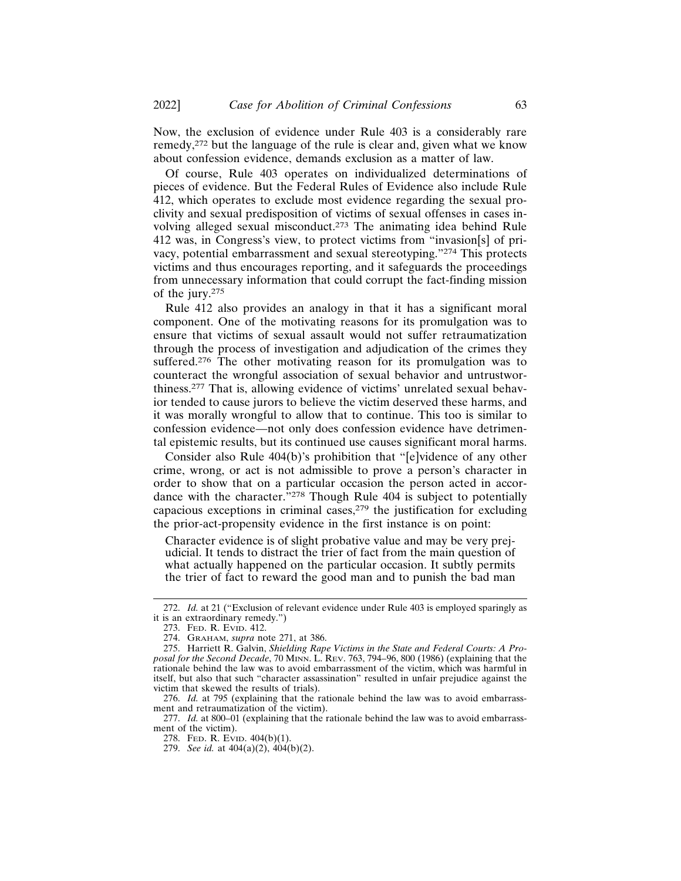Now, the exclusion of evidence under Rule 403 is a considerably rare remedy,272 but the language of the rule is clear and, given what we know about confession evidence, demands exclusion as a matter of law.

Of course, Rule 403 operates on individualized determinations of pieces of evidence. But the Federal Rules of Evidence also include Rule 412, which operates to exclude most evidence regarding the sexual proclivity and sexual predisposition of victims of sexual offenses in cases involving alleged sexual misconduct.273 The animating idea behind Rule 412 was, in Congress's view, to protect victims from "invasion[s] of privacy, potential embarrassment and sexual stereotyping."274 This protects victims and thus encourages reporting, and it safeguards the proceedings from unnecessary information that could corrupt the fact-finding mission of the jury.<sup>275</sup>

Rule 412 also provides an analogy in that it has a significant moral component. One of the motivating reasons for its promulgation was to ensure that victims of sexual assault would not suffer retraumatization through the process of investigation and adjudication of the crimes they suffered.<sup>276</sup> The other motivating reason for its promulgation was to counteract the wrongful association of sexual behavior and untrustworthiness.277 That is, allowing evidence of victims' unrelated sexual behavior tended to cause jurors to believe the victim deserved these harms, and it was morally wrongful to allow that to continue. This too is similar to confession evidence—not only does confession evidence have detrimental epistemic results, but its continued use causes significant moral harms.

Consider also Rule 404(b)'s prohibition that "[e]vidence of any other crime, wrong, or act is not admissible to prove a person's character in order to show that on a particular occasion the person acted in accordance with the character. $278$  Though Rule 404 is subject to potentially capacious exceptions in criminal cases, $279$  the justification for excluding the prior-act-propensity evidence in the first instance is on point:

Character evidence is of slight probative value and may be very prejudicial. It tends to distract the trier of fact from the main question of what actually happened on the particular occasion. It subtly permits the trier of fact to reward the good man and to punish the bad man

277. *Id.* at 800–01 (explaining that the rationale behind the law was to avoid embarrassment of the victim).

<sup>272.</sup> *Id.* at 21 ("Exclusion of relevant evidence under Rule 403 is employed sparingly as it is an extraordinary remedy.")

<sup>273.</sup> FED. R. EVID. 412.

<sup>274.</sup> GRAHAM, *supra* note 271, at 386.

<sup>275.</sup> Harriett R. Galvin, *Shielding Rape Victims in the State and Federal Courts: A Proposal for the Second Decade*, 70 MINN. L. REV. 763, 794–96, 800 (1986) (explaining that the rationale behind the law was to avoid embarrassment of the victim, which was harmful in itself, but also that such "character assassination" resulted in unfair prejudice against the victim that skewed the results of trials).

<sup>276.</sup> *Id.* at 795 (explaining that the rationale behind the law was to avoid embarrassment and retraumatization of the victim).

<sup>278.</sup> FED. R. EVID. 404(b)(1).

<sup>279.</sup> *See id.* at 404(a)(2), 404(b)(2).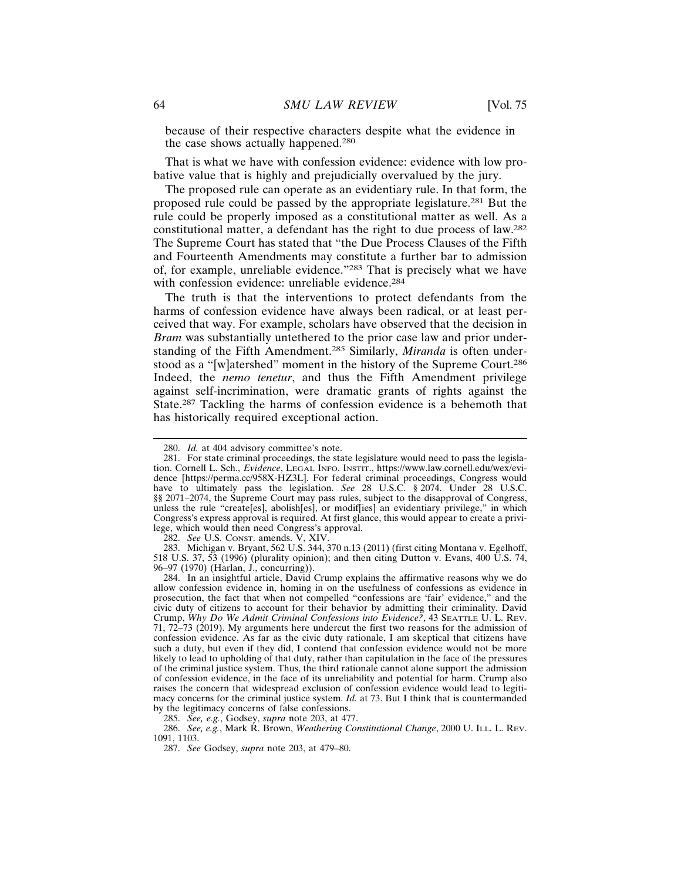because of their respective characters despite what the evidence in the case shows actually happened.<sup>280</sup>

That is what we have with confession evidence: evidence with low probative value that is highly and prejudicially overvalued by the jury.

The proposed rule can operate as an evidentiary rule. In that form, the proposed rule could be passed by the appropriate legislature.281 But the rule could be properly imposed as a constitutional matter as well. As a constitutional matter, a defendant has the right to due process of law.<sup>282</sup> The Supreme Court has stated that "the Due Process Clauses of the Fifth and Fourteenth Amendments may constitute a further bar to admission of, for example, unreliable evidence."283 That is precisely what we have with confession evidence: unreliable evidence.<sup>284</sup>

The truth is that the interventions to protect defendants from the harms of confession evidence have always been radical, or at least perceived that way. For example, scholars have observed that the decision in *Bram* was substantially untethered to the prior case law and prior understanding of the Fifth Amendment.285 Similarly, *Miranda* is often understood as a "[w]atershed" moment in the history of the Supreme Court.<sup>286</sup> Indeed, the *nemo tenetur*, and thus the Fifth Amendment privilege against self-incrimination, were dramatic grants of rights against the State.287 Tackling the harms of confession evidence is a behemoth that has historically required exceptional action.

282. *See* U.S. CONST. amends. V, XIV.

283. Michigan v. Bryant, 562 U.S. 344, 370 n.13 (2011) (first citing Montana v. Egelhoff, 518 U.S. 37, 53 (1996) (plurality opinion); and then citing Dutton v. Evans, 400 U.S. 74, 96–97 (1970) (Harlan, J., concurring)).

284. In an insightful article, David Crump explains the affirmative reasons why we do allow confession evidence in, homing in on the usefulness of confessions as evidence in prosecution, the fact that when not compelled "confessions are 'fair' evidence," and the civic duty of citizens to account for their behavior by admitting their criminality. David Crump, *Why Do We Admit Criminal Confessions into Evidence?*, 43 SEATTLE U. L. REV. 71, 72–73 (2019). My arguments here undercut the first two reasons for the admission of confession evidence. As far as the civic duty rationale, I am skeptical that citizens have such a duty, but even if they did, I contend that confession evidence would not be more likely to lead to upholding of that duty, rather than capitulation in the face of the pressures of the criminal justice system. Thus, the third rationale cannot alone support the admission of confession evidence, in the face of its unreliability and potential for harm. Crump also raises the concern that widespread exclusion of confession evidence would lead to legitimacy concerns for the criminal justice system. *Id.* at 73. But I think that is countermanded by the legitimacy concerns of false confessions.

285. *See, e.g.*, Godsey, *supra* note 203, at 477.

286. *See, e.g.*, Mark R. Brown, *Weathering Constitutional Change*, 2000 U. ILL. L. REV. 1091, 1103.

<sup>280.</sup> *Id.* at 404 advisory committee's note.

<sup>281.</sup> For state criminal proceedings, the state legislature would need to pass the legislation. Cornell L. Sch., *Evidence*, LEGAL INFO. INSTIT., https://www.law.cornell.edu/wex/evidence [https://perma.cc/958X-HZ3L]. For federal criminal proceedings, Congress would have to ultimately pass the legislation. *See* 28 U.S.C. § 2074. Under 28 U.S.C. §§ 2071–2074, the Supreme Court may pass rules, subject to the disapproval of Congress, unless the rule "create[es], abolish[es], or modif[ies] an evidentiary privilege," in which Congress's express approval is required. At first glance, this would appear to create a privilege, which would then need Congress's approval.

<sup>287.</sup> *See* Godsey, *supra* note 203, at 479–80.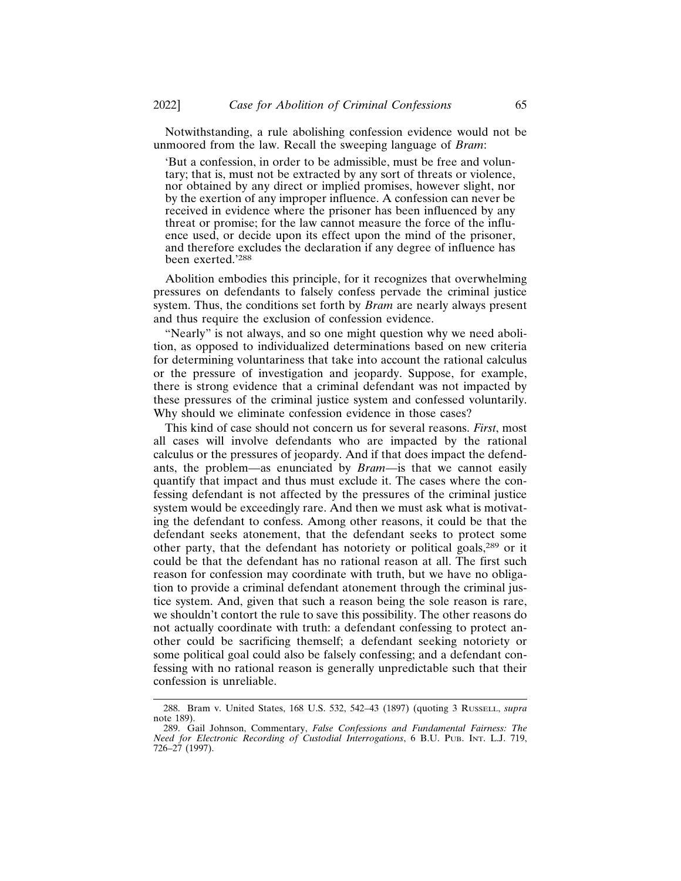Notwithstanding, a rule abolishing confession evidence would not be unmoored from the law. Recall the sweeping language of *Bram*:

'But a confession, in order to be admissible, must be free and voluntary; that is, must not be extracted by any sort of threats or violence, nor obtained by any direct or implied promises, however slight, nor by the exertion of any improper influence. A confession can never be received in evidence where the prisoner has been influenced by any threat or promise; for the law cannot measure the force of the influence used, or decide upon its effect upon the mind of the prisoner, and therefore excludes the declaration if any degree of influence has been exerted.'<sup>288</sup>

Abolition embodies this principle, for it recognizes that overwhelming pressures on defendants to falsely confess pervade the criminal justice system. Thus, the conditions set forth by *Bram* are nearly always present and thus require the exclusion of confession evidence.

"Nearly" is not always, and so one might question why we need abolition, as opposed to individualized determinations based on new criteria for determining voluntariness that take into account the rational calculus or the pressure of investigation and jeopardy. Suppose, for example, there is strong evidence that a criminal defendant was not impacted by these pressures of the criminal justice system and confessed voluntarily. Why should we eliminate confession evidence in those cases?

This kind of case should not concern us for several reasons. *First*, most all cases will involve defendants who are impacted by the rational calculus or the pressures of jeopardy. And if that does impact the defendants, the problem—as enunciated by *Bram*—is that we cannot easily quantify that impact and thus must exclude it. The cases where the confessing defendant is not affected by the pressures of the criminal justice system would be exceedingly rare. And then we must ask what is motivating the defendant to confess. Among other reasons, it could be that the defendant seeks atonement, that the defendant seeks to protect some other party, that the defendant has notoriety or political goals,289 or it could be that the defendant has no rational reason at all. The first such reason for confession may coordinate with truth, but we have no obligation to provide a criminal defendant atonement through the criminal justice system. And, given that such a reason being the sole reason is rare, we shouldn't contort the rule to save this possibility. The other reasons do not actually coordinate with truth: a defendant confessing to protect another could be sacrificing themself; a defendant seeking notoriety or some political goal could also be falsely confessing; and a defendant confessing with no rational reason is generally unpredictable such that their confession is unreliable.

<sup>288.</sup> Bram v. United States, 168 U.S. 532, 542–43 (1897) (quoting 3 RUSSELL, *supra* note 189).

<sup>289.</sup> Gail Johnson, Commentary, *False Confessions and Fundamental Fairness: The Need for Electronic Recording of Custodial Interrogations*, 6 B.U. PUB. INT. L.J. 719, 726–27 (1997).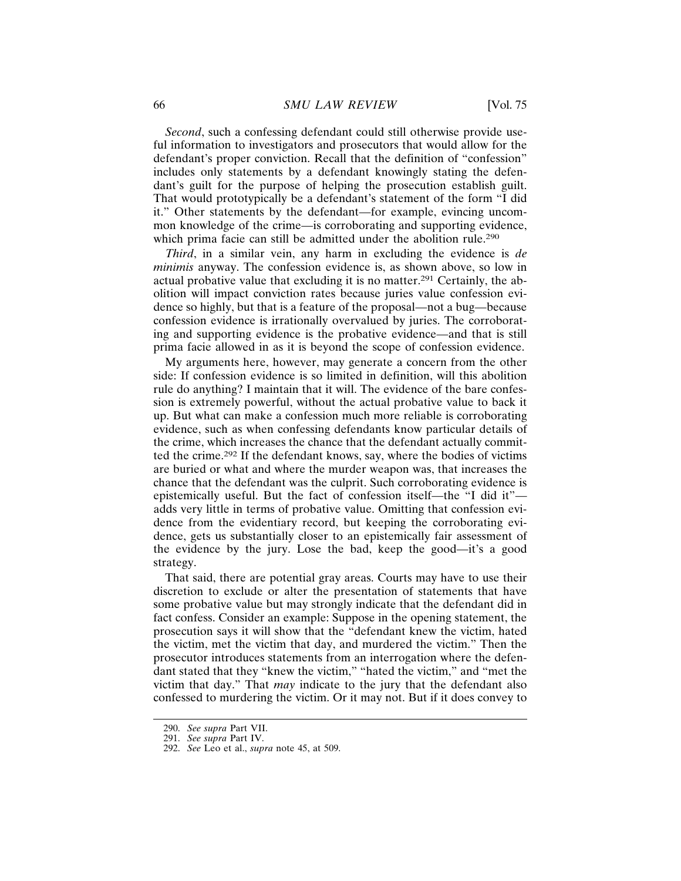*Second*, such a confessing defendant could still otherwise provide useful information to investigators and prosecutors that would allow for the defendant's proper conviction. Recall that the definition of "confession" includes only statements by a defendant knowingly stating the defendant's guilt for the purpose of helping the prosecution establish guilt. That would prototypically be a defendant's statement of the form "I did it." Other statements by the defendant—for example, evincing uncommon knowledge of the crime—is corroborating and supporting evidence, which prima facie can still be admitted under the abolition rule.<sup>290</sup>

*Third*, in a similar vein, any harm in excluding the evidence is *de minimis* anyway. The confession evidence is, as shown above, so low in actual probative value that excluding it is no matter.291 Certainly, the abolition will impact conviction rates because juries value confession evidence so highly, but that is a feature of the proposal—not a bug—because confession evidence is irrationally overvalued by juries. The corroborating and supporting evidence is the probative evidence—and that is still prima facie allowed in as it is beyond the scope of confession evidence.

My arguments here, however, may generate a concern from the other side: If confession evidence is so limited in definition, will this abolition rule do anything? I maintain that it will. The evidence of the bare confession is extremely powerful, without the actual probative value to back it up. But what can make a confession much more reliable is corroborating evidence, such as when confessing defendants know particular details of the crime, which increases the chance that the defendant actually committed the crime.292 If the defendant knows, say, where the bodies of victims are buried or what and where the murder weapon was, that increases the chance that the defendant was the culprit. Such corroborating evidence is epistemically useful. But the fact of confession itself—the "I did it" adds very little in terms of probative value. Omitting that confession evidence from the evidentiary record, but keeping the corroborating evidence, gets us substantially closer to an epistemically fair assessment of the evidence by the jury. Lose the bad, keep the good—it's a good strategy.

That said, there are potential gray areas. Courts may have to use their discretion to exclude or alter the presentation of statements that have some probative value but may strongly indicate that the defendant did in fact confess. Consider an example: Suppose in the opening statement, the prosecution says it will show that the "defendant knew the victim, hated the victim, met the victim that day, and murdered the victim." Then the prosecutor introduces statements from an interrogation where the defendant stated that they "knew the victim," "hated the victim," and "met the victim that day." That *may* indicate to the jury that the defendant also confessed to murdering the victim. Or it may not. But if it does convey to

<sup>290.</sup> *See supra* Part VII.

<sup>291.</sup> *See supra* Part IV.

<sup>292.</sup> *See* Leo et al., *supra* note 45, at 509.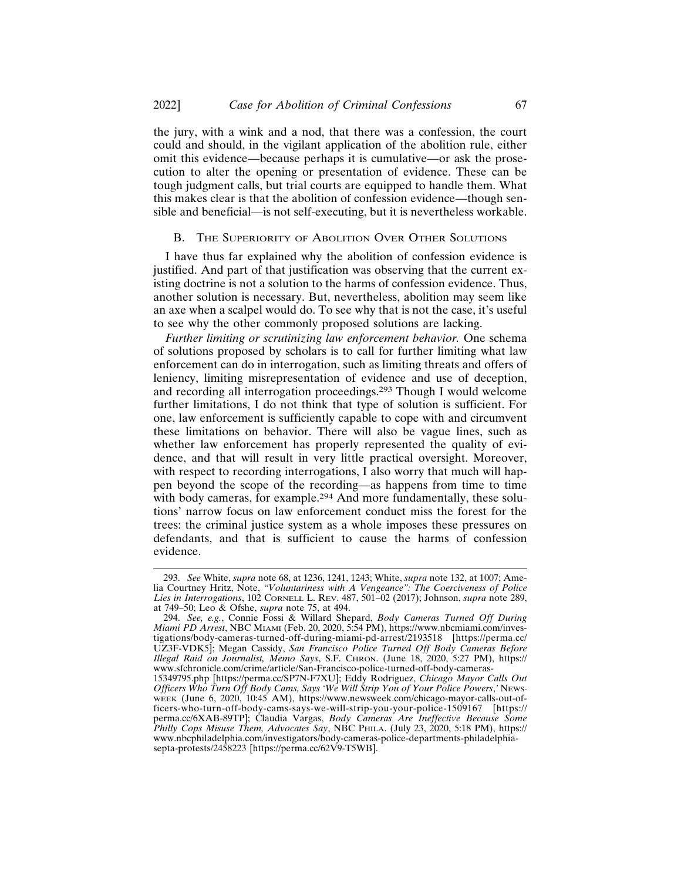the jury, with a wink and a nod, that there was a confession, the court could and should, in the vigilant application of the abolition rule, either omit this evidence—because perhaps it is cumulative—or ask the prosecution to alter the opening or presentation of evidence. These can be tough judgment calls, but trial courts are equipped to handle them. What this makes clear is that the abolition of confession evidence—though sensible and beneficial—is not self-executing, but it is nevertheless workable.

# B. THE SUPERIORITY OF ABOLITION OVER OTHER SOLUTIONS

I have thus far explained why the abolition of confession evidence is justified. And part of that justification was observing that the current existing doctrine is not a solution to the harms of confession evidence. Thus, another solution is necessary. But, nevertheless, abolition may seem like an axe when a scalpel would do. To see why that is not the case, it's useful to see why the other commonly proposed solutions are lacking.

*Further limiting or scrutinizing law enforcement behavior.* One schema of solutions proposed by scholars is to call for further limiting what law enforcement can do in interrogation, such as limiting threats and offers of leniency, limiting misrepresentation of evidence and use of deception, and recording all interrogation proceedings.293 Though I would welcome further limitations, I do not think that type of solution is sufficient. For one, law enforcement is sufficiently capable to cope with and circumvent these limitations on behavior. There will also be vague lines, such as whether law enforcement has properly represented the quality of evidence, and that will result in very little practical oversight. Moreover, with respect to recording interrogations, I also worry that much will happen beyond the scope of the recording—as happens from time to time with body cameras, for example.<sup>294</sup> And more fundamentally, these solutions' narrow focus on law enforcement conduct miss the forest for the trees: the criminal justice system as a whole imposes these pressures on defendants, and that is sufficient to cause the harms of confession evidence.

<sup>293.</sup> *See* White, *supra* note 68, at 1236, 1241, 1243; White, *supra* note 132, at 1007; Amelia Courtney Hritz, Note, *"Voluntariness with A Vengeance": The Coerciveness of Police Lies in Interrogations*, 102 CORNELL L. REV. 487, 501–02 (2017); Johnson, *supra* note 289, at 749–50; Leo & Ofshe, *supra* note 75, at 494.

<sup>294.</sup> *See, e.g.*, Connie Fossi & Willard Shepard, *Body Cameras Turned Off During Miami PD Arrest*, NBC MIAMI (Feb. 20, 2020, 5:54 PM), https://www.nbcmiami.com/investigations/body-cameras-turned-off-during-miami-pd-arrest/2193518 [https://perma.cc/ UZ3F-VDK5]; Megan Cassidy, *San Francisco Police Turned Off Body Cameras Before Illegal Raid on Journalist, Memo Says*, S.F. CHRON. (June 18, 2020, 5:27 PM), https:// www.sfchronicle.com/crime/article/San-Francisco-police-turned-off-body-cameras-

<sup>15349795.</sup>php [https://perma.cc/SP7N-F7XU]; Eddy Rodriguez, *Chicago Mayor Calls Out Officers Who Turn Off Body Cams, Says 'We Will Strip You of Your Police Powers*,*'* NEWS-WEEK (June 6, 2020, 10:45 AM), https://www.newsweek.com/chicago-mayor-calls-out-officers-who-turn-off-body-cams-says-we-will-strip-you-your-police-1509167 [https:// perma.cc/6XAB-89TP]; Claudia Vargas, *Body Cameras Are Ineffective Because Some Philly Cops Misuse Them, Advocates Say*, NBC PHILA. (July 23, 2020, 5:18 PM), https:// www.nbcphiladelphia.com/investigators/body-cameras-police-departments-philadelphiasepta-protests/2458223 [https://perma.cc/62V9-T5WB].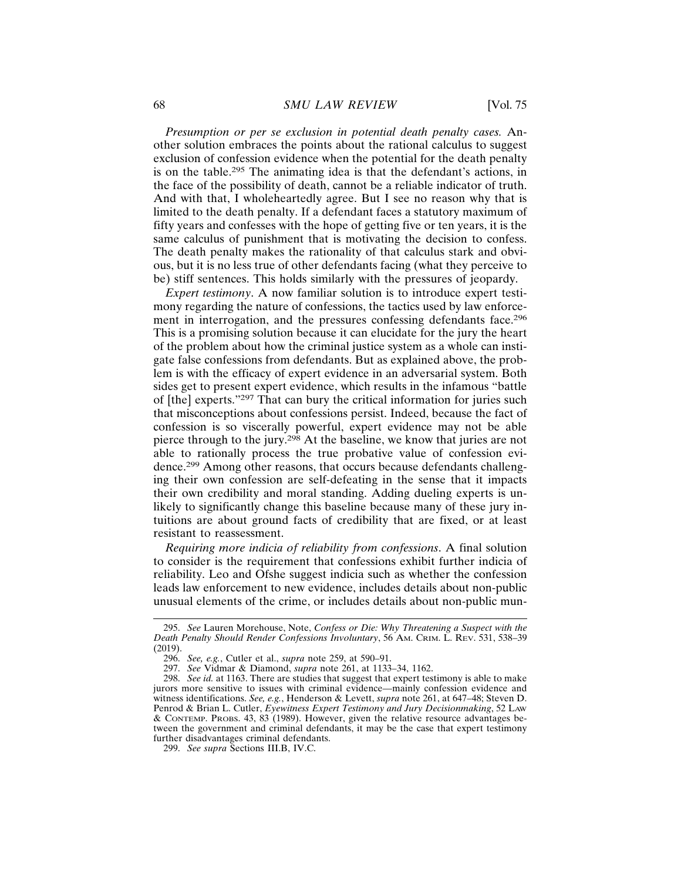*Presumption or per se exclusion in potential death penalty cases.* Another solution embraces the points about the rational calculus to suggest exclusion of confession evidence when the potential for the death penalty is on the table.295 The animating idea is that the defendant's actions, in the face of the possibility of death, cannot be a reliable indicator of truth. And with that, I wholeheartedly agree. But I see no reason why that is limited to the death penalty. If a defendant faces a statutory maximum of fifty years and confesses with the hope of getting five or ten years, it is the same calculus of punishment that is motivating the decision to confess. The death penalty makes the rationality of that calculus stark and obvious, but it is no less true of other defendants facing (what they perceive to be) stiff sentences. This holds similarly with the pressures of jeopardy.

*Expert testimony*. A now familiar solution is to introduce expert testimony regarding the nature of confessions, the tactics used by law enforcement in interrogation, and the pressures confessing defendants face.<sup>296</sup> This is a promising solution because it can elucidate for the jury the heart of the problem about how the criminal justice system as a whole can instigate false confessions from defendants. But as explained above, the problem is with the efficacy of expert evidence in an adversarial system. Both sides get to present expert evidence, which results in the infamous "battle of [the] experts."297 That can bury the critical information for juries such that misconceptions about confessions persist. Indeed, because the fact of confession is so viscerally powerful, expert evidence may not be able pierce through to the jury.298 At the baseline, we know that juries are not able to rationally process the true probative value of confession evidence.299 Among other reasons, that occurs because defendants challenging their own confession are self-defeating in the sense that it impacts their own credibility and moral standing. Adding dueling experts is unlikely to significantly change this baseline because many of these jury intuitions are about ground facts of credibility that are fixed, or at least resistant to reassessment.

*Requiring more indicia of reliability from confessions*. A final solution to consider is the requirement that confessions exhibit further indicia of reliability. Leo and Ofshe suggest indicia such as whether the confession leads law enforcement to new evidence, includes details about non-public unusual elements of the crime, or includes details about non-public mun-

<sup>295.</sup> *See* Lauren Morehouse, Note, *Confess or Die: Why Threatening a Suspect with the Death Penalty Should Render Confessions Involuntary*, 56 AM. CRIM. L. REV. 531, 538–39 (2019).

<sup>296.</sup> *See, e.g.*, Cutler et al., *supra* note 259, at 590–91.

<sup>297.</sup> *See* Vidmar & Diamond, *supra* note 261, at 1133–34, 1162.

<sup>298.</sup> *See id.* at 1163. There are studies that suggest that expert testimony is able to make jurors more sensitive to issues with criminal evidence—mainly confession evidence and witness identifications. *See, e.g.*, Henderson & Levett, *supra* note 261, at 647–48; Steven D. Penrod & Brian L. Cutler, *Eyewitness Expert Testimony and Jury Decisionmaking*, 52 LAW & CONTEMP. PROBS. 43, 83 (1989). However, given the relative resource advantages between the government and criminal defendants, it may be the case that expert testimony further disadvantages criminal defendants.

<sup>299.</sup> *See supra* Sections III.B, IV.C.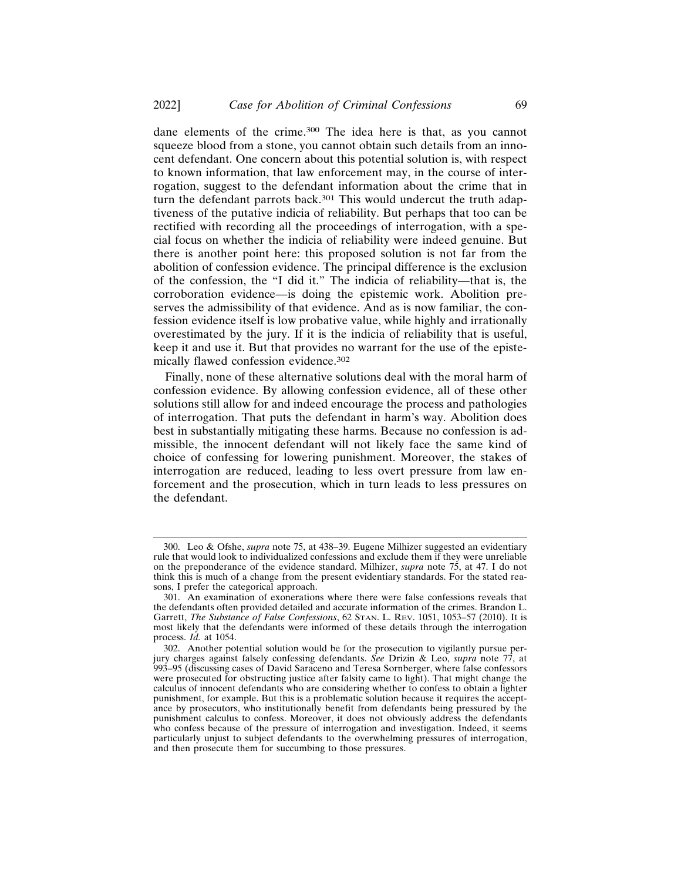dane elements of the crime.300 The idea here is that, as you cannot squeeze blood from a stone, you cannot obtain such details from an innocent defendant. One concern about this potential solution is, with respect to known information, that law enforcement may, in the course of interrogation, suggest to the defendant information about the crime that in turn the defendant parrots back.<sup>301</sup> This would undercut the truth adaptiveness of the putative indicia of reliability. But perhaps that too can be rectified with recording all the proceedings of interrogation, with a special focus on whether the indicia of reliability were indeed genuine. But there is another point here: this proposed solution is not far from the abolition of confession evidence. The principal difference is the exclusion of the confession, the "I did it." The indicia of reliability—that is, the corroboration evidence—is doing the epistemic work. Abolition preserves the admissibility of that evidence. And as is now familiar, the confession evidence itself is low probative value, while highly and irrationally overestimated by the jury. If it is the indicia of reliability that is useful, keep it and use it. But that provides no warrant for the use of the epistemically flawed confession evidence.<sup>302</sup>

Finally, none of these alternative solutions deal with the moral harm of confession evidence. By allowing confession evidence, all of these other solutions still allow for and indeed encourage the process and pathologies of interrogation. That puts the defendant in harm's way. Abolition does best in substantially mitigating these harms. Because no confession is admissible, the innocent defendant will not likely face the same kind of choice of confessing for lowering punishment. Moreover, the stakes of interrogation are reduced, leading to less overt pressure from law enforcement and the prosecution, which in turn leads to less pressures on the defendant.

<sup>300.</sup> Leo & Ofshe, *supra* note 75, at 438–39. Eugene Milhizer suggested an evidentiary rule that would look to individualized confessions and exclude them if they were unreliable on the preponderance of the evidence standard. Milhizer, *supra* note 75, at 47. I do not think this is much of a change from the present evidentiary standards. For the stated reasons, I prefer the categorical approach.

<sup>301.</sup> An examination of exonerations where there were false confessions reveals that the defendants often provided detailed and accurate information of the crimes. Brandon L. Garrett, *The Substance of False Confessions*, 62 STAN. L. REV. 1051, 1053–57 (2010). It is most likely that the defendants were informed of these details through the interrogation process. *Id.* at 1054.

<sup>302.</sup> Another potential solution would be for the prosecution to vigilantly pursue perjury charges against falsely confessing defendants. *See* Drizin & Leo, *supra* note 77, at 993–95 (discussing cases of David Saraceno and Teresa Sornberger, where false confessors were prosecuted for obstructing justice after falsity came to light). That might change the calculus of innocent defendants who are considering whether to confess to obtain a lighter punishment, for example. But this is a problematic solution because it requires the acceptance by prosecutors, who institutionally benefit from defendants being pressured by the punishment calculus to confess. Moreover, it does not obviously address the defendants who confess because of the pressure of interrogation and investigation. Indeed, it seems particularly unjust to subject defendants to the overwhelming pressures of interrogation, and then prosecute them for succumbing to those pressures.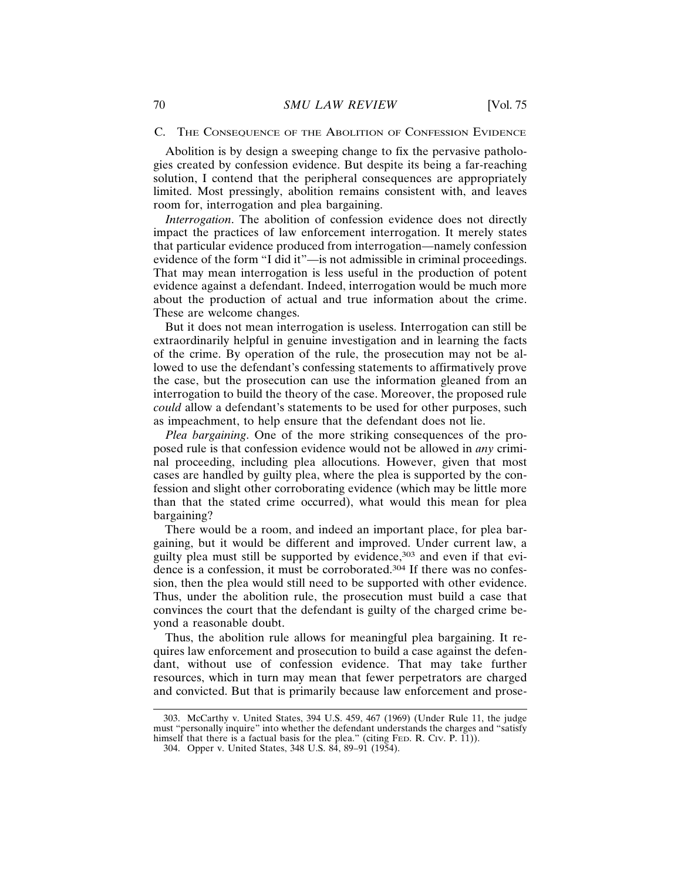## C. THE CONSEQUENCE OF THE ABOLITION OF CONFESSION EVIDENCE

Abolition is by design a sweeping change to fix the pervasive pathologies created by confession evidence. But despite its being a far-reaching solution, I contend that the peripheral consequences are appropriately limited. Most pressingly, abolition remains consistent with, and leaves room for, interrogation and plea bargaining.

*Interrogation*. The abolition of confession evidence does not directly impact the practices of law enforcement interrogation. It merely states that particular evidence produced from interrogation—namely confession evidence of the form "I did it"—is not admissible in criminal proceedings. That may mean interrogation is less useful in the production of potent evidence against a defendant. Indeed, interrogation would be much more about the production of actual and true information about the crime. These are welcome changes.

But it does not mean interrogation is useless. Interrogation can still be extraordinarily helpful in genuine investigation and in learning the facts of the crime. By operation of the rule, the prosecution may not be allowed to use the defendant's confessing statements to affirmatively prove the case, but the prosecution can use the information gleaned from an interrogation to build the theory of the case. Moreover, the proposed rule *could* allow a defendant's statements to be used for other purposes, such as impeachment, to help ensure that the defendant does not lie.

*Plea bargaining*. One of the more striking consequences of the proposed rule is that confession evidence would not be allowed in *any* criminal proceeding, including plea allocutions. However, given that most cases are handled by guilty plea, where the plea is supported by the confession and slight other corroborating evidence (which may be little more than that the stated crime occurred), what would this mean for plea bargaining?

There would be a room, and indeed an important place, for plea bargaining, but it would be different and improved. Under current law, a guilty plea must still be supported by evidence,<sup>303</sup> and even if that evidence is a confession, it must be corroborated.304 If there was no confession, then the plea would still need to be supported with other evidence. Thus, under the abolition rule, the prosecution must build a case that convinces the court that the defendant is guilty of the charged crime beyond a reasonable doubt.

Thus, the abolition rule allows for meaningful plea bargaining. It requires law enforcement and prosecution to build a case against the defendant, without use of confession evidence. That may take further resources, which in turn may mean that fewer perpetrators are charged and convicted. But that is primarily because law enforcement and prose-

<sup>303.</sup> McCarthy v. United States, 394 U.S. 459, 467 (1969) (Under Rule 11, the judge must "personally inquire" into whether the defendant understands the charges and "satisfy himself that there is a factual basis for the plea." (citing FED. R. CIV. P. 11)).

<sup>304.</sup> Opper v. United States, 348 U.S. 84, 89–91 (1954).